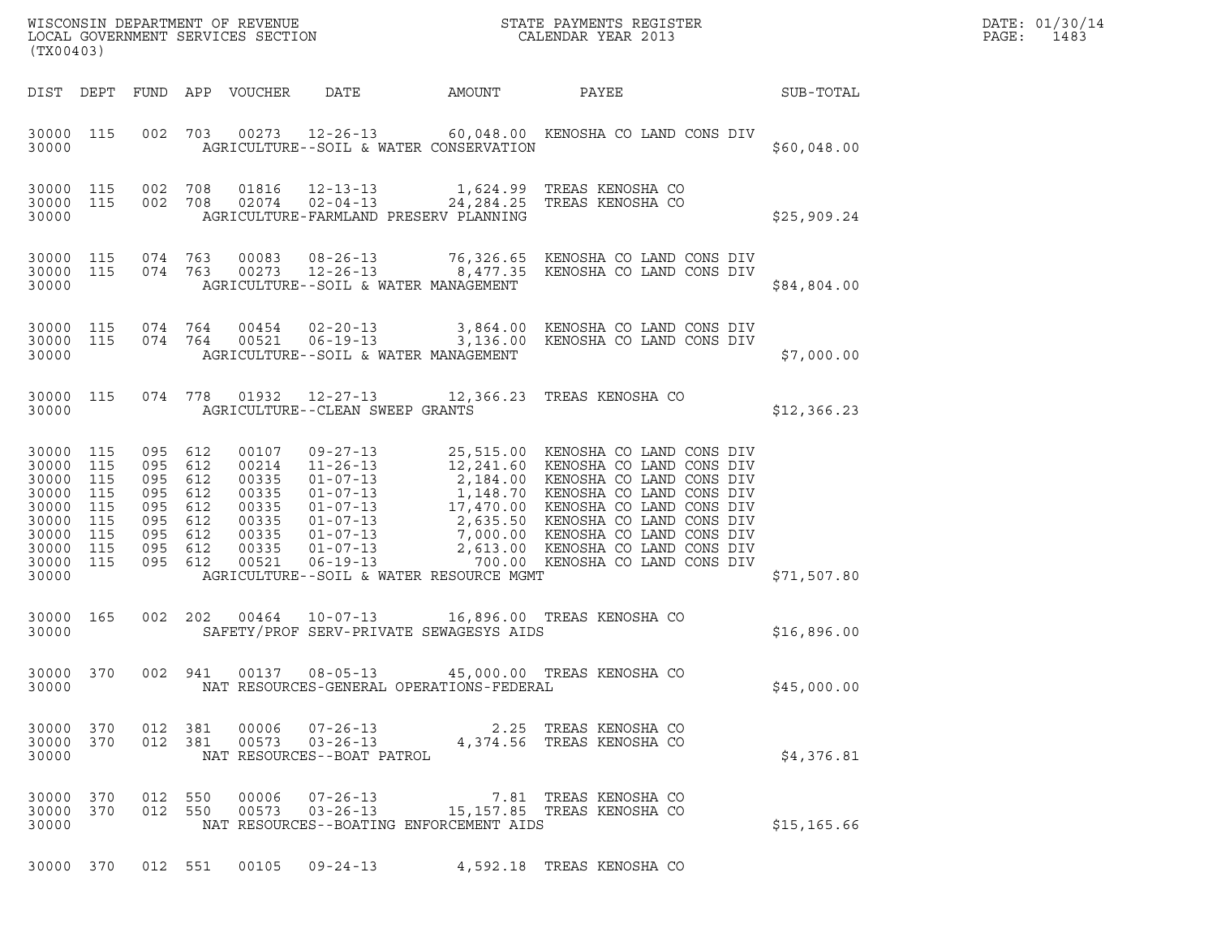| (TX00403) |         | WISCONSIN DEPARTMENT OF REVENUE<br>LOCAL GOVERNMENT SERVICES SECTION |                                        |              | STATE PAYMENTS REGISTER<br>CALENDAR YEAR 2013                                                                                             |             | DATE: 01/30/14<br>PAGE: 1483 |
|-----------|---------|----------------------------------------------------------------------|----------------------------------------|--------------|-------------------------------------------------------------------------------------------------------------------------------------------|-------------|------------------------------|
|           |         | DIST DEPT FUND APP VOUCHER DATE                                      |                                        | AMOUNT PAYEE |                                                                                                                                           | SUB-TOTAL   |                              |
| 30000     |         |                                                                      | AGRICULTURE--SOIL & WATER CONSERVATION |              | 30000 115 002 703 00273 12-26-13 60,048.00 KENOSHA CO LAND CONS DIV                                                                       | \$60,048.00 |                              |
| 30000     |         |                                                                      | AGRICULTURE-FARMLAND PRESERV PLANNING  |              | 30000 115 002 708 01816 12-13-13   1,624.99 TREAS_KENOSHA_CO<br>30000 115 002 708 02074 02-04-13 24,284.25 TREAS KENOSHA CO               | \$25,909.24 |                              |
| 30000     |         |                                                                      | AGRICULTURE--SOIL & WATER MANAGEMENT   |              | 30000 115 074 763 00083 08-26-13 76,326.65 KENOSHA CO LAND CONS DIV<br>30000 115 074 763 00273 12-26-13 8,477.35 KENOSHA CO LAND CONS DIV | \$84,804.00 |                              |
| 30000     |         |                                                                      | AGRICULTURE--SOIL & WATER MANAGEMENT   |              | 30000 115 074 764 00454 02-20-13 3,864.00 KENOSHA CO LAND CONS DIV<br>30000 115 074 764 00521 06-19-13 3,136.00 KENOSHA CO LAND CONS DIV  | \$7,000.00  |                              |
| 30000     |         |                                                                      | AGRICULTURE--CLEAN SWEEP GRANTS        |              | 30000 115 074 778 01932 12-27-13 12,366.23 TREAS KENOSHA CO                                                                               | \$12,366.23 |                              |
| 30000 115 | 095 612 |                                                                      | 00107 09-27-13<br>$\overline{a}$       |              | 25,515.00 KENOSHA CO LAND CONS DIV<br>$10.011.00$ $\overline{10110.0113.00}$ $\overline{13110.0010.0110.0111}$                            |             |                              |

| 30000                                                                                  |                                                             |                                                             |                                                             |                                                                               | AGRICULTURE--SOIL & WATER CONSERVATION                                                                                                                                                                    |                       |                                                                                                                                                                                                                                                                                                                                            | \$60,048.00  |
|----------------------------------------------------------------------------------------|-------------------------------------------------------------|-------------------------------------------------------------|-------------------------------------------------------------|-------------------------------------------------------------------------------|-----------------------------------------------------------------------------------------------------------------------------------------------------------------------------------------------------------|-----------------------|--------------------------------------------------------------------------------------------------------------------------------------------------------------------------------------------------------------------------------------------------------------------------------------------------------------------------------------------|--------------|
| 30000<br>30000<br>30000                                                                | 115<br>115                                                  | 002<br>002                                                  | 708<br>708                                                  | 01816<br>02074                                                                | $12 - 13 - 13$<br>$02 - 04 - 13$ $24, 284.25$<br>AGRICULTURE-FARMLAND PRESERV PLANNING                                                                                                                    | 1,624.99              | TREAS KENOSHA CO<br>TREAS KENOSHA CO                                                                                                                                                                                                                                                                                                       | \$25,909.24  |
| 30000<br>30000<br>30000                                                                | 115<br>115                                                  | 074<br>074                                                  | 763<br>763                                                  | 00083<br>00273                                                                | $08 - 26 - 13$<br>$12 - 26 - 13$<br>AGRICULTURE--SOIL & WATER MANAGEMENT                                                                                                                                  | 76,326.65<br>8,477.35 | KENOSHA CO LAND CONS DIV<br>KENOSHA CO LAND CONS DIV                                                                                                                                                                                                                                                                                       | \$84,804.00  |
| 30000<br>30000<br>30000                                                                | 115<br>115                                                  | 074<br>074                                                  | 764<br>764                                                  | 00454<br>00521                                                                | $02 - 20 - 13$<br>$06 - 19 - 13$<br>AGRICULTURE--SOIL & WATER MANAGEMENT                                                                                                                                  | 3,136.00              | 3,864.00 KENOSHA CO LAND CONS DIV<br>KENOSHA CO LAND CONS DIV                                                                                                                                                                                                                                                                              | \$7,000.00   |
| 30000<br>30000                                                                         | 115                                                         | 074                                                         | 778                                                         | 01932                                                                         | $12 - 27 - 13$<br>AGRICULTURE--CLEAN SWEEP GRANTS                                                                                                                                                         | 12,366.23             | TREAS KENOSHA CO                                                                                                                                                                                                                                                                                                                           | \$12,366.23  |
| 30000<br>30000<br>30000<br>30000<br>30000<br>30000<br>30000<br>30000<br>30000<br>30000 | 115<br>115<br>115<br>115<br>115<br>115<br>115<br>115<br>115 | 095<br>095<br>095<br>095<br>095<br>095<br>095<br>095<br>095 | 612<br>612<br>612<br>612<br>612<br>612<br>612<br>612<br>612 | 00107<br>00214<br>00335<br>00335<br>00335<br>00335<br>00335<br>00335<br>00521 | $09 - 27 - 13$<br>$11 - 26 - 13$<br>$01 - 07 - 13$<br>$01 - 07 - 13$<br>$01 - 07 - 13$<br>$01 - 07 - 13$<br>$01 - 07 - 13$<br>$01 - 07 - 13$<br>$06 - 19 - 13$<br>AGRICULTURE--SOIL & WATER RESOURCE MGMT |                       | 25,515.00 KENOSHA CO LAND CONS DIV<br>12,241.60 KENOSHA CO LAND CONS DIV<br>2,184.00 KENOSHA CO LAND CONS DIV<br>1,148.70 KENOSHA CO LAND CONS DIV<br>17,470.00 KENOSHA CO LAND CONS DIV<br>2,635.50 KENOSHA CO LAND CONS DIV<br>7,000.00 KENOSHA CO LAND CONS DIV<br>2,613.00 KENOSHA CO LAND CONS DIV<br>700.00 KENOSHA CO LAND CONS DIV | \$71,507.80  |
| 30000<br>30000                                                                         | 165                                                         | 002                                                         | 202                                                         | 00464                                                                         | $10 - 07 - 13$<br>SAFETY/PROF SERV-PRIVATE SEWAGESYS AIDS                                                                                                                                                 |                       | 16,896.00 TREAS KENOSHA CO                                                                                                                                                                                                                                                                                                                 | \$16,896.00  |
| 30000<br>30000                                                                         | 370                                                         | 002                                                         | 941                                                         | 00137                                                                         | $08 - 05 - 13$<br>NAT RESOURCES-GENERAL OPERATIONS-FEDERAL                                                                                                                                                |                       | 45,000.00 TREAS KENOSHA CO                                                                                                                                                                                                                                                                                                                 | \$45,000.00  |
| 30000<br>30000<br>30000                                                                | 370<br>370                                                  | 012<br>012                                                  | 381<br>381                                                  | 00006<br>00573                                                                | $07 - 26 - 13$<br>$03 - 26 - 13$<br>NAT RESOURCES--BOAT PATROL                                                                                                                                            | 2.25<br>4,374.56      | TREAS KENOSHA CO<br>TREAS KENOSHA CO                                                                                                                                                                                                                                                                                                       | \$4,376.81   |
| 30000<br>30000<br>30000                                                                | 370<br>370                                                  | 012<br>012                                                  | 550<br>550                                                  | 00006<br>00573                                                                | $07 - 26 - 13$<br>$03 - 26 - 13$<br>NAT RESOURCES--BOATING ENFORCEMENT AIDS                                                                                                                               | 7.81                  | TREAS KENOSHA CO<br>15,157.85 TREAS KENOSHA CO                                                                                                                                                                                                                                                                                             | \$15, 165.66 |
| 30000                                                                                  | 370                                                         | 012 551                                                     |                                                             | 00105                                                                         | $09 - 24 - 13$                                                                                                                                                                                            |                       | 4,592.18 TREAS KENOSHA CO                                                                                                                                                                                                                                                                                                                  |              |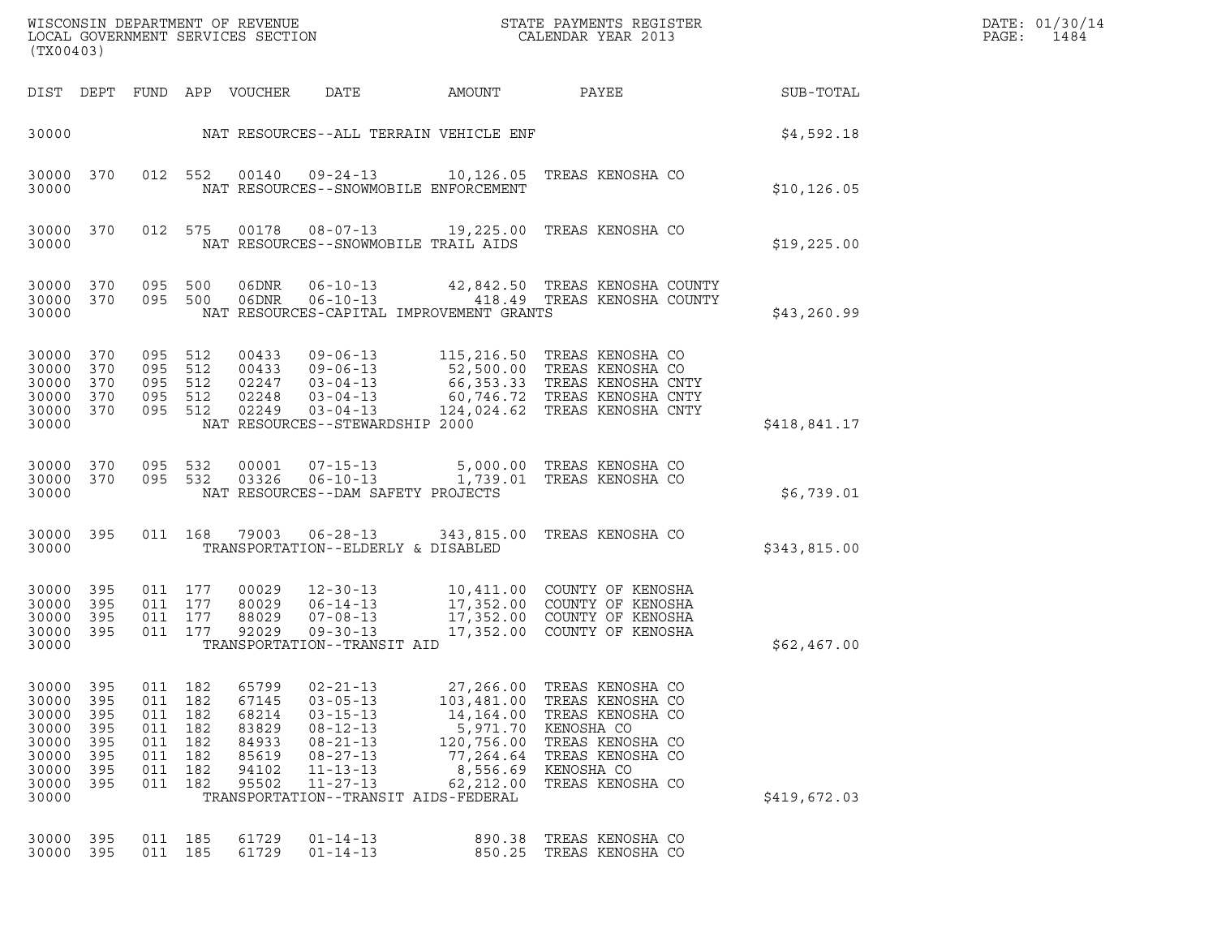| (TX00403)                                                                     |                                                      |                                               |                                                          | LOCAL GOVERNMENT SERVICES SECTION                                    | WISCONSIN DEPARTMENT OF REVENUE<br>LOCAL GOVERNMENT SERVICES SECTION                                                                                                                 |                                                                                                      | STATE PAYMENTS REGISTER<br>CALENDAR YEAR 2013                                                                                                              |              | DATE: 01/30/14<br>PAGE:<br>1484 |
|-------------------------------------------------------------------------------|------------------------------------------------------|-----------------------------------------------|----------------------------------------------------------|----------------------------------------------------------------------|--------------------------------------------------------------------------------------------------------------------------------------------------------------------------------------|------------------------------------------------------------------------------------------------------|------------------------------------------------------------------------------------------------------------------------------------------------------------|--------------|---------------------------------|
|                                                                               |                                                      |                                               |                                                          | DIST DEPT FUND APP VOUCHER                                           | DATE                                                                                                                                                                                 | AMOUNT                                                                                               | PAYEE                                                                                                                                                      | SUB-TOTAL    |                                 |
| 30000                                                                         |                                                      |                                               |                                                          |                                                                      | NAT RESOURCES--ALL TERRAIN VEHICLE ENF                                                                                                                                               |                                                                                                      |                                                                                                                                                            | \$4,592.18   |                                 |
| 30000                                                                         | 30000 370                                            |                                               | 012 552                                                  | 00140                                                                | $09 - 24 - 13$<br>NAT RESOURCES--SNOWMOBILE ENFORCEMENT                                                                                                                              |                                                                                                      | 10,126.05 TREAS KENOSHA CO                                                                                                                                 | \$10, 126.05 |                                 |
| 30000                                                                         | 30000 370                                            |                                               | 012 575                                                  | 00178                                                                | $08 - 07 - 13$<br>NAT RESOURCES--SNOWMOBILE TRAIL AIDS                                                                                                                               |                                                                                                      | 19,225.00 TREAS KENOSHA CO                                                                                                                                 | \$19,225.00  |                                 |
| 30000 370<br>30000                                                            | 30000 370                                            |                                               | 095 500<br>095 500                                       | 06DNR                                                                | $06 - 10 - 13$<br>06DNR 06-10-13<br>NAT RESOURCES-CAPITAL IMPROVEMENT GRANTS                                                                                                         |                                                                                                      | 42,842.50 TREAS KENOSHA COUNTY<br>418.49 TREAS KENOSHA COUNTY                                                                                              | \$43, 260.99 |                                 |
| 30000 370<br>30000<br>30000<br>30000<br>30000 370<br>30000                    | 370<br>370<br>370                                    | 095<br>095                                    | 095 512<br>512<br>095 512<br>512<br>095 512              | 00433<br>00433<br>02248<br>02249                                     | $09 - 06 - 13$<br>$09 - 06 - 13$<br>02247  03-04-13<br>$03 - 04 - 13$<br>$03 - 04 - 13$<br>NAT RESOURCES--STEWARDSHIP 2000                                                           |                                                                                                      | 115,216.50 TREAS KENOSHA CO<br>52,500.00 TREAS KENOSHA CO<br>66,353.33 TREAS KENOSHA CNTY<br>60,746.72 TREAS KENOSHA CNTY<br>124,024.62 TREAS KENOSHA CNTY | \$418,841.17 |                                 |
| 30000 370<br>30000                                                            | 30000 370                                            |                                               | 095 532<br>095 532                                       | 00001<br>03326                                                       | $07 - 15 - 13$<br>NAT RESOURCES--DAM SAFETY PROJECTS                                                                                                                                 |                                                                                                      | 5,000.00 TREAS KENOSHA CO<br>06-10-13 1,739.01 TREAS KENOSHA CO                                                                                            | \$6,739.01   |                                 |
| 30000 395<br>30000                                                            |                                                      |                                               | 011 168                                                  |                                                                      | TRANSPORTATION--ELDERLY & DISABLED                                                                                                                                                   |                                                                                                      | 79003  06-28-13  343,815.00 TREAS KENOSHA CO                                                                                                               | \$343,815.00 |                                 |
| 30000<br>30000<br>30000<br>30000<br>30000                                     | 395<br>395<br>395<br>- 395                           | 011                                           | 011 177<br>011 177<br>177<br>011 177                     | 00029<br>80029<br>88029<br>92029                                     | $12 - 30 - 13$<br>$06 - 14 - 13$<br>$07 - 08 - 13$<br>$09 - 30 - 13$<br>TRANSPORTATION--TRANSIT AID                                                                                  |                                                                                                      | 10,411.00 COUNTY OF KENOSHA<br>17,352.00 COUNTY OF KENOSHA<br>17,352.00 COUNTY OF KENOSHA<br>17,352.00 COUNTY OF KENOSHA                                   | \$62,467.00  |                                 |
| 30000<br>30000<br>30000<br>30000<br>30000<br>30000<br>30000<br>30000<br>30000 | 395<br>395<br>395<br>395<br>395<br>395<br>395<br>395 | 011<br>011<br>011<br>011<br>011<br>011<br>011 | 182<br>182<br>182<br>182<br>182<br>182<br>182<br>011 182 | 65799<br>67145<br>68214<br>83829<br>84933<br>85619<br>94102<br>95502 | $02 - 21 - 13$<br>$03 - 05 - 13$<br>$03 - 15 - 13$<br>$08 - 12 - 13$<br>$08 - 21 - 13$<br>$08 - 27 - 13$<br>$11 - 13 - 13$<br>$11 - 27 - 13$<br>TRANSPORTATION--TRANSIT AIDS-FEDERAL | 27,266.00<br>103,481.00<br>14,164.00<br>5,971.70<br>120,756.00<br>77,264.64<br>8,556.69<br>62,212.00 | TREAS KENOSHA CO<br>TREAS KENOSHA CO<br>TREAS KENOSHA CO<br>KENOSHA CO<br>TREAS KENOSHA CO<br>TREAS KENOSHA CO<br>KENOSHA CO<br>TREAS KENOSHA CO           | \$419,672.03 |                                 |
| 30000<br>30000                                                                | 395<br>395                                           | 011 185                                       | 011 185                                                  | 61729<br>61729                                                       | $01 - 14 - 13$<br>$01 - 14 - 13$                                                                                                                                                     | 890.38<br>850.25                                                                                     | TREAS KENOSHA CO<br>TREAS KENOSHA CO                                                                                                                       |              |                                 |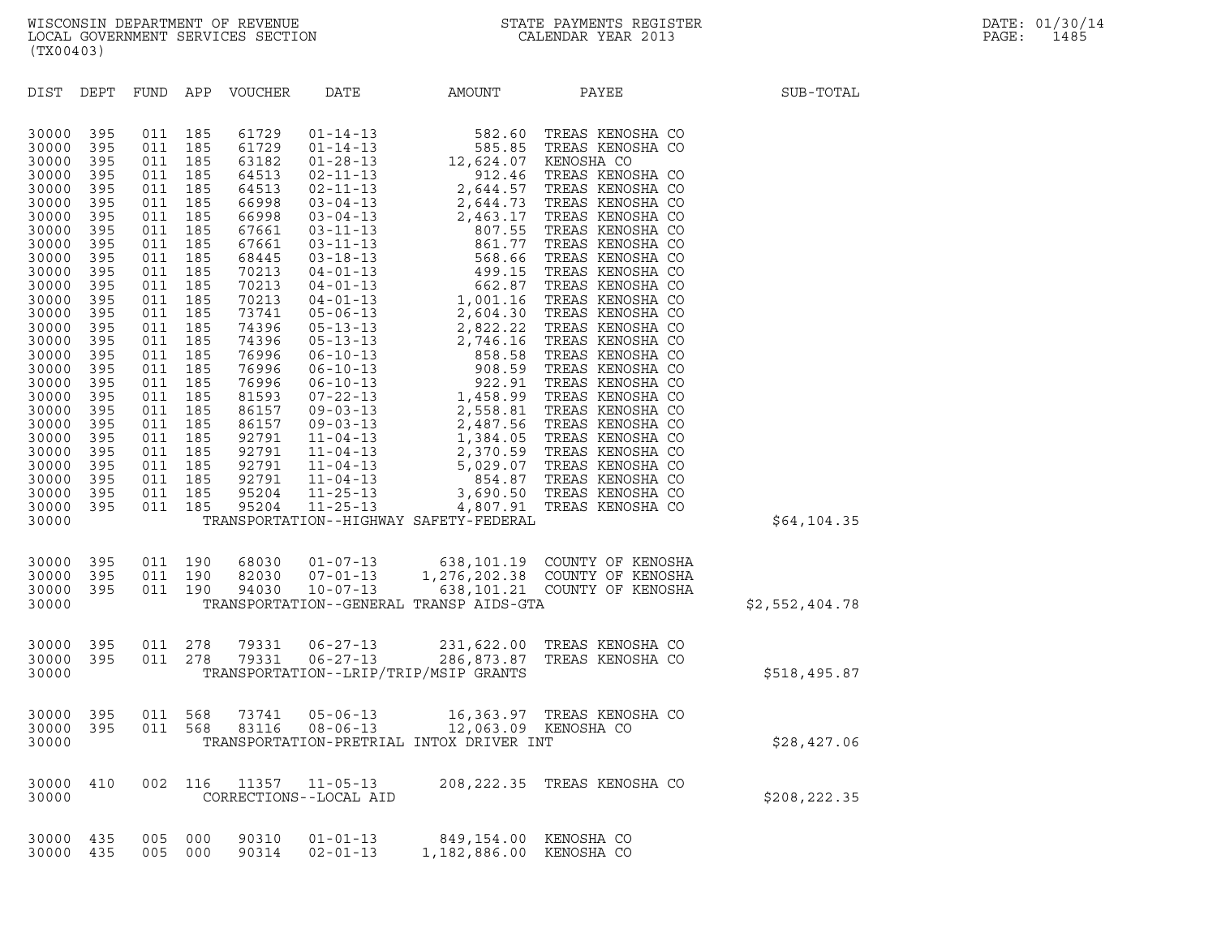| (TX00403)                                                                                                                                                                                                                                                                                                                                                                                                                                                                                                                                                                                                                                                                 |                                                                                                                                                                                                  |                                                                                                                                                                                                 |                                |                |
|---------------------------------------------------------------------------------------------------------------------------------------------------------------------------------------------------------------------------------------------------------------------------------------------------------------------------------------------------------------------------------------------------------------------------------------------------------------------------------------------------------------------------------------------------------------------------------------------------------------------------------------------------------------------------|--------------------------------------------------------------------------------------------------------------------------------------------------------------------------------------------------|-------------------------------------------------------------------------------------------------------------------------------------------------------------------------------------------------|--------------------------------|----------------|
| DIST<br>DEPT<br>FUND                                                                                                                                                                                                                                                                                                                                                                                                                                                                                                                                                                                                                                                      | APP<br>VOUCHER                                                                                                                                                                                   | DATE<br>AMOUNT                                                                                                                                                                                  | PAYEE                          | SUB-TOTAL      |
| 395<br>30000<br>011<br>30000<br>395<br>011<br>395<br>011<br>30000<br>395<br>011<br>30000<br>395<br>011<br>30000<br>395<br>011<br>30000<br>395<br>011<br>30000<br>395<br>011<br>30000<br>395<br>011<br>30000<br>395<br>011<br>30000<br>395<br>011<br>30000<br>395<br>011<br>30000<br>395<br>011<br>30000<br>395<br>011<br>30000<br>395<br>011<br>30000<br>395<br>011<br>30000<br>395<br>011<br>30000<br>395<br>011<br>30000<br>395<br>011<br>30000<br>395<br>011<br>30000<br>395<br>011<br>30000<br>395<br>011<br>30000<br>395<br>011<br>30000<br>395<br>011<br>30000<br>395<br>011<br>30000<br>395<br>011<br>30000<br>395<br>011<br>30000<br>395<br>011<br>30000<br>30000 | 185<br>185<br>185<br>185<br>185<br>185<br>185<br>185<br>185<br>185<br>185<br>185<br>185<br>185<br>185<br>185<br>185<br>185<br>185<br>185<br>185<br>185<br>185<br>185<br>185<br>185<br>185<br>185 | TRANSPORTATION--HIGHWAY SAFETY-FEDERAL                                                                                                                                                          |                                | \$64,104.35    |
| 395<br>011<br>30000<br>395<br>011<br>30000<br>30000<br>395<br>011<br>30000                                                                                                                                                                                                                                                                                                                                                                                                                                                                                                                                                                                                | 190<br>190<br>190                                                                                                                                                                                | 68030  01-07-13  638,101.19  COUNTY OF KENOSHA<br>82030  07-01-13  1,276,202.38  COUNTY OF KENOSHA<br>94030  10-07-13  638,101.21  COUNTY OF KENOSHA<br>TRANSPORTATION--GENERAL TRANSP AIDS-GTA |                                | \$2,552,404.78 |
| 395<br>011<br>30000<br>395<br>011<br>30000<br>30000                                                                                                                                                                                                                                                                                                                                                                                                                                                                                                                                                                                                                       | 278<br>79331<br>278<br>79331                                                                                                                                                                     | $06 - 27 - 13$<br>231,622.00 TREAS KENOSHA CO<br>$06 - 27 - 13$<br>286,873.87<br>TRANSPORTATION--LRIP/TRIP/MSIP GRANTS                                                                          | TREAS KENOSHA CO               | \$518,495.87   |
| 395<br>30000<br>30000<br>395<br>011<br>30000                                                                                                                                                                                                                                                                                                                                                                                                                                                                                                                                                                                                                              | 011 568<br>73741<br>568<br>83116                                                                                                                                                                 | $05 - 06 - 13$<br>16,363.97<br>$08 - 06 - 13$<br>12,063.09<br>TRANSPORTATION-PRETRIAL INTOX DRIVER INT                                                                                          | TREAS KENOSHA CO<br>KENOSHA CO | \$28,427.06    |
| 002<br>30000<br>410<br>30000                                                                                                                                                                                                                                                                                                                                                                                                                                                                                                                                                                                                                                              | 116<br>11357<br>CORRECTIONS--LOCAL AID                                                                                                                                                           | $11 - 05 - 13$<br>208, 222.35                                                                                                                                                                   | TREAS KENOSHA CO               | \$208,222.35   |
| 30000<br>435<br>005<br>30000<br>435<br>005                                                                                                                                                                                                                                                                                                                                                                                                                                                                                                                                                                                                                                | 000<br>90310<br>000<br>90314                                                                                                                                                                     | $01 - 01 - 13$<br>849,154.00<br>$02 - 01 - 13$<br>1,182,886.00                                                                                                                                  | KENOSHA CO<br>KENOSHA CO       |                |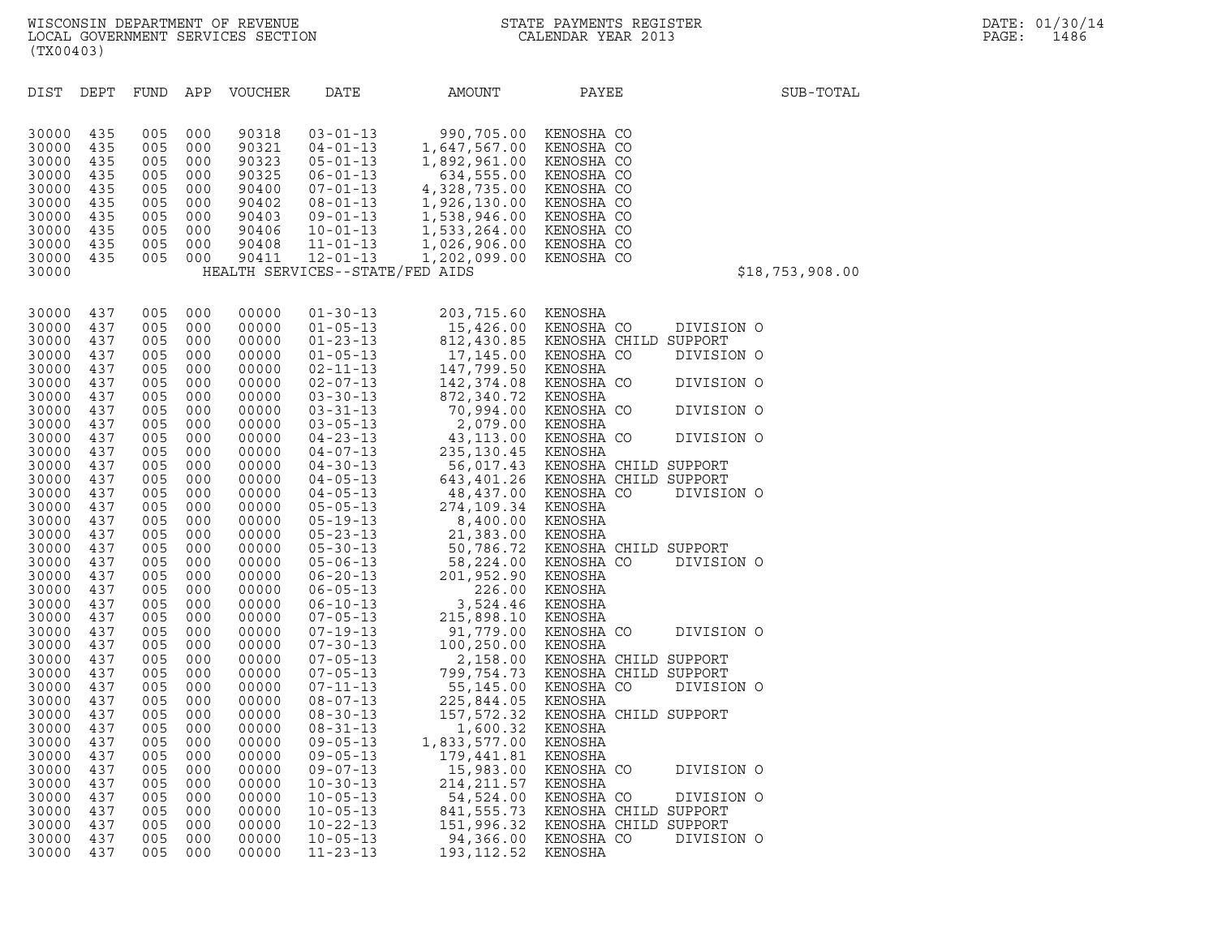| DIST           | DEPT       | FUND       | APP        | <b>VOUCHER</b> | DATE                             | AMOUNT                       | PAYEE                            | SUB-TOTAL       |
|----------------|------------|------------|------------|----------------|----------------------------------|------------------------------|----------------------------------|-----------------|
|                |            |            |            |                |                                  |                              |                                  |                 |
| 30000          | 435        | 005        | 000        | 90318          | $03 - 01 - 13$                   | 990,705.00                   | KENOSHA CO                       |                 |
| 30000          | 435        | 005        | 000        | 90321          | $04 - 01 - 13$                   | 1,647,567.00                 | KENOSHA CO                       |                 |
| 30000<br>30000 | 435<br>435 | 005<br>005 | 000<br>000 | 90323<br>90325 | $05 - 01 - 13$<br>$06 - 01 - 13$ | 1,892,961.00<br>634,555.00   | KENOSHA CO<br>KENOSHA CO         |                 |
| 30000          | 435        | 005        | 000        | 90400          | $07 - 01 - 13$                   | 4,328,735.00                 | KENOSHA CO                       |                 |
| 30000          | 435        | 005        | 000        | 90402          | $08 - 01 - 13$                   | 1,926,130.00                 | KENOSHA CO                       |                 |
| 30000          | 435        | 005        | 000        | 90403          | $09 - 01 - 13$                   | 1,538,946.00                 | KENOSHA CO                       |                 |
| 30000<br>30000 | 435<br>435 | 005<br>005 | 000<br>000 | 90406<br>90408 | $10 - 01 - 13$<br>$11 - 01 - 13$ | 1,533,264.00                 | KENOSHA CO<br>KENOSHA CO         |                 |
| 30000          | 435        | 005        | 000        | 90411          | $12 - 01 - 13$                   | 1,026,906.00<br>1,202,099.00 | KENOSHA CO                       |                 |
| 30000          |            |            |            |                | HEALTH SERVICES--STATE/FED AIDS  |                              |                                  | \$18,753,908.00 |
|                |            |            |            |                |                                  |                              |                                  |                 |
| 30000          | 437        | 005        | 000        | 00000          | $01 - 30 - 13$                   | 203,715.60                   | KENOSHA                          |                 |
| 30000          | 437        | 005        | 000        | 00000          | $01 - 05 - 13$                   | 15,426.00                    | KENOSHA CO                       | DIVISION O      |
| 30000          | 437        | 005        | 000        | 00000          | $01 - 23 - 13$                   |                              | 812,430.85 KENOSHA CHILD SUPPORT |                 |
| 30000<br>30000 | 437<br>437 | 005<br>005 | 000<br>000 | 00000<br>00000 | $01 - 05 - 13$<br>$02 - 11 - 13$ | 17,145.00<br>147,799.50      | KENOSHA CO<br>KENOSHA            | DIVISION O      |
| 30000          | 437        | 005        | 000        | 00000          | $02 - 07 - 13$                   | 142, 374.08                  | KENOSHA CO                       | DIVISION O      |
| 30000          | 437        | 005        | 000        | 00000          | $03 - 30 - 13$                   | 872,340.72                   | KENOSHA                          |                 |
| 30000          | 437        | 005        | 000        | 00000          | $03 - 31 - 13$                   | 70,994.00                    | KENOSHA CO                       | DIVISION O      |
| 30000<br>30000 | 437<br>437 | 005<br>005 | 000<br>000 | 00000<br>00000 | $03 - 05 - 13$<br>$04 - 23 - 13$ | 2,079.00<br>43,113.00        | KENOSHA<br>KENOSHA CO            | DIVISION O      |
| 30000          | 437        | 005        | 000        | 00000          | $04 - 07 - 13$                   | 235, 130.45                  | KENOSHA                          |                 |
| 30000          | 437        | 005        | 000        | 00000          | $04 - 30 - 13$                   | 56,017.43                    | KENOSHA CHILD SUPPORT            |                 |
| 30000          | 437        | 005        | 000        | 00000          | $04 - 05 - 13$                   | 643,401.26                   | KENOSHA CHILD SUPPORT            |                 |
| 30000<br>30000 | 437<br>437 | 005<br>005 | 000<br>000 | 00000<br>00000 | $04 - 05 - 13$<br>$05 - 05 - 13$ | 48,437.00<br>274,109.34      | KENOSHA CO<br>KENOSHA            | DIVISION O      |
| 30000          | 437        | 005        | 000        | 00000          | $05 - 19 - 13$                   | 8,400.00                     | KENOSHA                          |                 |
| 30000          | 437        | 005        | 000        | 00000          | $05 - 23 - 13$                   | 21,383.00                    | KENOSHA                          |                 |
| 30000          | 437        | 005        | 000        | 00000          | $05 - 30 - 13$                   | 50,786.72                    | KENOSHA CHILD SUPPORT            |                 |
| 30000<br>30000 | 437<br>437 | 005<br>005 | 000<br>000 | 00000<br>00000 | $05 - 06 - 13$<br>$06 - 20 - 13$ | 58,224.00<br>201,952.90      | KENOSHA CO<br>KENOSHA            | DIVISION O      |
| 30000          | 437        | 005        | 000        | 00000          | $06 - 05 - 13$                   | 226.00                       | KENOSHA                          |                 |
| 30000          | 437        | 005        | 000        | 00000          | $06 - 10 - 13$                   | 3,524.46                     | KENOSHA                          |                 |
| 30000          | 437        | 005        | 000        | 00000          | $07 - 05 - 13$                   | 215,898.10                   | KENOSHA                          |                 |
| 30000<br>30000 | 437<br>437 | 005<br>005 | 000<br>000 | 00000<br>00000 | $07 - 19 - 13$<br>$07 - 30 - 13$ | 91,779.00<br>100,250.00      | KENOSHA CO<br>KENOSHA            | DIVISION O      |
| 30000          | 437        | 005        | 000        | 00000          | $07 - 05 - 13$                   | 2,158.00                     | KENOSHA CHILD SUPPORT            |                 |
| 30000          | 437        | 005        | 000        | 00000          | $07 - 05 - 13$                   | 799,754.73                   | KENOSHA CHILD SUPPORT            |                 |
| 30000          | 437        | 005        | 000        | 00000          | $07 - 11 - 13$                   | 55,145.00                    | KENOSHA CO                       | DIVISION O      |
| 30000<br>30000 | 437<br>437 | 005<br>005 | 000<br>000 | 00000<br>00000 | $08 - 07 - 13$<br>$08 - 30 - 13$ | 225,844.05<br>157, 572.32    | KENOSHA<br>KENOSHA CHILD SUPPORT |                 |
| 30000          | 437        | 005        | 000        | 00000          | $08 - 31 - 13$                   | 1,600.32                     | KENOSHA                          |                 |
| 30000          | 437        | 005        | 000        | 00000          | $09 - 05 - 13$                   | 1,833,577.00                 | KENOSHA                          |                 |
| 30000          | 437        | 005        | 000        | 00000          | $09 - 05 - 13$                   | 179,441.81                   | KENOSHA                          |                 |
| 30000<br>30000 | 437<br>437 | 005<br>005 | 000<br>000 | 00000<br>00000 | $09 - 07 - 13$<br>$10 - 30 - 13$ | 15,983.00<br>214, 211.57     | KENOSHA CO<br>KENOSHA            | DIVISION O      |
| 30000          | 437        | 005        | 000        | 00000          | $10 - 05 - 13$                   | 54,524.00                    | KENOSHA CO                       | DIVISION O      |
| 30000          | 437        | 005        | 000        | 00000          | $10 - 05 - 13$                   | 841, 555.73                  | KENOSHA CHILD SUPPORT            |                 |
| 30000          | 437        | 005        | 000        | 00000          | $10 - 22 - 13$                   | 151,996.32                   | KENOSHA CHILD SUPPORT            |                 |
| 30000<br>30000 | 437<br>437 | 005<br>005 | 000<br>000 | 00000<br>00000 | $10 - 05 - 13$<br>$11 - 23 - 13$ | 94,366.00<br>193, 112.52     | KENOSHA CO<br>KENOSHA            | DIVISION O      |
|                |            |            |            |                |                                  |                              |                                  |                 |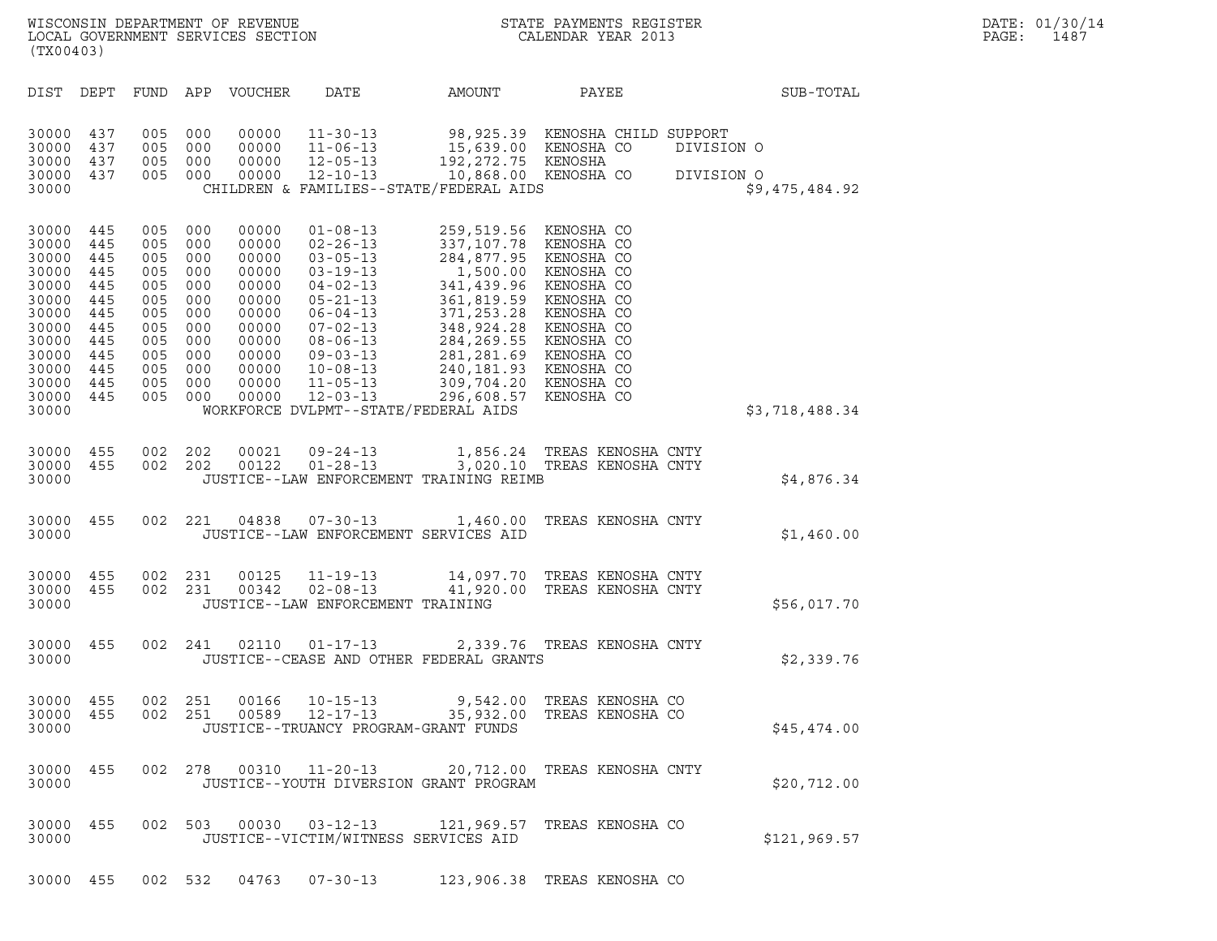| $\tt WISCONSIM DEPARTMENT OF REVENUE$ $\tt WISCONBINS REGISTER$ $\tt LOCAL BONERNMENT SERVICES SECTION$ $\tt CLLENDAR YEAR$ $2013$<br>(TX00403)                                |     |                                                                                                             |                                                      |                                                                                                                   |                                                                                                                                                                                                                                                                                |                                                                                                                                                                                                                                                                                       |                                                         |                          | DATE: 01/30/14<br>PAGE:<br>1487 |  |
|--------------------------------------------------------------------------------------------------------------------------------------------------------------------------------|-----|-------------------------------------------------------------------------------------------------------------|------------------------------------------------------|-------------------------------------------------------------------------------------------------------------------|--------------------------------------------------------------------------------------------------------------------------------------------------------------------------------------------------------------------------------------------------------------------------------|---------------------------------------------------------------------------------------------------------------------------------------------------------------------------------------------------------------------------------------------------------------------------------------|---------------------------------------------------------|--------------------------|---------------------------------|--|
| DIST DEPT                                                                                                                                                                      |     |                                                                                                             |                                                      | FUND APP VOUCHER                                                                                                  | DATE                                                                                                                                                                                                                                                                           | AMOUNT                                                                                                                                                                                                                                                                                | PAYEE                                                   |                          | SUB-TOTAL                       |  |
| 30000 437<br>30000<br>30000 437<br>30000 437<br>30000                                                                                                                          | 437 | 005 000<br>005<br>005 000<br>005 000                                                                        | 000                                                  | 00000<br>00000<br>00000<br>00000                                                                                  | $12 - 10 - 13$                                                                                                                                                                                                                                                                 | 11-30-13 98,925.39 KENOSHA CHILD SUPPORT<br>11-06-13 15,639.00 KENOSHA CO DIVISIONAL 2-05-13 192,272.75 KENOSHA<br>10,868.00 KENOSHA CO<br>CHILDREN & FAMILIES--STATE/FEDERAL AIDS                                                                                                    |                                                         | DIVISION O<br>DIVISION O | \$9,475,484.92                  |  |
| 30000 445<br>30000 445<br>30000 445<br>30000 445<br>30000 445<br>30000 445<br>30000 445<br>30000 445<br>30000 445<br>30000 445<br>30000 445<br>30000 445<br>30000 445<br>30000 |     | 005 000<br>005 000<br>005<br>005<br>005<br>005<br>005<br>005<br>005<br>005 000<br>005<br>005 000<br>005 000 | 000<br>000<br>000<br>000<br>000<br>000<br>000<br>000 | 00000<br>00000<br>00000<br>00000<br>00000<br>00000<br>00000<br>00000<br>00000<br>00000<br>00000<br>00000<br>00000 | $01 - 08 - 13$<br>$02 - 26 - 13$<br>$03 - 05 - 13$<br>$03 - 19 - 13$<br>$04 - 02 - 13$<br>$05 - 21 - 13$<br>$06 - 04 - 13$<br>$07 - 02 - 13$<br>$08 - 06 - 13$<br>$09 - 03 - 13$<br>$10 - 08 - 13$<br>$11 - 05 - 13$<br>$12 - 03 - 13$<br>WORKFORCE DVLPMT--STATE/FEDERAL AIDS | 259,519.56 KENOSHA CO<br>337,107.78 KENOSHA CO<br>284,877.95 KENOSHA CO<br>1,500.00 KENOSHA CO<br>341,439.96 KENOSHA CO<br>361,819.59 KENOSHA CO<br>371,253.28 KENOSHA CO<br>348,924.28 KENOSHA CO<br>284,269.55 KENOSHA CO<br>281,281.69 KENOSHA CO<br>240,<br>296,608.57 KENOSHA CO |                                                         |                          | \$3,718,488.34                  |  |
| 30000 455<br>30000 455<br>30000                                                                                                                                                |     | 002 202                                                                                                     | 002 202                                              |                                                                                                                   |                                                                                                                                                                                                                                                                                | 00021  09-24-13   1,856.24   TREAS KENOSHA CNTY<br>00122  01-28-13   3,020.10   TREAS KENOSHA CNTY<br>JUSTICE--LAW ENFORCEMENT TRAINING REIMB                                                                                                                                         |                                                         |                          | \$4,876.34                      |  |
| 30000 455<br>30000                                                                                                                                                             |     |                                                                                                             |                                                      |                                                                                                                   | JUSTICE--LAW ENFORCEMENT SERVICES AID                                                                                                                                                                                                                                          | 002 221 04838 07-30-13 1,460.00 TREAS KENOSHA CNTY                                                                                                                                                                                                                                    |                                                         |                          | \$1,460.00                      |  |
| 30000 455<br>30000 455<br>30000                                                                                                                                                |     | 002 231                                                                                                     | 002 231                                              |                                                                                                                   | JUSTICE--LAW ENFORCEMENT TRAINING                                                                                                                                                                                                                                              | 00125   11-19-13   14,097.70   TREAS KENOSHA   CNTY<br>00342   02-08-13   41,920.00   TREAS KENOSHA   CNTY                                                                                                                                                                            |                                                         |                          | \$56,017.70                     |  |
| 30000 455<br>30000                                                                                                                                                             |     |                                                                                                             |                                                      |                                                                                                                   | 002 241 02110 01-17-13                                                                                                                                                                                                                                                         | JUSTICE--CEASE AND OTHER FEDERAL GRANTS                                                                                                                                                                                                                                               | 2,339.76 TREAS KENOSHA CNTY                             |                          | \$2,339.76                      |  |
| 30000<br>30000 455<br>30000                                                                                                                                                    | 455 | 002                                                                                                         | 251<br>002 251                                       | 00166<br>00589                                                                                                    | $10 - 15 - 13$<br>12-17-13<br>JUSTICE--TRUANCY PROGRAM-GRANT FUNDS                                                                                                                                                                                                             |                                                                                                                                                                                                                                                                                       | 9,542.00 TREAS KENOSHA CO<br>35,932.00 TREAS KENOSHA CO |                          | \$45,474.00                     |  |
| 30000 455<br>30000                                                                                                                                                             |     |                                                                                                             |                                                      |                                                                                                                   | 002 278 00310 11-20-13                                                                                                                                                                                                                                                         | JUSTICE--YOUTH DIVERSION GRANT PROGRAM                                                                                                                                                                                                                                                | 20,712.00 TREAS KENOSHA CNTY                            |                          | \$20,712.00                     |  |
| 30000 455<br>30000                                                                                                                                                             |     |                                                                                                             | 002 503                                              | 00030                                                                                                             | $03 - 12 - 13$<br>JUSTICE--VICTIM/WITNESS SERVICES AID                                                                                                                                                                                                                         |                                                                                                                                                                                                                                                                                       | 121,969.57 TREAS KENOSHA CO                             |                          | \$121.969.57                    |  |

30000 455 002 503 00030 03-12-13 121,969.57 TREAS—KENOSHA\_CO<br>30000 JUSTICE--VICTIM/WITNESS SERVICES AID 30000 455 002 532 04763 07-30-13 123,906.38 TREAS KENOSHA CO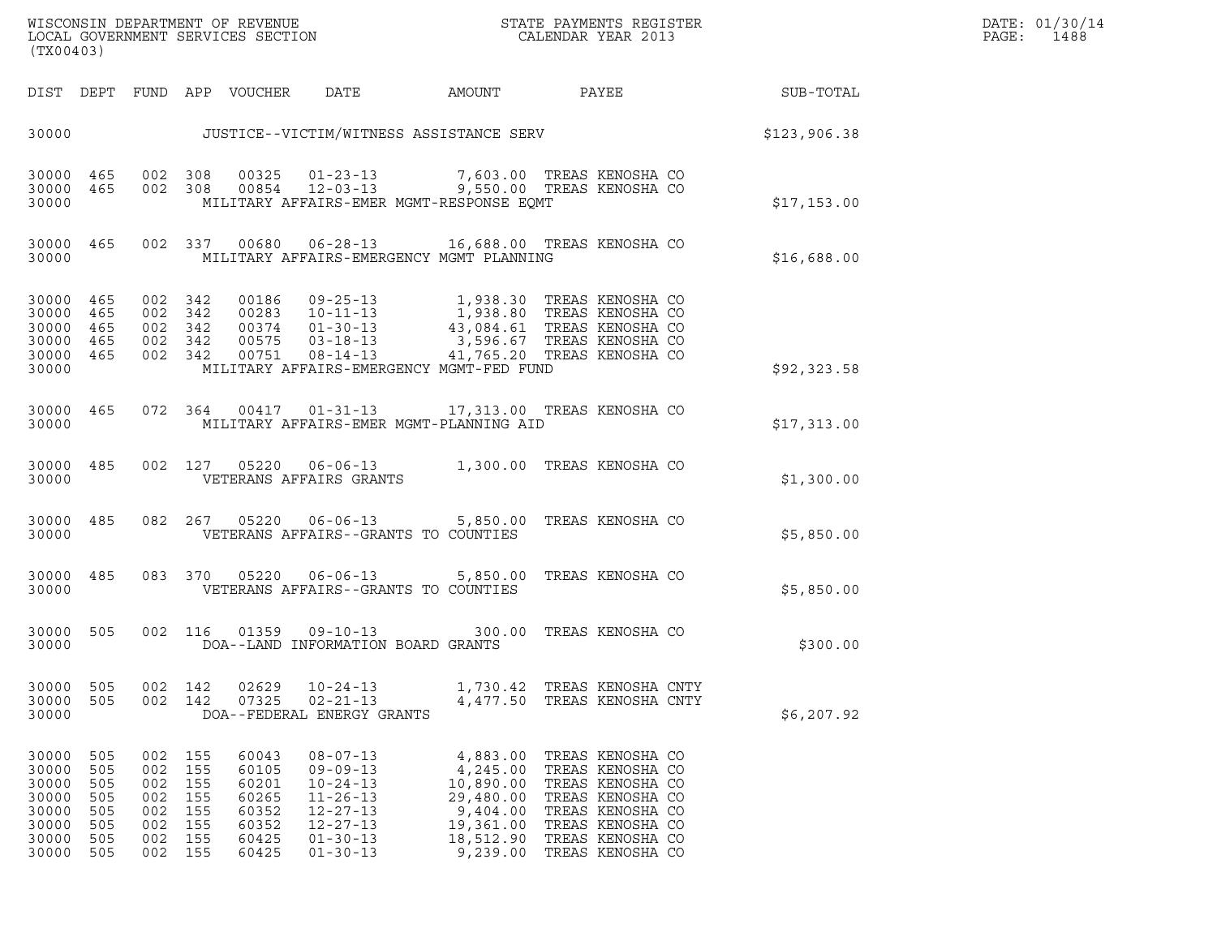| WISCONSIN DEPARTMENT OF REVENUE<br>LOCAL GOVERNMENT SERVICES SECTION<br>(TX00403) | STATE PAYMENTS REGISTER<br>CALENDAR YEAR 2013 | DATE: 01/30/14<br>PAGE:<br>1488 |
|-----------------------------------------------------------------------------------|-----------------------------------------------|---------------------------------|

| (TX00403)                                                            |                                                      |                                                      |                                                      |                                                                      |                                                                                                                                              |                                                                                                  |                                                                                                                                                              |              |
|----------------------------------------------------------------------|------------------------------------------------------|------------------------------------------------------|------------------------------------------------------|----------------------------------------------------------------------|----------------------------------------------------------------------------------------------------------------------------------------------|--------------------------------------------------------------------------------------------------|--------------------------------------------------------------------------------------------------------------------------------------------------------------|--------------|
| DIST                                                                 | DEPT                                                 |                                                      |                                                      | FUND APP VOUCHER                                                     | DATE                                                                                                                                         | AMOUNT                                                                                           | <b>PAYEE</b>                                                                                                                                                 | SUB-TOTAL    |
| 30000                                                                |                                                      |                                                      |                                                      |                                                                      |                                                                                                                                              | JUSTICE--VICTIM/WITNESS ASSISTANCE SERV                                                          |                                                                                                                                                              | \$123,906.38 |
| 30000<br>30000<br>30000                                              | 465<br>465                                           | 002<br>002                                           | 308<br>308                                           | 00325<br>00854                                                       | $01 - 23 - 13$<br>$12 - 03 - 13$                                                                                                             | MILITARY AFFAIRS-EMER MGMT-RESPONSE EQMT                                                         | 7,603.00 TREAS KENOSHA CO<br>9,550.00 TREAS KENOSHA CO                                                                                                       | \$17,153.00  |
| 30000<br>30000                                                       | 465                                                  | 002                                                  | 337                                                  | 00680                                                                | $06 - 28 - 13$                                                                                                                               | MILITARY AFFAIRS-EMERGENCY MGMT PLANNING                                                         | 16,688.00 TREAS KENOSHA CO                                                                                                                                   | \$16,688.00  |
| 30000<br>30000<br>30000<br>30000<br>30000<br>30000                   | 465<br>465<br>465<br>465<br>465                      | 002<br>002<br>002<br>002<br>002                      | 342<br>342<br>342<br>342<br>342                      | 00186<br>00751                                                       | 09-25-13<br>00283 10-11-13<br>00374 01-30-13<br>$00575$ $03-18-13$<br>$08 - 14 - 13$                                                         | MILITARY AFFAIRS-EMERGENCY MGMT-FED FUND                                                         | 1,938.30 TREAS KENOSHA CO<br>1,938.80 TREAS KENOSHA CO<br>43,084.61 TREAS KENOSHA CO<br>3,596.67 TREAS KENOSHA CO<br>41,765.20 TREAS KENOSHA CO              | \$92,323.58  |
| 30000<br>30000                                                       | 465                                                  | 072                                                  | 364                                                  | 00417                                                                | $01 - 31 - 13$                                                                                                                               | MILITARY AFFAIRS-EMER MGMT-PLANNING AID                                                          | 17,313.00 TREAS KENOSHA CO                                                                                                                                   | \$17,313.00  |
| 30000<br>30000                                                       | 485                                                  | 002                                                  | 127                                                  | 05220                                                                | $06 - 06 - 13$<br>VETERANS AFFAIRS GRANTS                                                                                                    |                                                                                                  | 1,300.00 TREAS KENOSHA CO                                                                                                                                    | \$1,300.00   |
| 30000<br>30000                                                       | 485                                                  | 082                                                  | 267                                                  | 05220                                                                | $06 - 06 - 13$<br>VETERANS AFFAIRS--GRANTS TO COUNTIES                                                                                       | 5,850.00                                                                                         | TREAS KENOSHA CO                                                                                                                                             | \$5,850.00   |
| 30000<br>30000                                                       | 485                                                  | 083                                                  | 370                                                  | 05220                                                                | $06 - 06 - 13$<br>VETERANS AFFAIRS--GRANTS TO COUNTIES                                                                                       | 5,850.00                                                                                         | TREAS KENOSHA CO                                                                                                                                             | \$5,850.00   |
| 30000<br>30000                                                       | 505                                                  | 002                                                  | 116                                                  | 01359                                                                | $09 - 10 - 13$<br>DOA--LAND INFORMATION BOARD GRANTS                                                                                         | 300.00                                                                                           | TREAS KENOSHA CO                                                                                                                                             | \$300.00     |
| 30000<br>30000<br>30000                                              | 505<br>505                                           | 002<br>002                                           | 142<br>142                                           | 02629<br>07325                                                       | $10 - 24 - 13$<br>$02 - 21 - 13$<br>DOA--FEDERAL ENERGY GRANTS                                                                               | 4,477.50                                                                                         | 1,730.42 TREAS KENOSHA CNTY<br>TREAS KENOSHA CNTY                                                                                                            | \$6, 207.92  |
| 30000<br>30000<br>30000<br>30000<br>30000<br>30000<br>30000<br>30000 | 505<br>505<br>505<br>505<br>505<br>505<br>505<br>505 | 002<br>002<br>002<br>002<br>002<br>002<br>002<br>002 | 155<br>155<br>155<br>155<br>155<br>155<br>155<br>155 | 60043<br>60105<br>60201<br>60265<br>60352<br>60352<br>60425<br>60425 | $08 - 07 - 13$<br>$09 - 09 - 13$<br>$10 - 24 - 13$<br>$11 - 26 - 13$<br>$12 - 27 - 13$<br>$12 - 27 - 13$<br>$01 - 30 - 13$<br>$01 - 30 - 13$ | 4,883.00<br>4,245.00<br>10,890.00<br>29,480.00<br>9,404.00<br>19,361.00<br>18,512.90<br>9,239.00 | TREAS KENOSHA CO<br>TREAS KENOSHA CO<br>TREAS KENOSHA CO<br>TREAS KENOSHA CO<br>TREAS KENOSHA CO<br>TREAS KENOSHA CO<br>TREAS KENOSHA CO<br>TREAS KENOSHA CO |              |

(TX00403)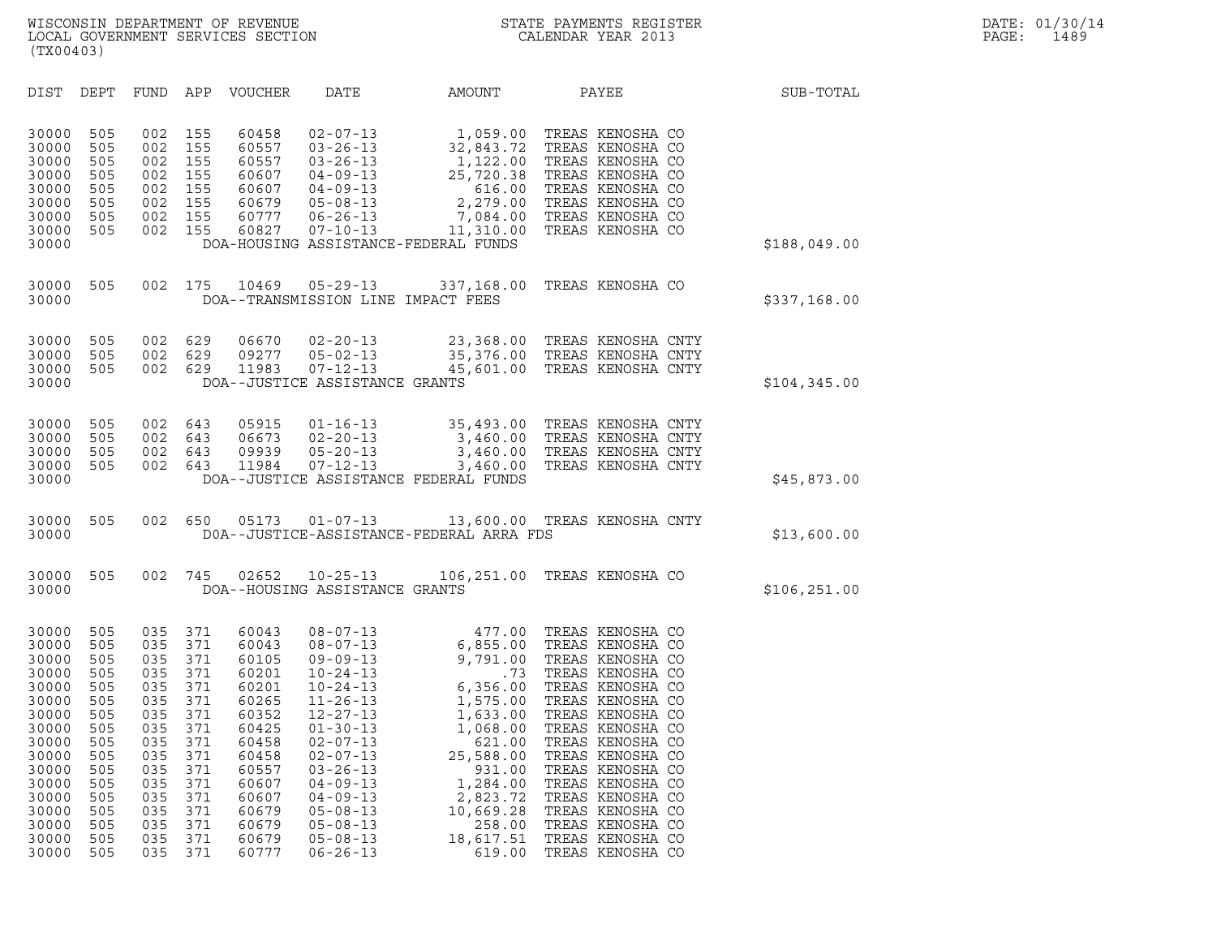| (TX00403)                                                                                                                                             |                                                                                                                     |                                                                                                                     |                                                                                                                     |                                                                                                                                                       |                                                                                                                                                                                                                                                                                                                |                                                                                                                                                                                              |                                                                                                                                                                                                                                                                                                                                                  |               |
|-------------------------------------------------------------------------------------------------------------------------------------------------------|---------------------------------------------------------------------------------------------------------------------|---------------------------------------------------------------------------------------------------------------------|---------------------------------------------------------------------------------------------------------------------|-------------------------------------------------------------------------------------------------------------------------------------------------------|----------------------------------------------------------------------------------------------------------------------------------------------------------------------------------------------------------------------------------------------------------------------------------------------------------------|----------------------------------------------------------------------------------------------------------------------------------------------------------------------------------------------|--------------------------------------------------------------------------------------------------------------------------------------------------------------------------------------------------------------------------------------------------------------------------------------------------------------------------------------------------|---------------|
| DIST                                                                                                                                                  | DEPT                                                                                                                | FUND                                                                                                                | APP                                                                                                                 | VOUCHER                                                                                                                                               | DATE                                                                                                                                                                                                                                                                                                           | AMOUNT                                                                                                                                                                                       | PAYEE                                                                                                                                                                                                                                                                                                                                            | SUB-TOTAL     |
| 30000<br>30000<br>30000<br>30000<br>30000<br>30000<br>30000<br>30000<br>30000                                                                         | 505<br>505<br>505<br>505<br>505<br>505<br>505<br>505                                                                | 002<br>002<br>002<br>002<br>002<br>002<br>002<br>002                                                                | 155<br>155<br>155<br>155<br>155<br>155<br>155<br>155                                                                | 60458<br>60557<br>60557<br>60607<br>60607<br>60679<br>60777<br>60827                                                                                  | $02 - 07 - 13$<br>$03 - 26 - 13$<br>$03 - 26 - 13$<br>$04 - 09 - 13$<br>$04 - 09 - 13$<br>$05 - 08 - 13$<br>$06 - 26 - 13$<br>$07 - 10 - 13$                                                                                                                                                                   | 1,059.00<br>32,843.72<br>1,122.00<br>25,720.38<br>616.00<br>2,279.00<br>7,084.00<br>11,310.00<br>DOA-HOUSING ASSISTANCE-FEDERAL FUNDS                                                        | TREAS KENOSHA CO<br>TREAS KENOSHA CO<br>TREAS KENOSHA CO<br>TREAS KENOSHA CO<br>TREAS KENOSHA CO<br>TREAS KENOSHA CO<br>TREAS KENOSHA CO<br>TREAS KENOSHA CO                                                                                                                                                                                     | \$188,049.00  |
| 30000<br>30000                                                                                                                                        | 505                                                                                                                 | 002                                                                                                                 | 175                                                                                                                 | 10469                                                                                                                                                 | $05 - 29 - 13$<br>DOA--TRANSMISSION LINE IMPACT FEES                                                                                                                                                                                                                                                           | 337,168.00                                                                                                                                                                                   | TREAS KENOSHA CO                                                                                                                                                                                                                                                                                                                                 | \$337,168.00  |
| 30000<br>30000<br>30000<br>30000                                                                                                                      | 505<br>505<br>505                                                                                                   | 002<br>002<br>002                                                                                                   | 629<br>629<br>629                                                                                                   | 06670<br>09277<br>11983                                                                                                                               | $02 - 20 - 13$<br>$05 - 02 - 13$<br>$07 - 12 - 13$<br>DOA--JUSTICE ASSISTANCE GRANTS                                                                                                                                                                                                                           | 35,376.00<br>45,601.00                                                                                                                                                                       | 23,368.00 TREAS KENOSHA CNTY<br>TREAS KENOSHA CNTY<br>TREAS KENOSHA CNTY                                                                                                                                                                                                                                                                         | \$104,345.00  |
| 30000<br>30000<br>30000<br>30000<br>30000                                                                                                             | 505<br>505<br>505<br>505                                                                                            | 002<br>002<br>002<br>002                                                                                            | 643<br>643<br>643<br>643                                                                                            | 05915<br>06673<br>09939<br>11984                                                                                                                      | $01 - 16 - 13$<br>$02 - 20 - 13$<br>$05 - 20 - 13$<br>$07 - 12 - 13$                                                                                                                                                                                                                                           | 3,460.00<br>3,460.00<br>3,460.00<br>DOA--JUSTICE ASSISTANCE FEDERAL FUNDS                                                                                                                    | 35,493.00 TREAS KENOSHA CNTY<br>TREAS KENOSHA CNTY<br>TREAS KENOSHA CNTY<br>TREAS KENOSHA CNTY                                                                                                                                                                                                                                                   | \$45,873.00   |
| 30000<br>30000                                                                                                                                        | 505                                                                                                                 | 002                                                                                                                 | 650                                                                                                                 | 05173                                                                                                                                                 | $01 - 07 - 13$                                                                                                                                                                                                                                                                                                 | DOA--JUSTICE-ASSISTANCE-FEDERAL ARRA FDS                                                                                                                                                     | 13,600.00 TREAS KENOSHA CNTY                                                                                                                                                                                                                                                                                                                     | \$13,600.00   |
| 30000<br>30000                                                                                                                                        | 505                                                                                                                 | 002                                                                                                                 | 745                                                                                                                 | 02652                                                                                                                                                 | $10 - 25 - 13$<br>DOA--HOUSING ASSISTANCE GRANTS                                                                                                                                                                                                                                                               | 106,251.00                                                                                                                                                                                   | TREAS KENOSHA CO                                                                                                                                                                                                                                                                                                                                 | \$106, 251.00 |
| 30000<br>30000<br>30000<br>30000<br>30000<br>30000<br>30000<br>30000<br>30000<br>30000<br>30000<br>30000<br>30000<br>30000<br>30000<br>30000<br>30000 | 505<br>505<br>505<br>505<br>505<br>505<br>505<br>505<br>505<br>505<br>505<br>505<br>505<br>505<br>505<br>505<br>505 | 035<br>035<br>035<br>035<br>035<br>035<br>035<br>035<br>035<br>035<br>035<br>035<br>035<br>035<br>035<br>035<br>035 | 371<br>371<br>371<br>371<br>371<br>371<br>371<br>371<br>371<br>371<br>371<br>371<br>371<br>371<br>371<br>371<br>371 | 60043<br>60043<br>60105<br>60201<br>60201<br>60265<br>60352<br>60425<br>60458<br>60458<br>60557<br>60607<br>60607<br>60679<br>60679<br>60679<br>60777 | $08 - 07 - 13$<br>$08 - 07 - 13$<br>$09 - 09 - 13$<br>$10 - 24 - 13$<br>$10 - 24 - 13$<br>$11 - 26 - 13$<br>$12 - 27 - 13$<br>$01 - 30 - 13$<br>$02 - 07 - 13$<br>$02 - 07 - 13$<br>$03 - 26 - 13$<br>$04 - 09 - 13$<br>$04 - 09 - 13$<br>$05 - 08 - 13$<br>$05 - 08 - 13$<br>$05 - 08 - 13$<br>$06 - 26 - 13$ | 477.00<br>6,855.00<br>9,791.00<br>.73<br>6,356.00<br>1,575.00<br>1,633.00<br>1,068.00<br>621.00<br>25,588.00<br>931.00<br>1,284.00<br>2,823.72<br>10,669.28<br>258.00<br>18,617.51<br>619.00 | TREAS KENOSHA CO<br>TREAS KENOSHA CO<br>TREAS KENOSHA CO<br>TREAS KENOSHA CO<br>TREAS KENOSHA CO<br>TREAS KENOSHA CO<br>TREAS KENOSHA CO<br>TREAS KENOSHA CO<br>TREAS KENOSHA CO<br>TREAS KENOSHA CO<br>TREAS KENOSHA CO<br>TREAS KENOSHA CO<br>TREAS KENOSHA CO<br>TREAS KENOSHA CO<br>TREAS KENOSHA CO<br>TREAS KENOSHA CO<br>TREAS KENOSHA CO |               |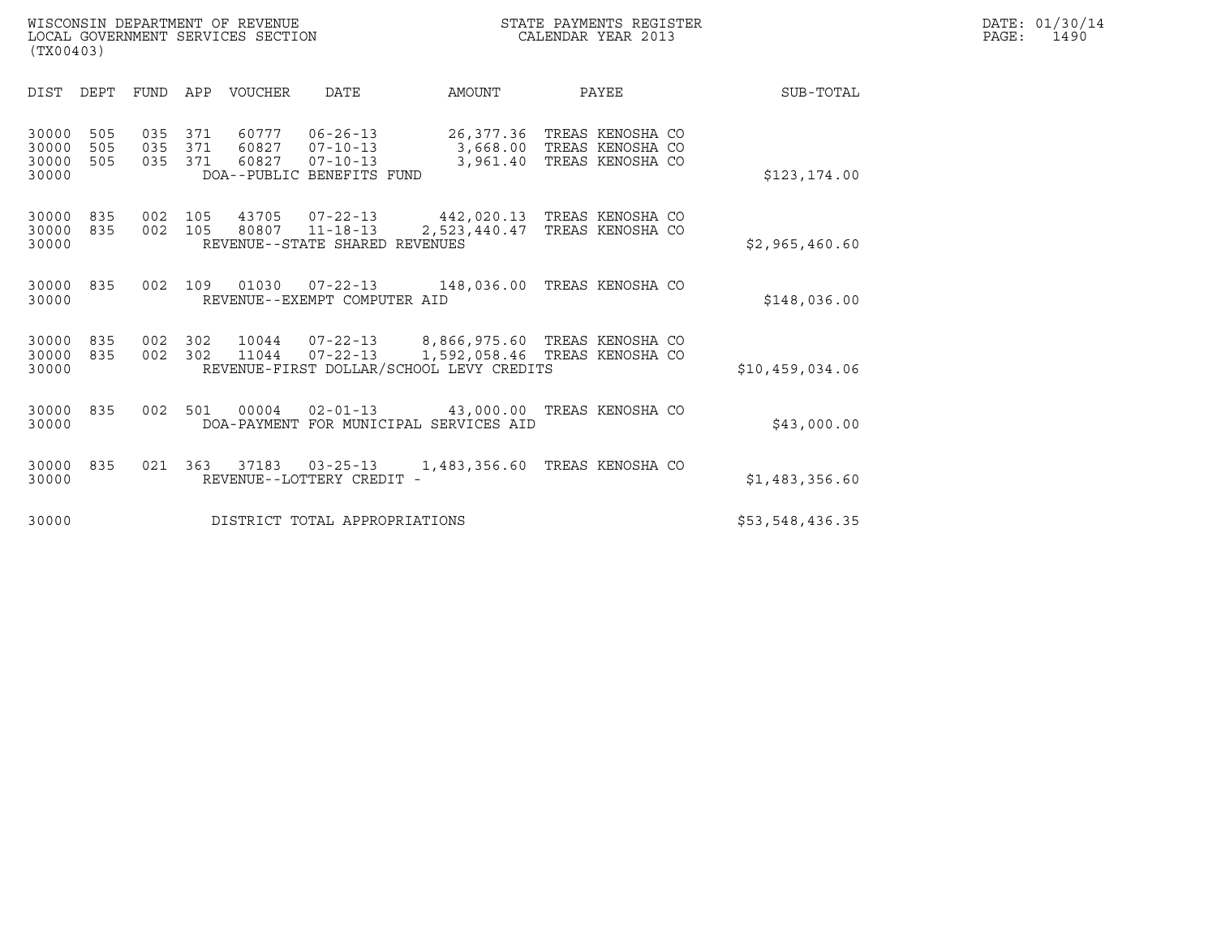|       | DATE: 01/30/14 |
|-------|----------------|
| PAGE: | 1490           |

| WISCONSIN DEPARTMENT OF REVENUE<br>LOCAL GOVERNMENT SERVICES SECTION<br>(TX00403) | STATE PAYMENTS REGISTER<br>CALENDAR YEAR 2013 | DATE: 01/30/14<br>PAGE:<br>1490 |
|-----------------------------------------------------------------------------------|-----------------------------------------------|---------------------------------|

| <b>DIST</b><br>DEPT                                   | APP<br>FUND                            | <b>VOUCHER</b><br><b>DATE</b>                                                                              | AMOUNT                            | PAYEE                                                    | SUB-TOTAL       |
|-------------------------------------------------------|----------------------------------------|------------------------------------------------------------------------------------------------------------|-----------------------------------|----------------------------------------------------------|-----------------|
| 30000<br>505<br>505<br>30000<br>505<br>30000<br>30000 | 035<br>371<br>371<br>035<br>035<br>371 | 60777<br>$06 - 26 - 13$<br>60827<br>$07 - 10 - 13$<br>60827<br>$07 - 10 - 13$<br>DOA--PUBLIC BENEFITS FUND | 26,377.36<br>3,668.00<br>3,961.40 | TREAS KENOSHA CO<br>TREAS KENOSHA CO<br>TREAS KENOSHA CO | \$123, 174.00   |
| 30000<br>835<br>30000<br>835<br>30000                 | 002<br>105<br>002<br>105               | 43705<br>$07 - 22 - 13$<br>$11 - 18 - 13$<br>80807<br>REVENUE--STATE SHARED REVENUES                       | 442,020.13<br>2,523,440.47        | TREAS KENOSHA CO<br>TREAS KENOSHA CO                     | \$2,965,460.60  |
| 30000<br>835<br>30000                                 | 002<br>109                             | 01030<br>$07 - 22 - 13$<br>REVENUE--EXEMPT COMPUTER AID                                                    | 148,036.00                        | TREAS KENOSHA CO                                         | \$148,036.00    |
| 30000<br>835<br>30000<br>835<br>30000                 | 002<br>302<br>302<br>002               | 10044<br>$07 - 22 - 13$<br>$07 - 22 - 13$<br>11044<br>REVENUE-FIRST DOLLAR/SCHOOL LEVY CREDITS             | 8,866,975.60<br>1,592,058.46      | TREAS KENOSHA CO<br>TREAS KENOSHA CO                     | \$10,459,034.06 |
| 30000<br>835<br>30000                                 | 002<br>501                             | 00004<br>$02 - 01 - 13$<br>DOA-PAYMENT FOR MUNICIPAL SERVICES AID                                          | 43,000.00 TREAS KENOSHA CO        |                                                          | \$43,000.00     |
| 30000<br>835<br>30000                                 | 021<br>363                             | 37183<br>$03 - 25 - 13$<br>REVENUE--LOTTERY CREDIT -                                                       | 1,483,356.60                      | TREAS KENOSHA CO                                         | \$1,483,356.60  |
| 30000                                                 |                                        | DISTRICT TOTAL APPROPRIATIONS                                                                              |                                   |                                                          | \$53,548,436.35 |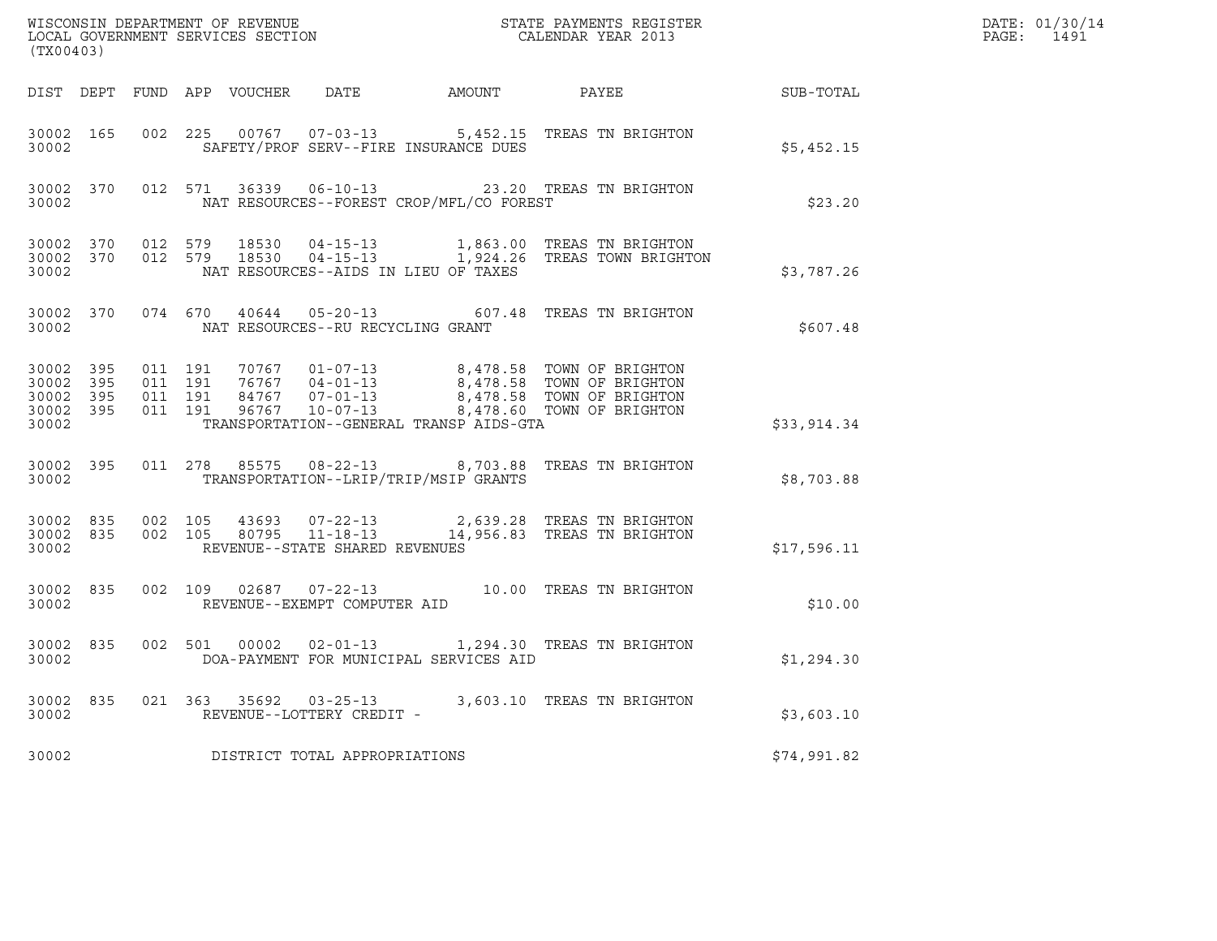| (TX00403)                       |                                |                               |         | WISCONSIN DEPARTMENT OF REVENUE<br>LOCAL GOVERNMENT SERVICES SECTION |                                          | STATE PAYMENTS REGISTER<br>CALENDAR YEAR 2013                                                                                                                                            |             | DATE: 01/30/14<br>PAGE: 1491 |
|---------------------------------|--------------------------------|-------------------------------|---------|----------------------------------------------------------------------|------------------------------------------|------------------------------------------------------------------------------------------------------------------------------------------------------------------------------------------|-------------|------------------------------|
|                                 |                                |                               |         |                                                                      |                                          |                                                                                                                                                                                          |             |                              |
| 30002 165<br>30002              |                                |                               |         |                                                                      | SAFETY/PROF SERV--FIRE INSURANCE DUES    | 002 225 00767 07-03-13 5,452.15 TREAS TN BRIGHTON                                                                                                                                        | \$5,452.15  |                              |
| 30002                           | 30002 370                      |                               |         |                                                                      | NAT RESOURCES--FOREST CROP/MFL/CO FOREST | 012 571 36339 06-10-13 23.20 TREAS TN BRIGHTON                                                                                                                                           | \$23.20     |                              |
| 30002                           |                                |                               |         |                                                                      | NAT RESOURCES--AIDS IN LIEU OF TAXES     | $30002$ $370$ $012$ $579$ $18530$ $04-15-13$ $1,863.00$ TREAS TN BRIGHTON $30002$ $370$ $012$ $579$ $18530$ $04-15-13$ $1,924.26$ TREAS TOWN BRIGHTON                                    | \$3,787.26  |                              |
| 30002                           | 30002 370                      |                               |         |                                                                      | NAT RESOURCES--RU RECYCLING GRANT        | 074 670 40644 05-20-13 607.48 TREAS TN BRIGHTON                                                                                                                                          | \$607.48    |                              |
| 30002 395<br>30002 395<br>30002 | 30002 395<br>30002 395         | 011 191<br>011 191<br>011 191 | 011 191 |                                                                      | TRANSPORTATION--GENERAL TRANSP AIDS-GTA  | 70767  01-07-13  8,478.58  TOWN OF BRIGHTON<br>76767  04-01-13  8,478.58  TOWN OF BRIGHTON<br>84767  07-01-13  8,478.58  TOWN OF BRIGHTON<br>96767  10-07-13  8,478.60  TOWN OF BRIGHTON | \$33,914.34 |                              |
| 30002                           | 30002 395                      |                               |         |                                                                      | TRANSPORTATION--LRIP/TRIP/MSIP GRANTS    | 011  278  85575  08-22-13  8,703.88  TREAS TN BRIGHTON                                                                                                                                   | \$8,703.88  |                              |
| 30002                           | 30002 835 002 105<br>30002 835 |                               | 002 105 |                                                                      | REVENUE--STATE SHARED REVENUES           | $43693$ $07-22-13$ 2,639.28 TREAS TN BRIGHTON 80795 11-18-13 14,956.83 TREAS TN BRIGHTON                                                                                                 | \$17,596.11 |                              |
| 30002 835<br>30002              |                                |                               |         |                                                                      | REVENUE--EXEMPT COMPUTER AID             | 002 109 02687 07-22-13 10.00 TREAS TN BRIGHTON                                                                                                                                           | \$10.00     |                              |
| 30002                           | 30002 835                      |                               |         |                                                                      | DOA-PAYMENT FOR MUNICIPAL SERVICES AID   | 002 501 00002 02-01-13 1,294.30 TREAS TN BRIGHTON                                                                                                                                        | \$1,294.30  |                              |
| 30002                           | 30002 835                      |                               |         |                                                                      | REVENUE--LOTTERY CREDIT -                | 021  363  35692  03-25-13  3,603.10  TREAS TN BRIGHTON                                                                                                                                   | \$3,603.10  |                              |
| 30002                           |                                |                               |         |                                                                      | DISTRICT TOTAL APPROPRIATIONS            |                                                                                                                                                                                          | \$74,991.82 |                              |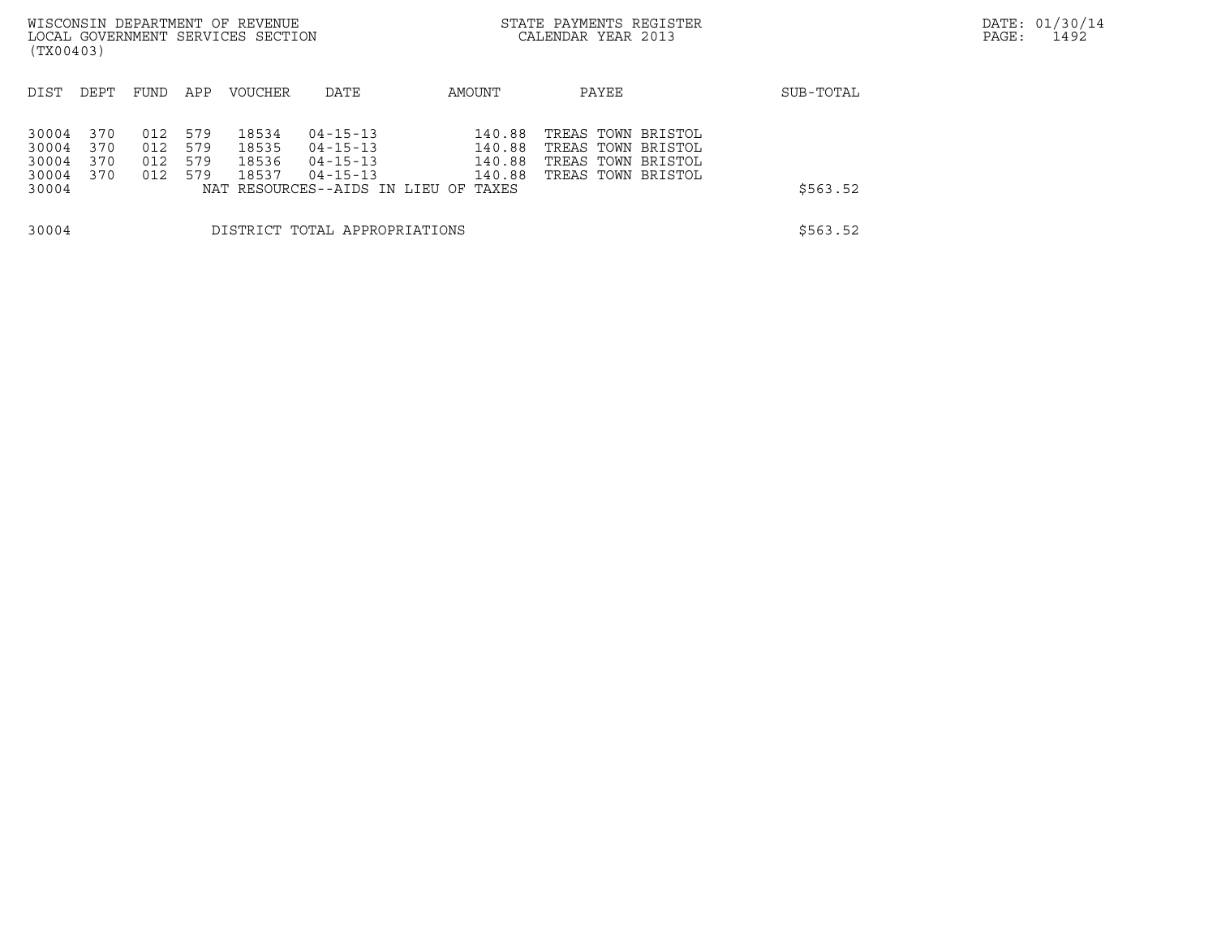|                         |                   |                   |                   | WISCONSIN DEPARTMENT OF REVENUE   |                                                    |                            | STATE PAYMENTS REGISTER                                        |  | DATE: 01/30/14 |  |
|-------------------------|-------------------|-------------------|-------------------|-----------------------------------|----------------------------------------------------|----------------------------|----------------------------------------------------------------|--|----------------|--|
| (TX00403)               |                   |                   |                   | LOCAL GOVERNMENT SERVICES SECTION |                                                    |                            | CALENDAR YEAR 2013                                             |  | PAGE:<br>1492  |  |
| DIST                    | DEPT              | FUND              | APP               | <b>VOUCHER</b>                    | DATE                                               | AMOUNT                     | PAYEE                                                          |  | SUB-TOTAL      |  |
| 30004<br>30004<br>30004 | 370<br>370<br>370 | 012<br>012<br>012 | 579<br>579<br>579 | 18534<br>18535<br>18536           | $04 - 15 - 13$<br>$04 - 15 - 13$<br>$04 - 15 - 13$ | 140.88<br>140.88<br>140.88 | TREAS TOWN BRISTOL<br>TREAS TOWN BRISTOL<br>TREAS TOWN BRISTOL |  |                |  |
| 30004<br>30004          | 370               | 012               | 579<br>NAT        | 18537                             | $04 - 15 - 13$<br>RESOURCES--AIDS IN LIEU OF       | 140.88<br>TAXES            | TREAS TOWN BRISTOL                                             |  | \$563.52       |  |
| 30004                   |                   |                   |                   |                                   | DISTRICT TOTAL APPROPRIATIONS                      |                            |                                                                |  | \$563.52       |  |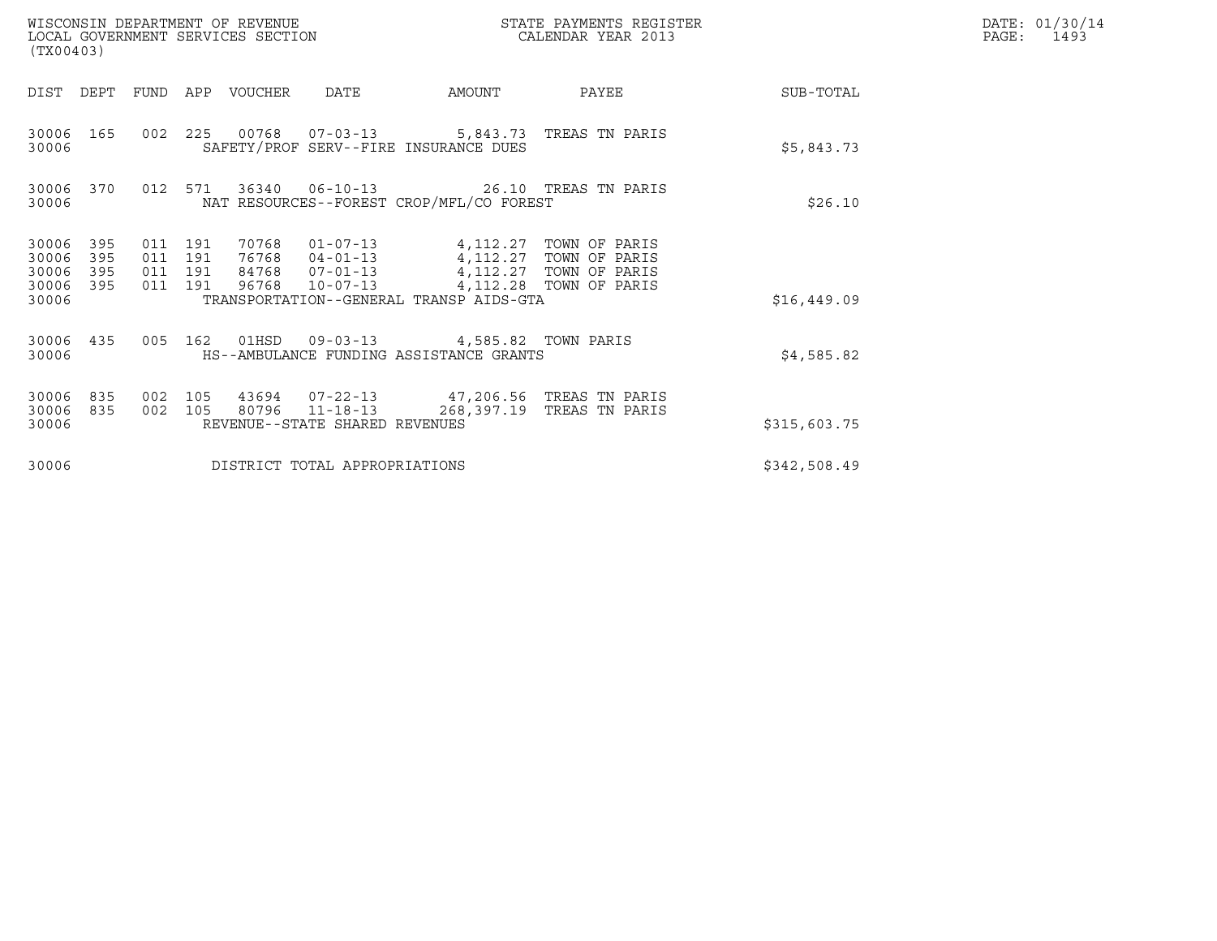| (TX00403)                                 |                          |                                          |         | WISCONSIN DEPARTMENT OF REVENUE<br>LOCAL GOVERNMENT SERVICES SECTION |                                                  |                                                                                                                                                                             | STATE PAYMENTS REGISTER<br>CALENDAR YEAR 2013 |              | DATE: 01/30/14<br>PAGE:<br>1493 |
|-------------------------------------------|--------------------------|------------------------------------------|---------|----------------------------------------------------------------------|--------------------------------------------------|-----------------------------------------------------------------------------------------------------------------------------------------------------------------------------|-----------------------------------------------|--------------|---------------------------------|
| DIST DEPT                                 |                          | FUND                                     | APP     | VOUCHER                                                              | DATE                                             | AMOUNT                                                                                                                                                                      | PAYEE                                         | SUB-TOTAL    |                                 |
| 30006<br>30006                            | 165                      |                                          |         |                                                                      | 002 225 00768 07-03-13                           | SAFETY/PROF SERV--FIRE INSURANCE DUES                                                                                                                                       | 5,843.73 TREAS TN PARIS                       | \$5,843.73   |                                 |
| 30006<br>30006                            | 370                      | 012 571                                  |         |                                                                      |                                                  | 36340  06-10-13  26.10 TREAS TN PARIS<br>NAT RESOURCES--FOREST CROP/MFL/CO FOREST                                                                                           |                                               | \$26.10      |                                 |
| 30006<br>30006<br>30006<br>30006<br>30006 | 395<br>395<br>395<br>395 | 011 191<br>011 191<br>011 191<br>011 191 |         |                                                                      | 96768 10-07-13                                   | 70768  01-07-13  4,112.27  TOWN OF PARIS<br>76768  04-01-13  4,112.27  TOWN OF PARIS<br>84768  07-01-13  4,112.27  TOWN OF PARIS<br>TRANSPORTATION--GENERAL TRANSP AIDS-GTA | 4,112.28 TOWN OF PARIS                        | \$16,449.09  |                                 |
| 30006 435<br>30006                        |                          |                                          | 005 162 |                                                                      |                                                  | 01HSD  09-03-13  4,585.82  TOWN PARIS<br>HS--AMBULANCE FUNDING ASSISTANCE GRANTS                                                                                            |                                               | \$4,585.82   |                                 |
| 30006<br>30006<br>30006                   | 835<br>835               | 002<br>002 105                           | 105     |                                                                      | 80796 11-18-13<br>REVENUE--STATE SHARED REVENUES | 43694  07-22-13  47,206.56  TREAS TN PARIS                                                                                                                                  | 268,397.19 TREAS TN PARIS                     | \$315,603.75 |                                 |
| 30006                                     |                          |                                          |         |                                                                      | DISTRICT TOTAL APPROPRIATIONS                    |                                                                                                                                                                             |                                               | \$342,508.49 |                                 |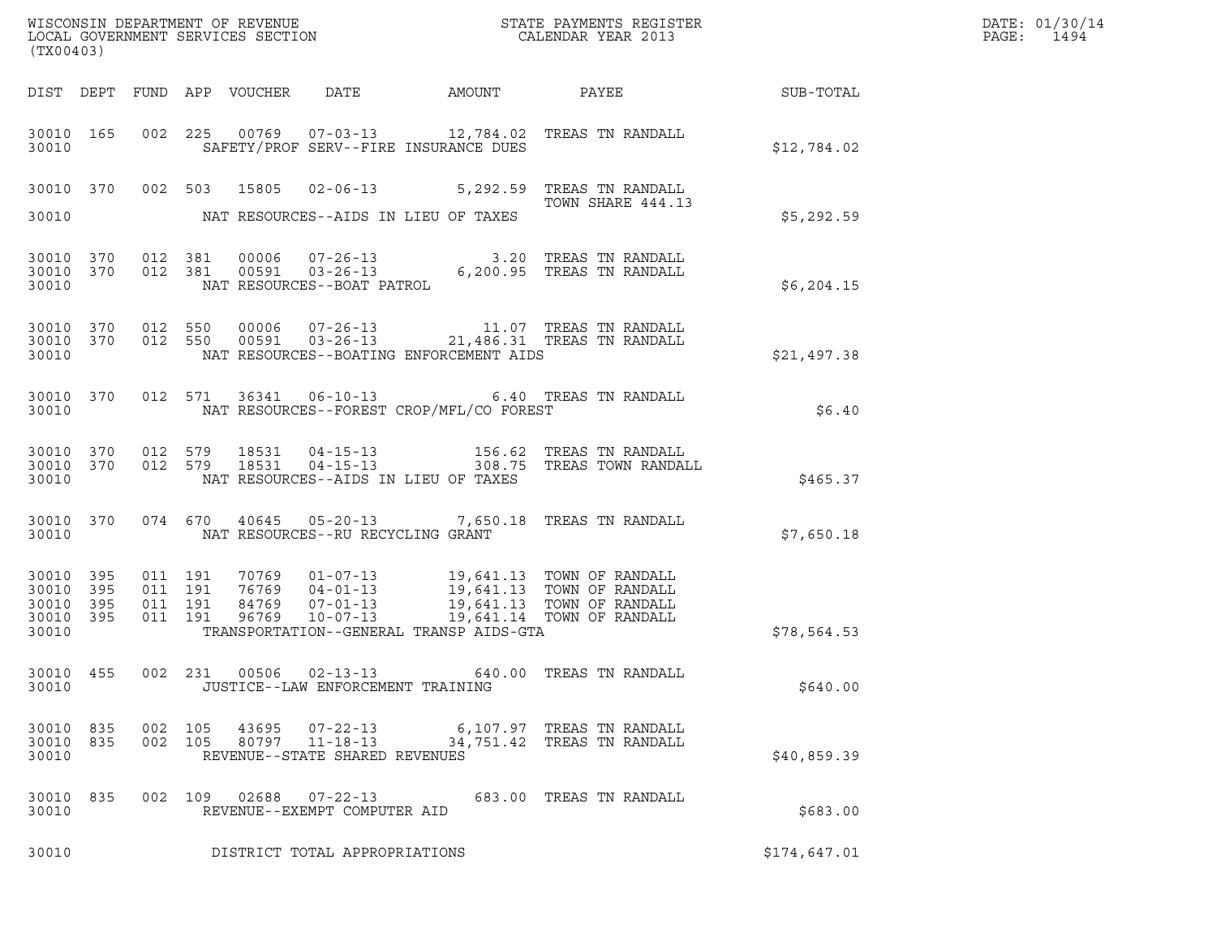| (TX00403)                                             |     |                   |                                          |                |                                                                    |                                          |                                                                                                                                                                                                      | DATE: 01/30/14<br>PAGE:<br>1494 |  |
|-------------------------------------------------------|-----|-------------------|------------------------------------------|----------------|--------------------------------------------------------------------|------------------------------------------|------------------------------------------------------------------------------------------------------------------------------------------------------------------------------------------------------|---------------------------------|--|
|                                                       |     |                   |                                          |                |                                                                    |                                          |                                                                                                                                                                                                      |                                 |  |
| 30010 165<br>30010                                    |     |                   |                                          |                |                                                                    | SAFETY/PROF SERV--FIRE INSURANCE DUES    | 002 225 00769 07-03-13 12,784.02 TREAS TN RANDALL                                                                                                                                                    | \$12,784.02                     |  |
|                                                       |     |                   |                                          |                |                                                                    |                                          | 30010 370 002 503 15805 02-06-13 5,292.59 TREAS TN RANDALL<br>TOWN SHARE 444.13                                                                                                                      |                                 |  |
| 30010                                                 |     |                   |                                          |                |                                                                    | NAT RESOURCES--AIDS IN LIEU OF TAXES     |                                                                                                                                                                                                      | \$5,292.59                      |  |
| 30010 370<br>30010                                    |     |                   | 30010 370 012 381                        |                |                                                                    |                                          | $\begin{tabular}{llllll} 012 & 381 & 00006 & 07-26-13 & 3.20 TREAS TN RANDALL \\ 012 & 381 & 00591 & 03-26-13 & 6,200.95 TREAS TN RANDALL \\ & NAT RESOURCES--BOAT PATROL \end{tabular}$             | \$6,204.15                      |  |
| 30010 370<br>30010                                    |     | 30010 370 012 550 | 012 550                                  |                |                                                                    | NAT RESOURCES--BOATING ENFORCEMENT AIDS  | $\begin{array}{cccc} 00006 & 07\text{--}26\text{--}13 & 11.07 & \text{TREAS TN RANDOM.} \\ 00591 & 03\text{--}26\text{--}13 & 21,486.31 & \text{TREAS TN RANDOM.} \end{array}$                       | \$21,497.38                     |  |
| 30010 370<br>30010                                    |     |                   |                                          |                |                                                                    | NAT RESOURCES--FOREST CROP/MFL/CO FOREST | 012 571 36341 06-10-13 6.40 TREAS TN RANDALL                                                                                                                                                         | \$6.40                          |  |
| 30010 370<br>30010 370<br>30010                       |     |                   |                                          |                |                                                                    | NAT RESOURCES--AIDS IN LIEU OF TAXES     | 012 579 18531 04-15-13 156.62 TREAS TN RANDALL<br>012 579 18531 04-15-13 308.75 TREAS TOWN RANDALL                                                                                                   | \$465.37                        |  |
| 30010 370<br>30010                                    |     |                   |                                          |                | NAT RESOURCES--RU RECYCLING GRANT                                  |                                          | 074 670 40645 05-20-13 7,650.18 TREAS TN RANDALL                                                                                                                                                     | \$7,650.18                      |  |
| 30010 395<br>30010<br>30010 395<br>30010 395<br>30010 | 395 |                   | 011 191<br>011 191<br>011 191<br>011 191 |                |                                                                    | TRANSPORTATION--GENERAL TRANSP AIDS-GTA  | 70769   01-07-13   19,641.13   TOWN OF RANDALL<br>76769   04-01-13   19,641.13   TOWN OF RANDALL<br>84769   07-01-13   19,641.13   TOWN OF RANDALL<br>96769   10-07-13   19,641.14   TOWN OF RANDALL | \$78,564.53                     |  |
| 30010 455<br>30010                                    |     |                   |                                          |                | JUSTICE--LAW ENFORCEMENT TRAINING                                  |                                          | 002 231 00506 02-13-13 640.00 TREAS TN RANDALL                                                                                                                                                       | \$640.00                        |  |
| 30010 835<br>30010 835<br>30010                       |     |                   | 002 105<br>002 105                       | 43695<br>80797 | $07 - 22 - 13$<br>$11 - 18 - 13$<br>REVENUE--STATE SHARED REVENUES |                                          | 6,107.97 TREAS TN RANDALL<br>34,751.42 TREAS TN RANDALL                                                                                                                                              | \$40,859.39                     |  |
| 30010 835<br>30010                                    |     |                   |                                          | 002 109 02688  | 07-22-13<br>REVENUE--EXEMPT COMPUTER AID                           |                                          | 683.00 TREAS TN RANDALL                                                                                                                                                                              | \$683.00                        |  |
| 30010                                                 |     |                   |                                          |                | DISTRICT TOTAL APPROPRIATIONS                                      |                                          |                                                                                                                                                                                                      | \$174,647.01                    |  |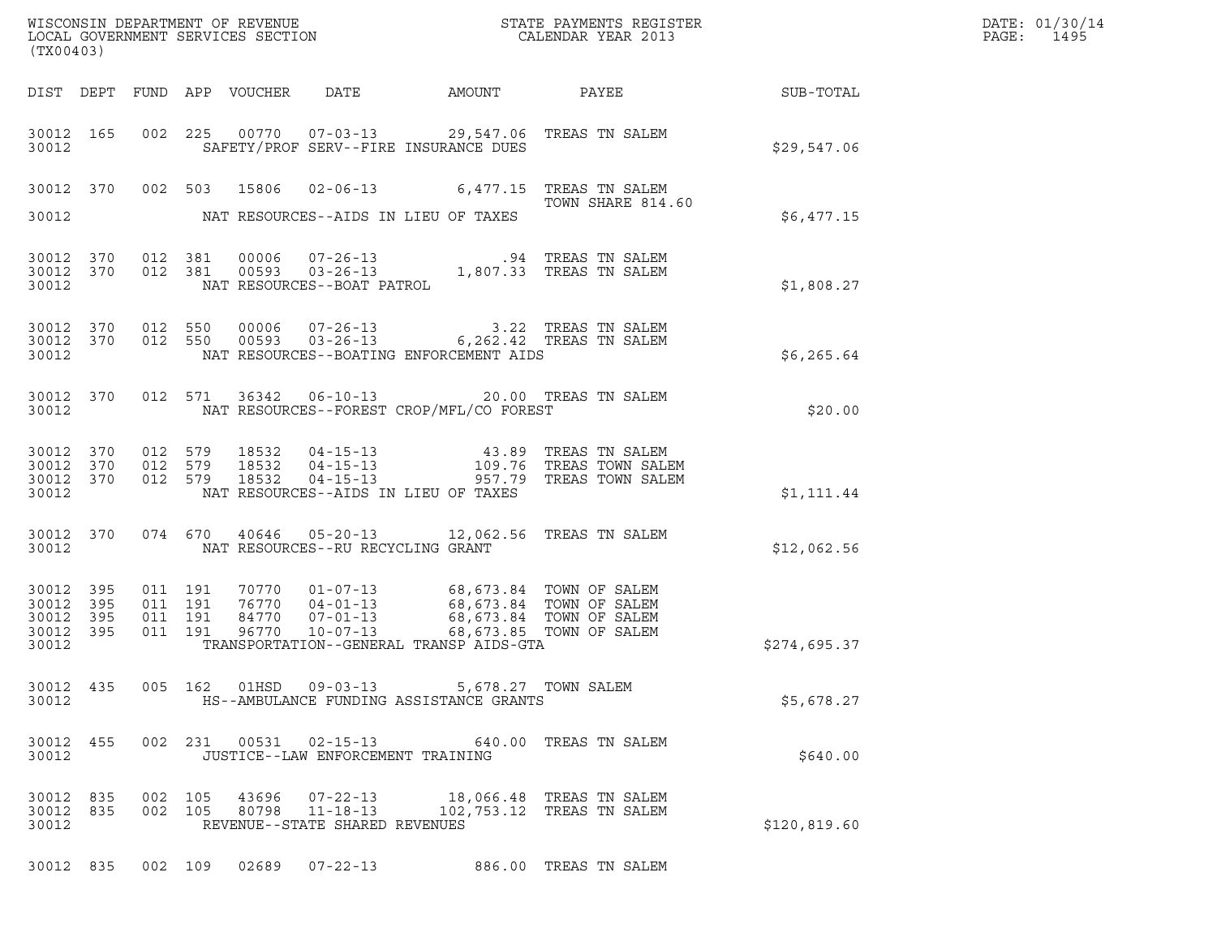| WISCONSIN DEPARTMENT OF REVENUE ${\small \begin{array}{ll} \texttt{MISCONS} \\ \texttt{LOCAL GOVERNMENT} \end{array}} {\small \begin{array}{ll} \texttt{GIVENTS} \\ \texttt{SICAL GOURRNMENT} \end{array}} {\small \begin{array}{ll} \texttt{STATE} \\ \texttt{CALENDAR} \end{array}} {\small \begin{array}{ll} \texttt{REGISTER} \\ \texttt{VELR} \end{array}}$<br>(TX00403)                           |              | DATE: 01/30/14<br>PAGE:<br>1495 |
|---------------------------------------------------------------------------------------------------------------------------------------------------------------------------------------------------------------------------------------------------------------------------------------------------------------------------------------------------------------------------------------------------------|--------------|---------------------------------|
| DIST DEPT FUND APP VOUCHER DATE AMOUNT PAYEE SUB-TOTAL                                                                                                                                                                                                                                                                                                                                                  |              |                                 |
| 30012 165 002 225 00770 07-03-13 29,547.06 TREAS TN SALEM<br>SAFETY/PROF SERV--FIRE INSURANCE DUES<br>30012                                                                                                                                                                                                                                                                                             | \$29,547.06  |                                 |
| 30012 370 002 503 15806 02-06-13 6,477.15 TREAS TN SALEM<br>TOWN SHARE 814.60                                                                                                                                                                                                                                                                                                                           |              |                                 |
| 30012 NAT RESOURCES--AIDS IN LIEU OF TAXES                                                                                                                                                                                                                                                                                                                                                              | \$6,477.15   |                                 |
| 30012 370 012 381 00006 07-26-13 .94 TREAS TN SALEM<br>30012 370 012 381 00593 03-26-13 1,807.33 TREAS TN SALEM<br>30012 NAT RESOURCES--BOAT PATROL                                                                                                                                                                                                                                                     | \$1,808.27   |                                 |
| $\begin{array}{cccccc} 30012 & 370 & 012 & 550 & 00006 & 07-26-13 & & & 3.22 & \text{TREAS TN SALEM} \\ 30012 & 370 & 012 & 550 & 00593 & 03-26-13 & & & 6,262.42 & \text{TREAS TN SALEM} \end{array}$<br>NAT RESOURCES--BOATING ENFORCEMENT AIDS<br>30012                                                                                                                                              | \$6,265.64   |                                 |
| 30012 370 012 571 36342 06-10-13 20.00 TREAS TN SALEM<br>30012 MAT RESOURCES--FOREST CROP/MFL/CO FOREST                                                                                                                                                                                                                                                                                                 | \$20.00      |                                 |
| 012 579 18532 04-15-13     43.89 TREAS TN SALEM<br>012 579 18532 04-15-13     109.76 TREAS TOWN SALEM<br>012 579 18532 04-15-13     957.79 TREAS TOWN SALEM<br>30012 370<br>30012 370<br>30012 370<br>NAT RESOURCES--AIDS IN LIEU OF TAXES<br>30012                                                                                                                                                     | \$1,111.44   |                                 |
| 30012 370 074 670 40646 05-20-13 12,062.56 TREAS TN SALEM<br>NAT RESOURCES--RU RECYCLING GRANT<br>30012                                                                                                                                                                                                                                                                                                 | \$12,062.56  |                                 |
| $\begin{array}{cccccccc} 011 & 191 & 70770 & 01-07-13 & & 68,673.84 & TOWN OF SALEM \\ 011 & 191 & 76770 & 04-01-13 & & 68,673.84 & TOWN OF SALEM \\ 011 & 191 & 84770 & 07-01-13 & & 68,673.84 & TOWN OF SALEM \\ 011 & 191 & 96770 & 10-07-13 & & & 68,673.85 & TOWN OF SALEM \\ \end{array}$<br>30012 395<br>30012 395<br>30012 395<br>30012 395<br>30012<br>TRANSPORTATION--GENERAL TRANSP AIDS-GTA | \$274,695.37 |                                 |
| 005 162 01HSD 09-03-13 5,678.27 TOWN SALEM<br>30012 435<br>30012<br>HS--AMBULANCE FUNDING ASSISTANCE GRANTS                                                                                                                                                                                                                                                                                             | \$5,678.27   |                                 |
| 002 231 00531 02-15-13 640.00 TREAS TN SALEM<br>30012 455<br>30012<br>JUSTICE--LAW ENFORCEMENT TRAINING                                                                                                                                                                                                                                                                                                 | \$640.00     |                                 |
| 30012 835<br>002 105 43696<br>07-22-13<br>18,066.48   TREAS  TN  SALEM<br>002 105 80798 11-18-13<br>30012 835<br>102,753.12 TREAS TN SALEM<br>30012<br>REVENUE--STATE SHARED REVENUES                                                                                                                                                                                                                   | \$120,819.60 |                                 |
| 30012 835 002 109 02689 07-22-13 886.00 TREAS TN SALEM                                                                                                                                                                                                                                                                                                                                                  |              |                                 |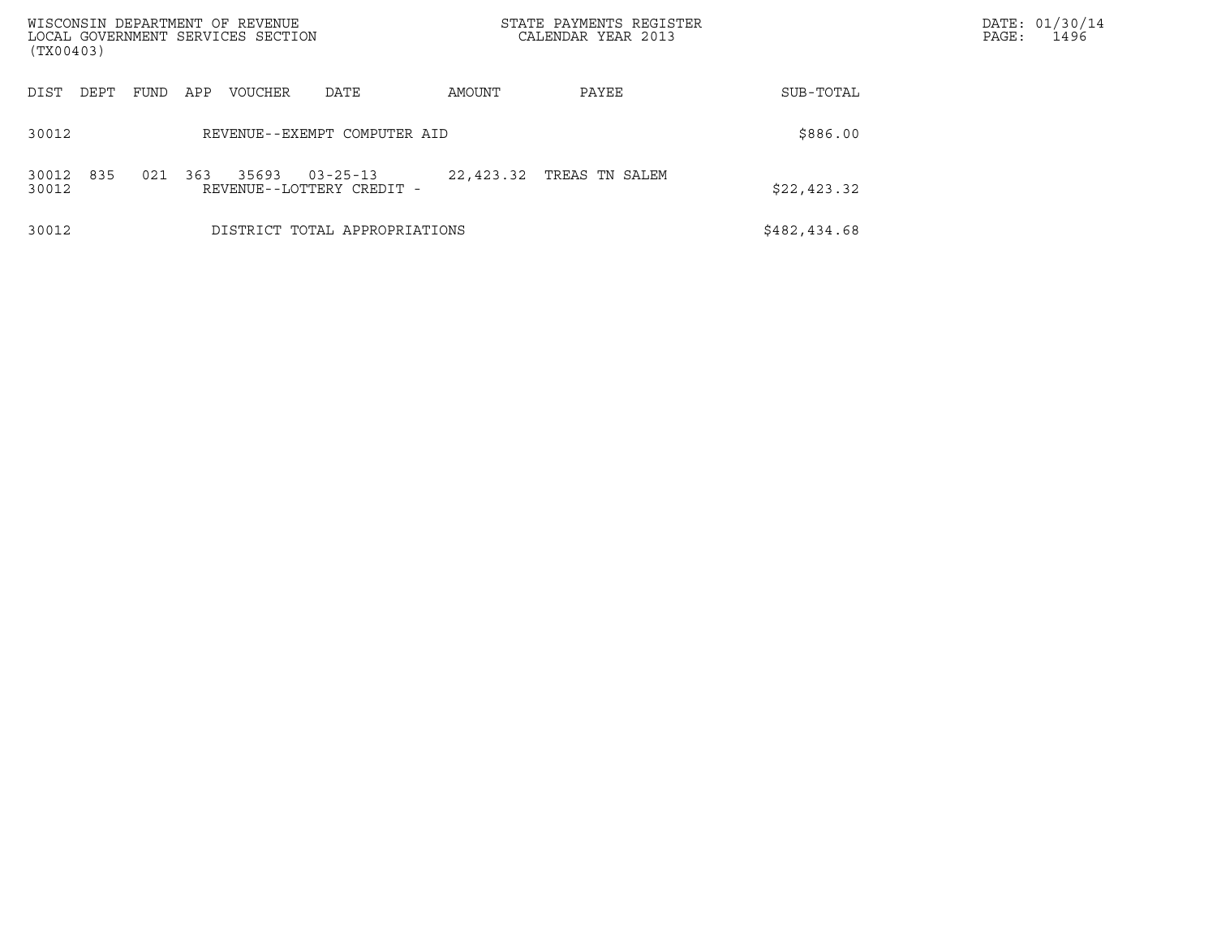| WISCONSIN DEPARTMENT OF REVENUE<br>LOCAL GOVERNMENT SERVICES SECTION<br>(TX00403) |      |     |         |                                             |           | STATE PAYMENTS REGISTER<br>CALENDAR YEAR 2013 |              | DATE: 01/30/14<br>PAGE:<br>1496 |
|-----------------------------------------------------------------------------------|------|-----|---------|---------------------------------------------|-----------|-----------------------------------------------|--------------|---------------------------------|
| DIST<br>DEPT                                                                      | FUND | APP | VOUCHER | DATE                                        | AMOUNT    | PAYEE                                         | SUB-TOTAL    |                                 |
| 30012                                                                             |      |     |         | REVENUE--EXEMPT COMPUTER AID                |           |                                               | \$886.00     |                                 |
| 835<br>30012<br>30012                                                             | 021  | 363 | 35693   | $03 - 25 - 13$<br>REVENUE--LOTTERY CREDIT - | 22,423.32 | TREAS TN SALEM                                | \$22,423.32  |                                 |
| 30012                                                                             |      |     |         | DISTRICT TOTAL APPROPRIATIONS               |           |                                               | \$482,434.68 |                                 |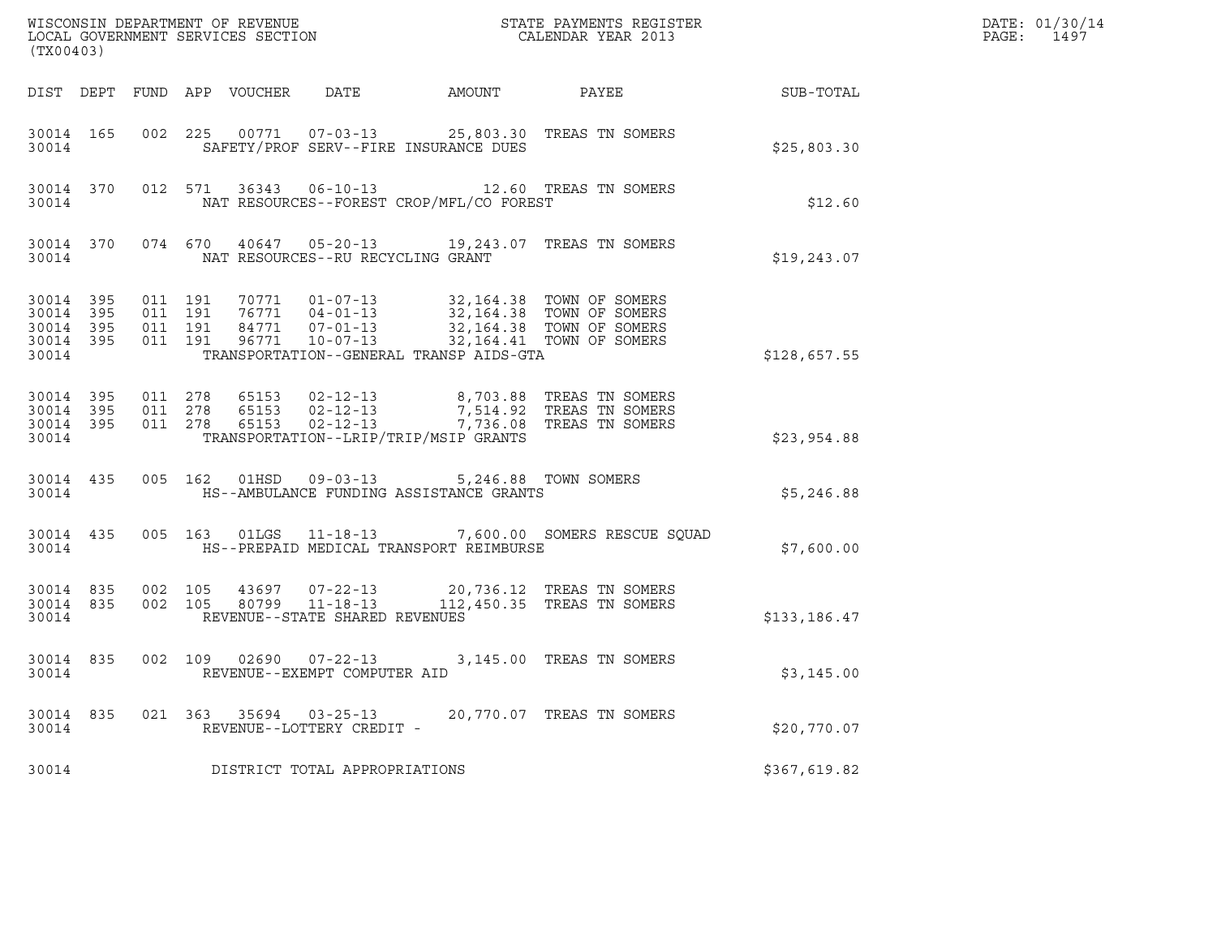| (TX00403)                                                 |           |                               |         |                                                     |                                                                                                                                                                                                                                 |                                                                                                                                                                               |              | DATE: 01/30/14<br>PAGE:<br>1497 |
|-----------------------------------------------------------|-----------|-------------------------------|---------|-----------------------------------------------------|---------------------------------------------------------------------------------------------------------------------------------------------------------------------------------------------------------------------------------|-------------------------------------------------------------------------------------------------------------------------------------------------------------------------------|--------------|---------------------------------|
|                                                           |           |                               |         |                                                     |                                                                                                                                                                                                                                 | DIST DEPT FUND APP VOUCHER DATE AMOUNT PAYEE SUB-TOTAL                                                                                                                        |              |                                 |
| 30014                                                     |           |                               |         |                                                     | SAFETY/PROF SERV--FIRE INSURANCE DUES                                                                                                                                                                                           | 30014 165 002 225 00771 07-03-13 25,803.30 TREAS TN SOMERS                                                                                                                    | \$25,803.30  |                                 |
|                                                           | 30014     |                               |         |                                                     | NAT RESOURCES--FOREST CROP/MFL/CO FOREST                                                                                                                                                                                        | 30014 370 012 571 36343 06-10-13 12.60 TREAS TN SOMERS                                                                                                                        | \$12.60      |                                 |
|                                                           | 30014     |                               |         | NAT RESOURCES--RU RECYCLING GRANT                   |                                                                                                                                                                                                                                 | 30014 370 074 670 40647 05-20-13 19,243.07 TREAS TN SOMERS                                                                                                                    | \$19,243.07  |                                 |
| 30014 395<br>30014 395<br>30014 395<br>30014 395<br>30014 |           | 011 191<br>011 191<br>011 191 | 011 191 |                                                     | 70771  01-07-13  32,164.38  TOWN OF SOMERS<br>76771  04-01-13  32,164.38  TOWN OF SOMERS<br>84771  07-01-13  32,164.38  TOWN OF SOMERS<br>96771  10-07-13  32,164.41  TOWN OF SOMERS<br>TRANSPORTATION--GENERAL TRANSP AIDS-GTA |                                                                                                                                                                               | \$128,657.55 |                                 |
| 30014 395<br>30014 395<br>30014                           | 30014 395 | 011 278                       |         |                                                     | TRANSPORTATION--LRIP/TRIP/MSIP GRANTS                                                                                                                                                                                           | 011  278  65153  02-12-13  8,703.88  TREAS TN SOMERS<br>011  278  65153  02-12-13  7,514.92  TREAS TN SOMERS<br>011  278  65153  02-12-13  7,736.08  TREAS TN SOMERS          | \$23,954.88  |                                 |
| 30014                                                     | 30014 435 |                               |         |                                                     | 005 162 01HSD 09-03-13 5,246.88 TOWN SOMERS<br>HS--AMBULANCE FUNDING ASSISTANCE GRANTS                                                                                                                                          |                                                                                                                                                                               | \$5,246.88   |                                 |
|                                                           |           |                               |         |                                                     | 30014 HS--PREPAID MEDICAL TRANSPORT REIMBURSE                                                                                                                                                                                   | 30014 435 005 163 01LGS 11-18-13 7,600.00 SOMERS RESCUE SQUAD                                                                                                                 | \$7,600.00   |                                 |
| 30014                                                     | 30014 835 | 002 105<br>30014 835 002 105  |         | REVENUE--STATE SHARED REVENUES                      |                                                                                                                                                                                                                                 | $\begin{array}{cccc} 43697 & 07\text{-}22\text{-}13 & 20,736.12 & \text{TREAS TN SOMERS} \\ 80799 & 11\text{-}18\text{-}13 & 112,450.35 & \text{TREAS TN SOMERS} \end{array}$ | \$133,186.47 |                                 |
| 30014                                                     |           |                               |         | REVENUE--EXEMPT COMPUTER AID                        |                                                                                                                                                                                                                                 | 30014 835 002 109 02690 07-22-13 3,145.00 TREAS TN SOMERS                                                                                                                     | \$3,145.00   |                                 |
| 30014 835<br>30014                                        |           |                               |         | 021 363 35694 03-25-13<br>REVENUE--LOTTERY CREDIT - |                                                                                                                                                                                                                                 | 20,770.07 TREAS TN SOMERS                                                                                                                                                     | \$20,770.07  |                                 |
| 30014                                                     |           |                               |         | DISTRICT TOTAL APPROPRIATIONS                       |                                                                                                                                                                                                                                 |                                                                                                                                                                               | \$367,619.82 |                                 |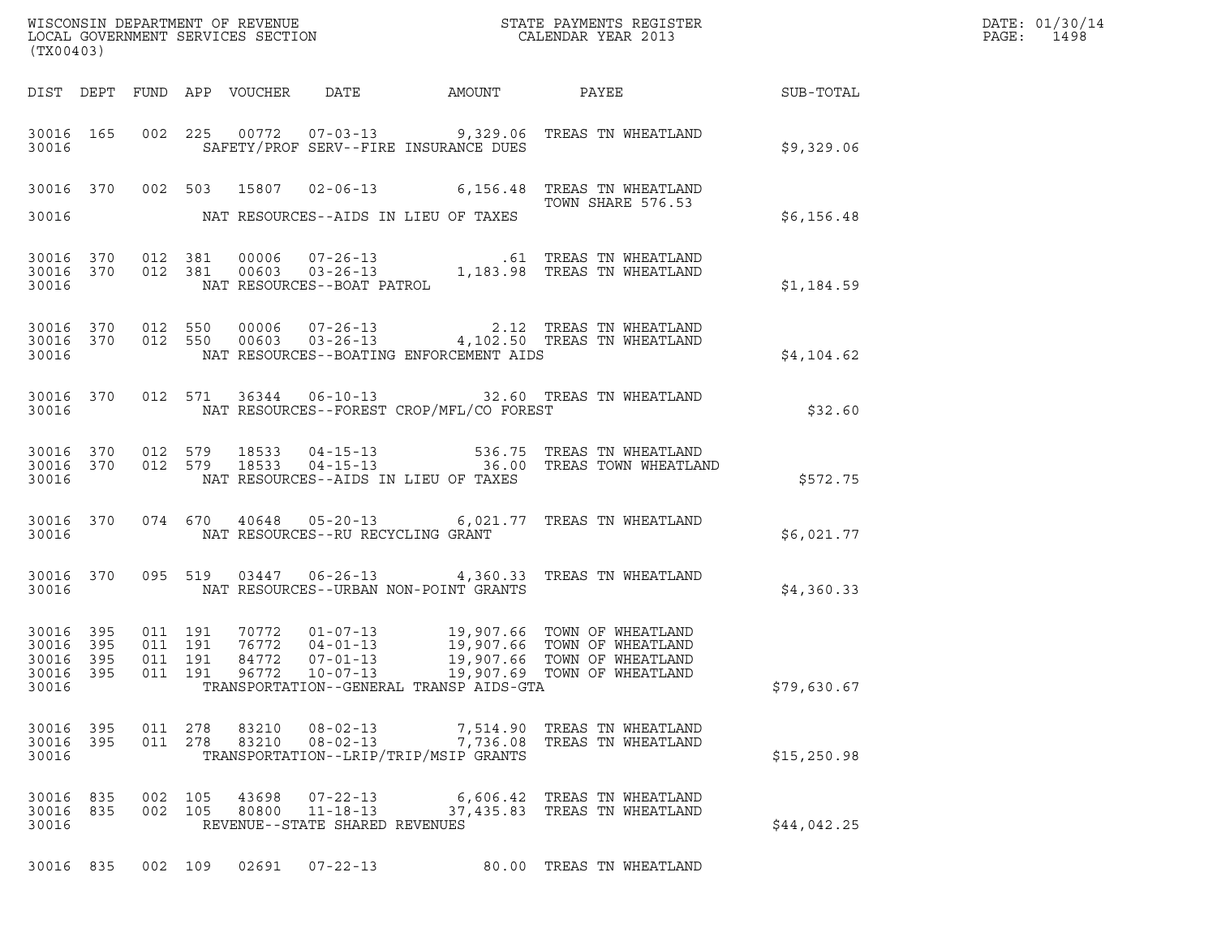|                                 |                        |                    |                    |                |                                            | WISCONSIN DEPARTMENT OF REVENUE<br>LOCAL GOVERNMENT SERVICES SECTION FOR THE STATE PAYMENTS REGISTER<br>(TWO 1403) |                                                                                                                                                                                                                                                                                                   | DATE: 01/30/14<br>PAGE:<br>1498 |  |
|---------------------------------|------------------------|--------------------|--------------------|----------------|--------------------------------------------|--------------------------------------------------------------------------------------------------------------------|---------------------------------------------------------------------------------------------------------------------------------------------------------------------------------------------------------------------------------------------------------------------------------------------------|---------------------------------|--|
| (TX00403)                       |                        |                    |                    |                |                                            |                                                                                                                    |                                                                                                                                                                                                                                                                                                   |                                 |  |
|                                 |                        |                    |                    |                |                                            |                                                                                                                    | DIST DEPT FUND APP VOUCHER DATE AMOUNT PAYEE SUB-TOTAL                                                                                                                                                                                                                                            |                                 |  |
| 30016                           |                        |                    |                    |                |                                            | SAFETY/PROF SERV--FIRE INSURANCE DUES                                                                              | 30016 165 002 225 00772 07-03-13 9,329.06 TREAS TN WHEATLAND                                                                                                                                                                                                                                      | \$9,329.06                      |  |
|                                 |                        |                    |                    |                |                                            |                                                                                                                    | 30016 370 002 503 15807 02-06-13 6,156.48 TREAS TN WHEATLAND                                                                                                                                                                                                                                      |                                 |  |
| 30016                           |                        |                    |                    |                |                                            | NAT RESOURCES--AIDS IN LIEU OF TAXES                                                                               | TOWN SHARE 576.53                                                                                                                                                                                                                                                                                 | \$6,156.48                      |  |
|                                 |                        |                    |                    |                |                                            |                                                                                                                    | $\begin{tabular}{cccc} 30016 & 370 & 012 & 381 & 00006 & 07-26-13 & .61 TREAS TN WHEREALAND \\ 30016 & 370 & 012 & 381 & 00603 & 03-26-13 & 1,183.98 TREAS TN WHERESLAND \\ & \multicolumn{3}{c} 30016 & \multicolumn{3}{c} 3016 & \multicolumn{3}{c} 3016 \end{tabular}$                         | \$1,184.59                      |  |
| 30016                           |                        |                    |                    |                |                                            | NAT RESOURCES--BOATING ENFORCEMENT AIDS                                                                            | $\begin{array}{cccccc} 3\,0\,0\,16 & 3\,70 & 0\,12 & 550 & 0\,0\,0\,6 & 0\,7\hbox{-}2\,6\hbox{-}13 & & 2.12 & \textrm{TREAS TN WHEREALAND} \\ 3\,0\,0\,16 & 3\,70 & 0\,12 & 550 & 0\,0\,6\,0\,3 & 0\,3\hbox{-}2\,6\hbox{-}13 & & 4\,1\,0\,2\hbox{-}50 & \textrm{TREAS TN WHEREILAND} \end{array}$ | \$4,104.62                      |  |
| 30016                           |                        |                    |                    |                |                                            | NAT RESOURCES--FOREST CROP/MFL/CO FOREST                                                                           | 30016 370 012 571 36344 06-10-13 32.60 TREAS TN WHEATLAND                                                                                                                                                                                                                                         | \$32.60                         |  |
| 30016                           |                        |                    |                    |                |                                            | NAT RESOURCES--AIDS IN LIEU OF TAXES                                                                               | $30016$ $370$ $012$ $579$ $18533$ $04-15-13$ $536.75$ TREAS TN WHEATLAND $30016$ $370$ $012$ $579$ $18533$ $04-15-13$ $36.00$ TREAS TOWN WHEATLAND                                                                                                                                                | \$572.75                        |  |
| 30016                           |                        |                    |                    |                | NAT RESOURCES--RU RECYCLING GRANT          |                                                                                                                    | 30016 370 074 670 40648 05-20-13 6,021.77 TREAS TN WHEATLAND                                                                                                                                                                                                                                      | \$6,021.77                      |  |
|                                 |                        | 30016 30016        |                    |                |                                            | NAT RESOURCES--URBAN NON-POINT GRANTS                                                                              | 30016 370 095 519 03447 06-26-13 4,360.33 TREAS TN WHEATLAND                                                                                                                                                                                                                                      | \$4,360.33                      |  |
| 30016 395<br>30016 395<br>30016 | 30016 395<br>30016 395 | 011 191<br>011 191 | 011 191            |                |                                            | TRANSPORTATION--GENERAL TRANSP AIDS-GTA                                                                            | 70772  01-07-13  19,907.66  TOWN OF WHEATLAND<br>76772  04-01-13  19,907.66  TOWN OF WHEATLAND<br>84772  07-01-13  19,907.66  TOWN OF WHEATLAND<br>011  191  96772  10-07-13  19,907.69  TOWN OF WHEATLAND                                                                                        | \$79,630.67                     |  |
|                                 |                        |                    |                    |                |                                            |                                                                                                                    |                                                                                                                                                                                                                                                                                                   |                                 |  |
| 30016                           | 30016 395<br>30016 395 |                    |                    |                | 011 278 83210 08-02-13                     | TRANSPORTATION--LRIP/TRIP/MSIP GRANTS                                                                              | 7,514.90 TREAS TN WHEATLAND<br>011  278  83210  08-02-13  7,736.08  TREAS TN WHEATLAND                                                                                                                                                                                                            | \$15,250.98                     |  |
| 30016 835<br>30016 835<br>30016 |                        |                    | 002 105<br>002 105 | 43698<br>80800 | 07-22-13<br>REVENUE--STATE SHARED REVENUES |                                                                                                                    | 6,606.42 TREAS TN WHEATLAND<br>11-18-13 37,435.83 TREAS TN WHEATLAND                                                                                                                                                                                                                              | \$44,042.25                     |  |
|                                 |                        |                    |                    |                |                                            |                                                                                                                    | 30016 835 002 109 02691 07-22-13 80.00 TREAS TN WHEATLAND                                                                                                                                                                                                                                         |                                 |  |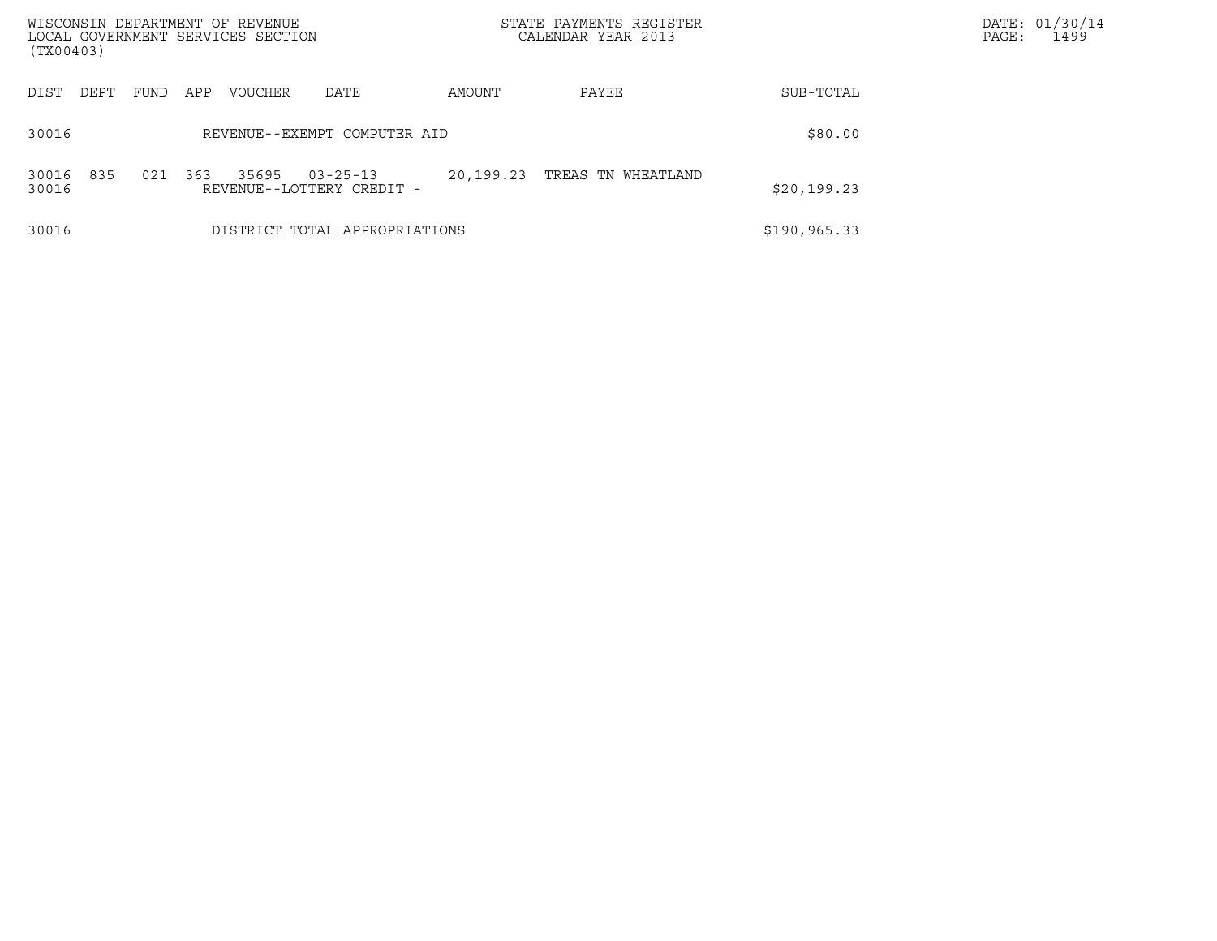| WISCONSIN DEPARTMENT OF REVENUE<br>LOCAL GOVERNMENT SERVICES SECTION<br>(TX00403) |      |     |         |                                             |           | STATE PAYMENTS REGISTER<br>CALENDAR YEAR 2013 |               | DATE: 01/30/14<br>PAGE:<br>1499 |
|-----------------------------------------------------------------------------------|------|-----|---------|---------------------------------------------|-----------|-----------------------------------------------|---------------|---------------------------------|
| DIST<br>DEPT                                                                      | FUND | APP | VOUCHER | DATE                                        | AMOUNT    | PAYEE                                         | SUB-TOTAL     |                                 |
| 30016                                                                             |      |     |         | REVENUE--EXEMPT COMPUTER AID                |           | \$80.00                                       |               |                                 |
| 835<br>30016<br>30016                                                             | 021  | 363 | 35695   | $03 - 25 - 13$<br>REVENUE--LOTTERY CREDIT - | 20,199.23 | TREAS TN WHEATLAND                            | \$20,199.23   |                                 |
| 30016                                                                             |      |     |         | DISTRICT TOTAL APPROPRIATIONS               |           |                                               | \$190, 965.33 |                                 |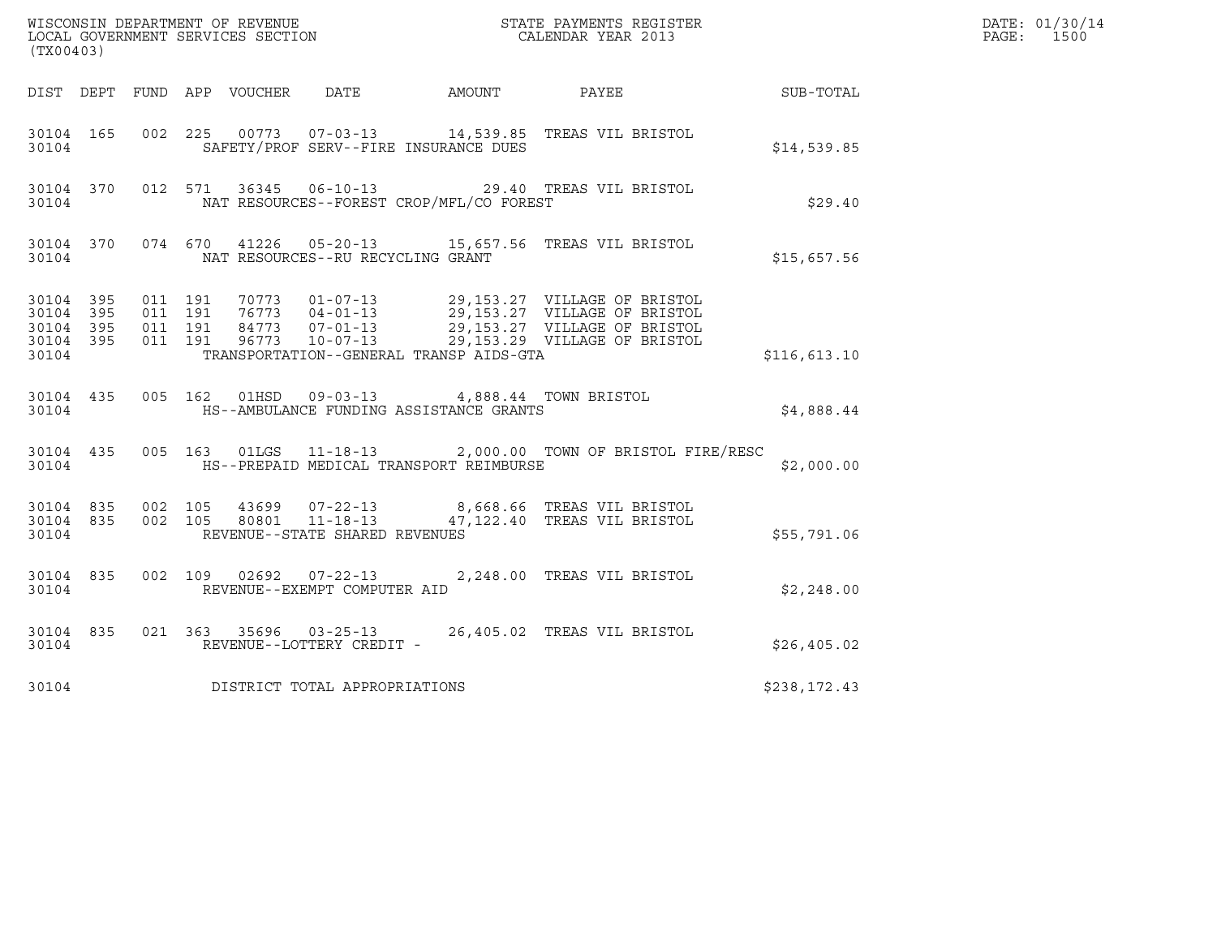| (TX00403)                                                 |                        |                    |                    |                                   |                                                                                                   | ${\tt WISCONSIN} \begin{tabular}{l} DEPARTMENT OF REVIEW \\ LOCAL BONERNMENT SERVICES SECTION \\ \end{tabular}$                                                                                      |              | DATE: 01/30/14<br>$\mathtt{PAGE:}$<br>1500 |
|-----------------------------------------------------------|------------------------|--------------------|--------------------|-----------------------------------|---------------------------------------------------------------------------------------------------|------------------------------------------------------------------------------------------------------------------------------------------------------------------------------------------------------|--------------|--------------------------------------------|
|                                                           |                        |                    |                    |                                   | DIST DEPT FUND APP VOUCHER DATE AMOUNT                                                            | PAYEE SUB-TOTAL                                                                                                                                                                                      |              |                                            |
| 30104 165<br>30104                                        |                        |                    |                    |                                   | SAFETY/PROF SERV--FIRE INSURANCE DUES                                                             | 002 225 00773 07-03-13 14,539.85 TREAS VIL BRISTOL                                                                                                                                                   | \$14,539.85  |                                            |
| 30104                                                     | 30104 370              |                    |                    |                                   | NAT RESOURCES--FOREST CROP/MFL/CO FOREST                                                          | 012 571 36345 06-10-13 29.40 TREAS VIL BRISTOL                                                                                                                                                       | \$29.40      |                                            |
| 30104                                                     | 30104 370              |                    |                    | NAT RESOURCES--RU RECYCLING GRANT |                                                                                                   | 074 670 41226 05-20-13 15,657.56 TREAS VIL BRISTOL                                                                                                                                                   | \$15,657.56  |                                            |
| 30104 395<br>30104 395<br>30104 395<br>30104 395<br>30104 |                        | 011 191<br>011 191 | 011 191<br>011 191 |                                   | TRANSPORTATION--GENERAL TRANSP AIDS-GTA                                                           | 70773  01-07-13  29,153.27  VILLAGE OF BRISTOL<br>76773  04-01-13  29,153.27  VILLAGE OF BRISTOL<br>84773  07-01-13  29,153.27  VILLAGE OF BRISTOL<br>96773  10-07-13  29,153.29  VILLAGE OF BRISTOL | \$116,613.10 |                                            |
| 30104                                                     |                        |                    |                    |                                   | 30104 435 005 162 01HSD 09-03-13 4,888.44 TOWN BRISTOL<br>HS--AMBULANCE FUNDING ASSISTANCE GRANTS |                                                                                                                                                                                                      | \$4,888.44   |                                            |
|                                                           | 30104                  |                    |                    |                                   | HS--PREPAID MEDICAL TRANSPORT REIMBURSE                                                           | 30104 435 005 163 01LGS 11-18-13 2,000.00 TOWN OF BRISTOL FIRE/RESC                                                                                                                                  | \$2,000.00   |                                            |
| 30104                                                     | 30104 835<br>30104 835 | 002 105            |                    | REVENUE--STATE SHARED REVENUES    |                                                                                                   | 43699  07-22-13  8,668.66  TREAS VIL BRISTOL<br>002 105 80801 11-18-13 47,122.40 TREAS VIL BRISTOL                                                                                                   | \$55,791.06  |                                            |
| 30104                                                     | 30104 835              |                    |                    | REVENUE--EXEMPT COMPUTER AID      |                                                                                                   | 002 109 02692 07-22-13 2,248.00 TREAS VIL BRISTOL                                                                                                                                                    | \$2,248.00   |                                            |
| 30104                                                     | 30104 835              |                    |                    | REVENUE--LOTTERY CREDIT -         |                                                                                                   | 021 363 35696 03-25-13 26,405.02 TREAS VIL BRISTOL                                                                                                                                                   | \$26,405.02  |                                            |
| 30104                                                     |                        |                    |                    | DISTRICT TOTAL APPROPRIATIONS     |                                                                                                   |                                                                                                                                                                                                      | \$238,172.43 |                                            |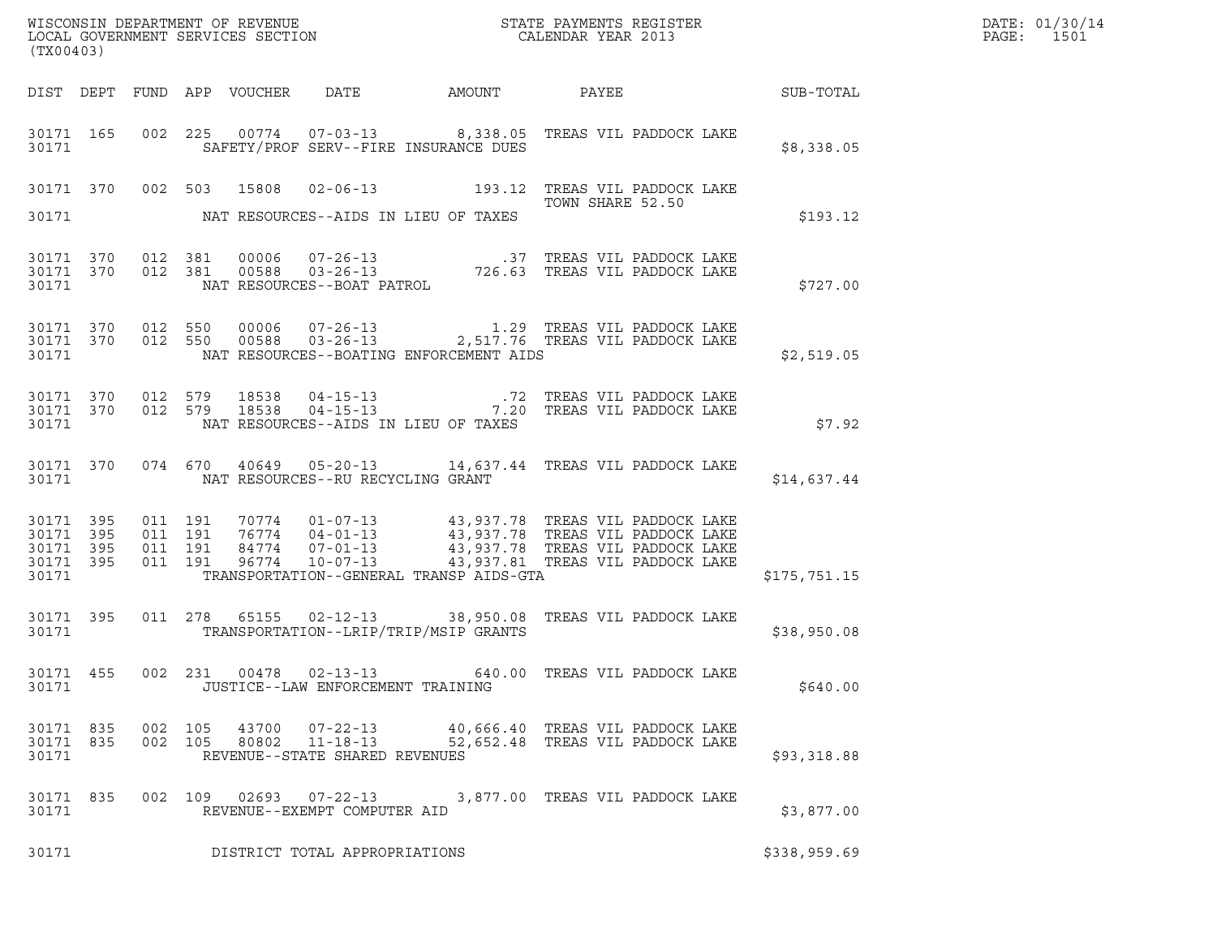| (TX00403)                                                 |                                          |                |                                                        |                                         | $\tt WISCONSIM$ DEPARTMENT OF REVENUE $$\tt STATE$ PAYMENTS REGISTER LOCAL GOVERNMENT SERVICES SECTION $$\tt CALEINDAR$ YEAR 2013                                                                                      |              | DATE: 01/30/14<br>PAGE:<br>1501 |
|-----------------------------------------------------------|------------------------------------------|----------------|--------------------------------------------------------|-----------------------------------------|------------------------------------------------------------------------------------------------------------------------------------------------------------------------------------------------------------------------|--------------|---------------------------------|
|                                                           |                                          |                |                                                        |                                         |                                                                                                                                                                                                                        |              |                                 |
| 30171                                                     |                                          |                |                                                        | SAFETY/PROF SERV--FIRE INSURANCE DUES   | 30171 165 002 225 00774 07-03-13 8,338.05 TREAS VIL PADDOCK LAKE                                                                                                                                                       | \$8,338.05   |                                 |
|                                                           |                                          |                |                                                        |                                         | 30171 370 002 503 15808 02-06-13 193.12 TREAS VIL PADDOCK LAKE<br>TOWN SHARE 52.50                                                                                                                                     |              |                                 |
|                                                           |                                          |                | 30171 NAT RESOURCES--AIDS IN LIEU OF TAXES             |                                         |                                                                                                                                                                                                                        | \$193.12     |                                 |
|                                                           |                                          |                |                                                        |                                         |                                                                                                                                                                                                                        | \$727.00     |                                 |
| 30171 370 012 550<br>30171 370 012 550<br>30171           |                                          |                |                                                        | NAT RESOURCES--BOATING ENFORCEMENT AIDS |                                                                                                                                                                                                                        | \$2,519.05   |                                 |
| 30171                                                     |                                          |                | NAT RESOURCES--AIDS IN LIEU OF TAXES                   |                                         | $\begin{array}{cccccc} 30171 & 370 & 012 & 579 & 18538 & 04-15-13 & .72 & \text{TREAS VIL PADDOCK LAKE} \\ 30171 & 370 & 012 & 579 & 18538 & 04-15-13 & .720 & \text{TREAS VIL PADDOCK LAKE} \end{array}$              | \$7.92       |                                 |
|                                                           | 30171                                    |                | NAT RESOURCES--RU RECYCLING GRANT                      |                                         | 30171 370 074 670 40649 05-20-13 14,637.44 TREAS VIL PADDOCK LAKE                                                                                                                                                      | \$14,637.44  |                                 |
| 30171 395<br>30171 395<br>30171 395<br>30171 395<br>30171 | 011 191<br>011 191<br>011 191<br>011 191 |                |                                                        | TRANSPORTATION--GENERAL TRANSP AIDS-GTA | 70774  01-07-13  43,937.78  TREAS VIL PADDOCK LAKE<br>76774  04-01-13  43,937.78  TREAS VIL PADDOCK LAKE<br>84774  07-01-13  43,937.78  TREAS VIL PADDOCK LAKE<br>96774  10-07-13    43,937.81  TREAS VIL PADDOCK LAKE | \$175,751.15 |                                 |
|                                                           |                                          |                |                                                        |                                         |                                                                                                                                                                                                                        |              |                                 |
| 30171                                                     |                                          |                |                                                        | TRANSPORTATION--LRIP/TRIP/MSIP GRANTS   | 30171 395 011 278 65155 02-12-13 38,950.08 TREAS VIL PADDOCK LAKE                                                                                                                                                      | \$38,950.08  |                                 |
| 30171 455<br>30171                                        |                                          |                | JUSTICE--LAW ENFORCEMENT TRAINING                      |                                         | 002 231 00478 02-13-13 640.00 TREAS VIL PADDOCK LAKE                                                                                                                                                                   | \$640.00     |                                 |
| 30171 835<br>30171 835<br>30171                           | 002 105<br>002 105                       | 43700<br>80802 | $11 - 18 - 13$<br>REVENUE--STATE SHARED REVENUES       |                                         | 07-22-13 40,666.40 TREAS VIL PADDOCK LAKE<br>52,652.48 TREAS VIL PADDOCK LAKE                                                                                                                                          | \$93,318.88  |                                 |
| 30171 835<br>30171                                        |                                          |                | 002 109 02693 07-22-13<br>REVENUE--EXEMPT COMPUTER AID |                                         | 3,877.00 TREAS VIL PADDOCK LAKE                                                                                                                                                                                        | \$3,877.00   |                                 |
| 30171                                                     |                                          |                | DISTRICT TOTAL APPROPRIATIONS                          |                                         |                                                                                                                                                                                                                        | \$338,959.69 |                                 |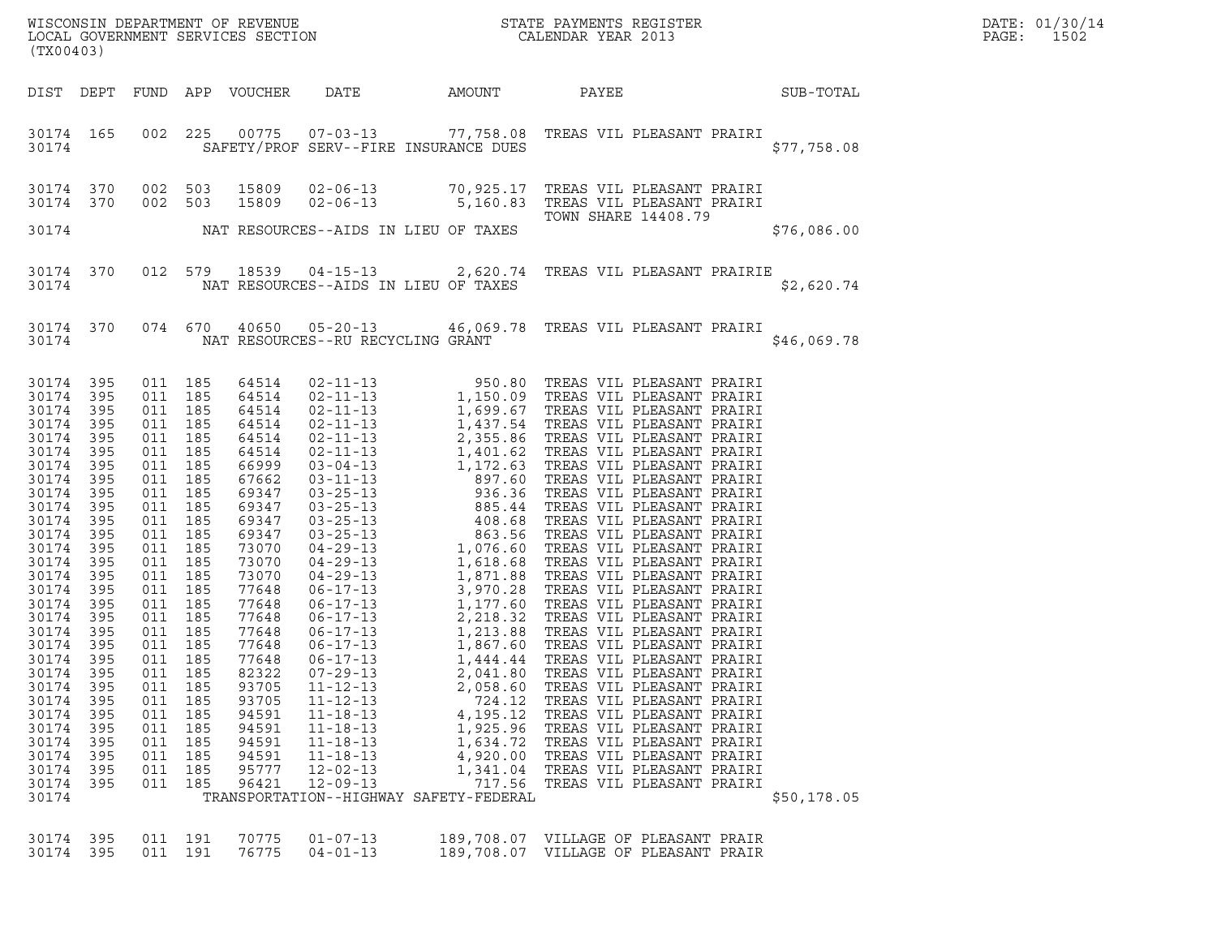| WISCONSIN DEPARTMENT OF REVENUE<br>LOCAL GOVERNMENT SERVICES SECTION CALENDAR YEAR 2013<br>(TX00403)                                                                                                                                                                                        |                                                                                                                                                                                                    |                                                                                                                                                                                                                                                                                                        |                                                      |                                                                                                                                                                                                                                                                            |                                                                                                                                                                |                                                                                                                                                |                                                                                                                                                                                                                                                                   |             | DATE: 01/30/14<br>PAGE:<br>1502 |
|---------------------------------------------------------------------------------------------------------------------------------------------------------------------------------------------------------------------------------------------------------------------------------------------|----------------------------------------------------------------------------------------------------------------------------------------------------------------------------------------------------|--------------------------------------------------------------------------------------------------------------------------------------------------------------------------------------------------------------------------------------------------------------------------------------------------------|------------------------------------------------------|----------------------------------------------------------------------------------------------------------------------------------------------------------------------------------------------------------------------------------------------------------------------------|----------------------------------------------------------------------------------------------------------------------------------------------------------------|------------------------------------------------------------------------------------------------------------------------------------------------|-------------------------------------------------------------------------------------------------------------------------------------------------------------------------------------------------------------------------------------------------------------------|-------------|---------------------------------|
|                                                                                                                                                                                                                                                                                             |                                                                                                                                                                                                    |                                                                                                                                                                                                                                                                                                        |                                                      | DIST DEPT FUND APP VOUCHER                                                                                                                                                                                                                                                 |                                                                                                                                                                | DATE AMOUNT                                                                                                                                    | PAYEE SUB-TOTAL                                                                                                                                                                                                                                                   |             |                                 |
| 30174                                                                                                                                                                                                                                                                                       | 30174 165                                                                                                                                                                                          |                                                                                                                                                                                                                                                                                                        |                                                      |                                                                                                                                                                                                                                                                            |                                                                                                                                                                | SAFETY/PROF SERV--FIRE INSURANCE DUES                                                                                                          | 002 225 00775 07-03-13 77,758.08 TREAS VIL PLEASANT PRAIRI                                                                                                                                                                                                        | \$77,758.08 |                                 |
| 30174 370<br>30174 370                                                                                                                                                                                                                                                                      |                                                                                                                                                                                                    | 002 503<br>002 503                                                                                                                                                                                                                                                                                     |                                                      |                                                                                                                                                                                                                                                                            |                                                                                                                                                                |                                                                                                                                                |                                                                                                                                                                                                                                                                   |             |                                 |
|                                                                                                                                                                                                                                                                                             |                                                                                                                                                                                                    |                                                                                                                                                                                                                                                                                                        |                                                      |                                                                                                                                                                                                                                                                            |                                                                                                                                                                | 5,160.00<br>TOWN<br>30174 NAT RESOURCES--AIDS IN LIEU OF TAXES                                                                                 | TOWN SHARE 14408.79                                                                                                                                                                                                                                               | \$76,086.00 |                                 |
| 30174                                                                                                                                                                                                                                                                                       |                                                                                                                                                                                                    |                                                                                                                                                                                                                                                                                                        |                                                      |                                                                                                                                                                                                                                                                            |                                                                                                                                                                | NAT RESOURCES--AIDS IN LIEU OF TAXES                                                                                                           | 30174 370 012 579 18539 04-15-13 2,620.74 TREAS VIL PLEASANT PRAIRIE                                                                                                                                                                                              | \$2,620.74  |                                 |
|                                                                                                                                                                                                                                                                                             |                                                                                                                                                                                                    |                                                                                                                                                                                                                                                                                                        |                                                      |                                                                                                                                                                                                                                                                            | 30174 NAT RESOURCES--RU RECYCLING GRANT                                                                                                                        |                                                                                                                                                | 30174 370 074 670 40650 05-20-13 46,069.78 TREAS VIL PLEASANT PRAIRI                                                                                                                                                                                              | \$46,069.78 |                                 |
| 30174 395<br>30174<br>30174<br>30174<br>30174<br>30174<br>30174<br>30174<br>30174<br>30174<br>30174<br>30174<br>30174<br>30174<br>30174<br>30174<br>30174<br>30174<br>30174<br>30174<br>30174 395<br>30174<br>30174<br>30174<br>30174<br>30174<br>30174<br>30174<br>30174<br>30174<br>30174 | 395<br>395<br>395<br>395<br>395<br>395<br>395<br>395<br>395<br>395<br>395<br>395<br>395<br>395<br>395<br>395<br>395<br>395<br>395<br>395<br>395<br>395<br>395<br>395<br>395<br>395<br>395<br>- 395 | 011 185<br>011 185<br>011 185<br>011 185<br>011 185<br>011 185<br>011 185<br>011 185<br>011 185<br>011 185<br>011 185<br>011 185<br>011 185<br>011 185<br>011 185<br>011 185<br>011 185<br>011 185<br>011 185<br>011 185<br>011 185<br>011<br>011<br>011<br>011<br>011<br>011<br>011<br>011<br>011 185 | 185<br>185<br>185<br>185<br>185<br>185<br>185<br>185 | 64514<br>64514<br>64514<br>64514<br>64514<br>64514<br>66999<br>67662<br>69347<br>69347<br>69347<br>69347<br>73070<br>73070<br>73070<br>77648<br>77648<br>77648<br>77648<br>77648<br>77648<br>82322<br>93705<br>93705<br>94591<br>94591<br>94591<br>94591<br>95777<br>96421 | $07 - 29 - 13$<br>$11 - 12 - 13$<br>$11 - 12 - 13$<br>$11 - 18 - 13$<br>$11 - 18 - 13$<br>$11 - 18 - 13$<br>$11 - 18 - 13$<br>$12 - 02 - 13$<br>$12 - 09 - 13$ | 2,041.80<br>2,058.60<br>724.12<br>4,195.12<br>1,925.96<br>1,634.72<br>4,920.00<br>1,341.04<br>717.56<br>TRANSPORTATION--HIGHWAY SAFETY-FEDERAL | TREAS VIL PLEASANT PRAIRI<br>TREAS VIL PLEASANT PRAIRI<br>TREAS VIL PLEASANT PRAIRI<br>TREAS VIL PLEASANT PRAIRI<br>TREAS VIL PLEASANT PRAIRI<br>TREAS VIL PLEASANT PRAIRI<br>TREAS VIL PLEASANT PRAIRI<br>TREAS VIL PLEASANT PRAIRI<br>TREAS VIL PLEASANT PRAIRI | \$50,178.05 |                                 |
| 30174<br>30174 395                                                                                                                                                                                                                                                                          | 395                                                                                                                                                                                                | 011 191<br>011 191                                                                                                                                                                                                                                                                                     |                                                      | 70775<br>76775                                                                                                                                                                                                                                                             | $01 - 07 - 13$<br>$04 - 01 - 13$                                                                                                                               |                                                                                                                                                | 189,708.07 VILLAGE OF PLEASANT PRAIR<br>189,708.07 VILLAGE OF PLEASANT PRAIR                                                                                                                                                                                      |             |                                 |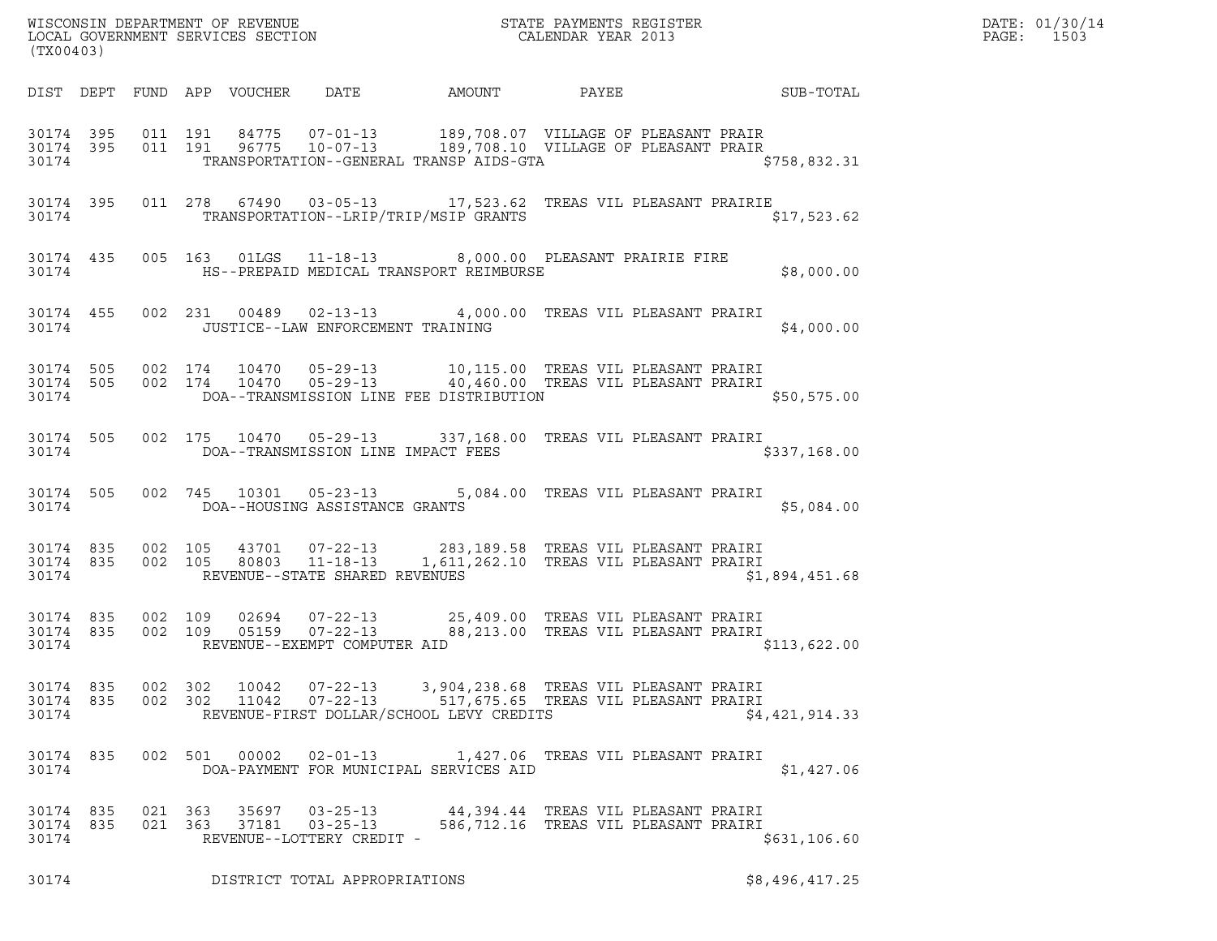| WISCONSIN DEPARTMENT OF REVENUE<br>LOCAL GOVERNMENT SERVICES SECTION | STATE PAYMENTS REGISTER<br>CALENDAR YEAR 2013 | DATE: 01/30/14<br>PAGE:<br>1503 |
|----------------------------------------------------------------------|-----------------------------------------------|---------------------------------|

|                                 | WISCONSIN DEPARTMENT OF REVENUE<br>LOCAL GOVERNMENT SERVICES SECTION THE STATE PAYMENTS REGISTER<br>(TWOO403)<br>(TX00403) |                    |         |                |                                                               |                                          |                                                                                                                                                                                                                                                                                                                                                    |                | DATE: 01/30/14<br>PAGE: 1503 |
|---------------------------------|----------------------------------------------------------------------------------------------------------------------------|--------------------|---------|----------------|---------------------------------------------------------------|------------------------------------------|----------------------------------------------------------------------------------------------------------------------------------------------------------------------------------------------------------------------------------------------------------------------------------------------------------------------------------------------------|----------------|------------------------------|
|                                 |                                                                                                                            |                    |         |                |                                                               |                                          | DIST DEPT FUND APP VOUCHER DATE AMOUNT PAYEE PAYES                                                                                                                                                                                                                                                                                                 |                |                              |
|                                 |                                                                                                                            |                    |         |                |                                                               |                                          | 30174 395 011 191 84775 07-01-13 189,708.07 VILLAGE OF PLEASANT PRAIR<br>30174 395 011 191 96775 10-07-13 189,708.10 VILLAGE OF PLEASANT PRAIR<br>30174 TRANSPORTATION--GENERAL TRANSP AIDS-GTA \$758,832.31                                                                                                                                       |                |                              |
|                                 |                                                                                                                            |                    |         |                |                                                               |                                          | 30174 395 011 278 67490 03-05-13 17,523.62 TREAS VIL PLEASANT PRAIRIE<br>30174 TRANSPORTATION--LRIP/TRIP/MSIP GRANTS                                                                                                                                                                                                                               | \$17,523.62    |                              |
|                                 |                                                                                                                            |                    |         |                |                                                               |                                          | 30174 435 005 163 01LGS 11-18-13 8,000.00 PLEASANT PRAIRIE FIRE<br>30174 58,000.00 HS--PREPAID MEDICAL TRANSPORT REIMBURSE                                                                                                                                                                                                                         |                |                              |
|                                 |                                                                                                                            |                    |         |                |                                                               | 30174 JUSTICE--LAW ENFORCEMENT TRAINING  | 30174 455 002 231 00489 02-13-13 4,000.00 TREAS VIL PLEASANT PRAIRI                                                                                                                                                                                                                                                                                | \$4,000.00     |                              |
|                                 |                                                                                                                            |                    |         |                |                                                               |                                          | $\begin{array}{cccccc} 3\,0\,1\,74 & 5\,0\,5 & 0\,0\,2 & 1\,74 & 1\,0\,4\,7\,0 & 0\,5\,{-}\,2\,9\,{-}\,13 & 1\,0\,,\,1\,1\,5\,.00 & \text{TREAS VII PLEASANT PRAIRI} \\ 3\,0\,1\,74 & 5\,0\,5 & 0\,0\,2 & 1\,74 & 1\,0\,4\,7\,0 & 0\,5\,{-}\,2\,9\,{-}\,13 & 4\,0\,,\,4\,6\,0\,.00 & \text{TREAS$<br>30174 DOA--TRANSMISSION LINE FEE DISTRIBUTION | \$50,575.00    |                              |
|                                 |                                                                                                                            |                    |         |                |                                                               | 30174 DOA--TRANSMISSION LINE IMPACT FEES | 30174 505 002 175 10470 05-29-13 337,168.00 TREAS VIL PLEASANT PRAIRI                                                                                                                                                                                                                                                                              | \$337,168.00   |                              |
|                                 |                                                                                                                            |                    |         |                |                                                               | 30174 DOA--HOUSING ASSISTANCE GRANTS     | 30174 505 002 745 10301 05-23-13 5,084.00 TREAS VIL PLEASANT PRAIRI                                                                                                                                                                                                                                                                                | \$5,084.00     |                              |
|                                 |                                                                                                                            |                    |         |                |                                                               | 30174 REVENUE--STATE SHARED REVENUES     | 30174 835 002 105 43701 07-22-13 283,189.58 TREAS VIL PLEASANT PRAIRI<br>30174 835 002 105 80803 11-18-13 1,611,262.10 TREAS VIL PLEASANT PRAIRI                                                                                                                                                                                                   | \$1,894,451.68 |                              |
|                                 |                                                                                                                            |                    |         |                | 30174 REVENUE--EXEMPT COMPUTER AID                            |                                          | 30174 835 002 109 02694 07-22-13 25,409.00 TREAS VIL PLEASANT PRAIRI<br>30174 835 002 109 05159 07-22-13 88,213.00 TREAS VIL PLEASANT PRAIRI                                                                                                                                                                                                       | \$113,622.00   |                              |
| 30174 835<br>30174 835<br>30174 |                                                                                                                            | 002 302<br>002 302 |         | 10042<br>11042 | $07 - 22 - 13$<br>07-22-13                                    | REVENUE-FIRST DOLLAR/SCHOOL LEVY CREDITS | 3,904,238.68 TREAS VIL PLEASANT PRAIRI<br>517,675.65   TREAS VIL PLEASANT PRAIRI                                                                                                                                                                                                                                                                   | \$4,421,914.33 |                              |
| 30174 835<br>30174              |                                                                                                                            |                    |         | 002 501 00002  | $02 - 01 - 13$                                                | DOA-PAYMENT FOR MUNICIPAL SERVICES AID   | 1,427.06   TREAS VIL PLEASANT PRAIRI                                                                                                                                                                                                                                                                                                               | \$1,427.06     |                              |
| 30174 835<br>30174 835<br>30174 |                                                                                                                            | 021 363            | 021 363 | 35697<br>37181 | $03 - 25 - 13$<br>$03 - 25 - 13$<br>REVENUE--LOTTERY CREDIT - |                                          | 44,394.44   TREAS VIL PLEASANT PRAIRI<br>586,712.16 TREAS VIL PLEASANT PRAIRI                                                                                                                                                                                                                                                                      | \$631, 106.60  |                              |
| 30174                           |                                                                                                                            |                    |         |                | DISTRICT TOTAL APPROPRIATIONS                                 |                                          |                                                                                                                                                                                                                                                                                                                                                    | \$8,496,417.25 |                              |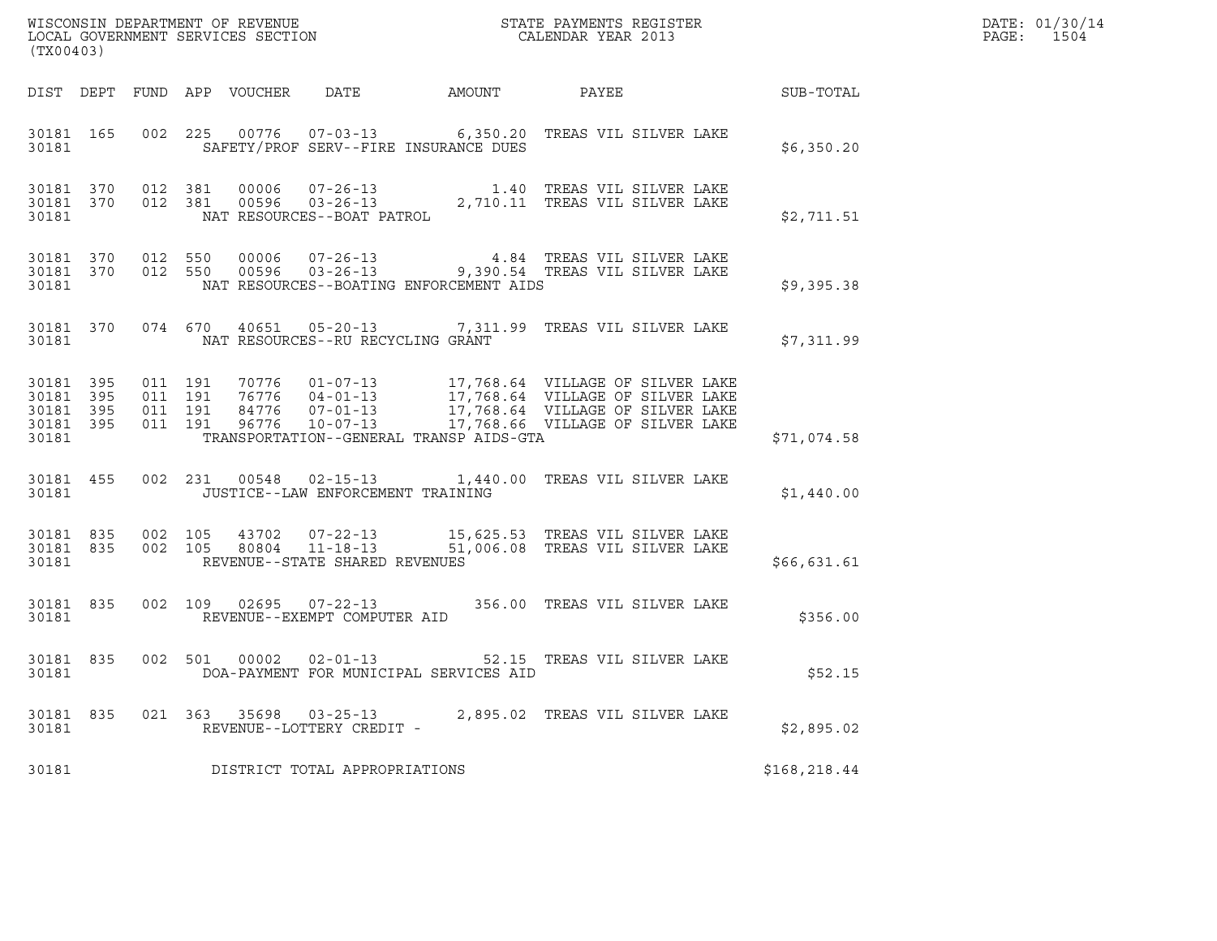| (TX00403)                                    |                                |                    |                    |                                                     |                                         | $\tt WISCONSIM DEPARTMENT OF REVENUE$ $\tt STATE$ PAYMENTS REGISTER LOCAL GOVERNMENT SERVICES SECTION $\tt CALENDAR$ YEAR 2013                   |              | DATE: 01/30/14<br>PAGE: 1504 |
|----------------------------------------------|--------------------------------|--------------------|--------------------|-----------------------------------------------------|-----------------------------------------|--------------------------------------------------------------------------------------------------------------------------------------------------|--------------|------------------------------|
|                                              |                                |                    |                    |                                                     |                                         |                                                                                                                                                  |              |                              |
| 30181                                        |                                |                    |                    |                                                     | SAFETY/PROF SERV--FIRE INSURANCE DUES   | 30181 165 002 225 00776 07-03-13 6,350.20 TREAS VIL SILVER LAKE                                                                                  | \$6,350.20   |                              |
| 30181                                        | 30181 370 012 381<br>30181 370 |                    |                    |                                                     |                                         | 370 012 381 00006 07-26-13 1.40 TREAS VIL SILVER LAKE<br>370 012 381 00596 03-26-13 2,710.11 TREAS VIL SILVER LAKE<br>NAT RESOURCES--BOAT PATROL | \$2,711.51   |                              |
| 30181                                        |                                |                    |                    |                                                     | NAT RESOURCES--BOATING ENFORCEMENT AIDS | 30181 370 012 550 00006 07-26-13 4.84 TREAS VIL SILVER LAKE 30181 370 012 550 00596 03-26-13 9,390.54 TREAS VIL SILVER LAKE                      | \$9,395.38   |                              |
|                                              |                                |                    |                    | 30181 NAT RESOURCES--RU RECYCLING GRANT             |                                         | 30181 370 074 670 40651 05-20-13 7,311.99 TREAS VIL SILVER LAKE                                                                                  | \$7,311.99   |                              |
| 30181 395<br>30181 395<br>30181 395<br>30181 | 30181 395                      | 011 191<br>011 191 | 011 191<br>011 191 |                                                     | TRANSPORTATION--GENERAL TRANSP AIDS-GTA |                                                                                                                                                  | \$71,074.58  |                              |
|                                              | 30181 455<br>30181             |                    |                    | JUSTICE--LAW ENFORCEMENT TRAINING                   |                                         | 002 231 00548 02-15-13 1,440.00 TREAS VIL SILVER LAKE                                                                                            | \$1,440.00   |                              |
| 30181                                        | 30181 835<br>30181 835         |                    |                    | REVENUE--STATE SHARED REVENUES                      |                                         | 002 105 43702 07-22-13 15,625.53 TREAS VIL SILVER LAKE<br>002 105 80804 11-18-13 51,006.08 TREAS VIL SILVER LAKE                                 | \$66,631.61  |                              |
|                                              |                                |                    |                    | 30181 REVENUE--EXEMPT COMPUTER AID                  |                                         | 30181 835 002 109 02695 07-22-13 356.00 TREAS VIL SILVER LAKE                                                                                    | \$356.00     |                              |
| 30181                                        |                                |                    |                    |                                                     | DOA-PAYMENT FOR MUNICIPAL SERVICES AID  | 30181 835 002 501 00002 02-01-13 52.15 TREAS VIL SILVER LAKE                                                                                     | \$52.15      |                              |
| 30181 835<br>30181                           |                                |                    |                    | 021 363 35698 03-25-13<br>REVENUE--LOTTERY CREDIT - |                                         | 2,895.02 TREAS VIL SILVER LAKE                                                                                                                   | \$2,895.02   |                              |
| 30181                                        |                                |                    |                    | DISTRICT TOTAL APPROPRIATIONS                       |                                         |                                                                                                                                                  | \$168,218.44 |                              |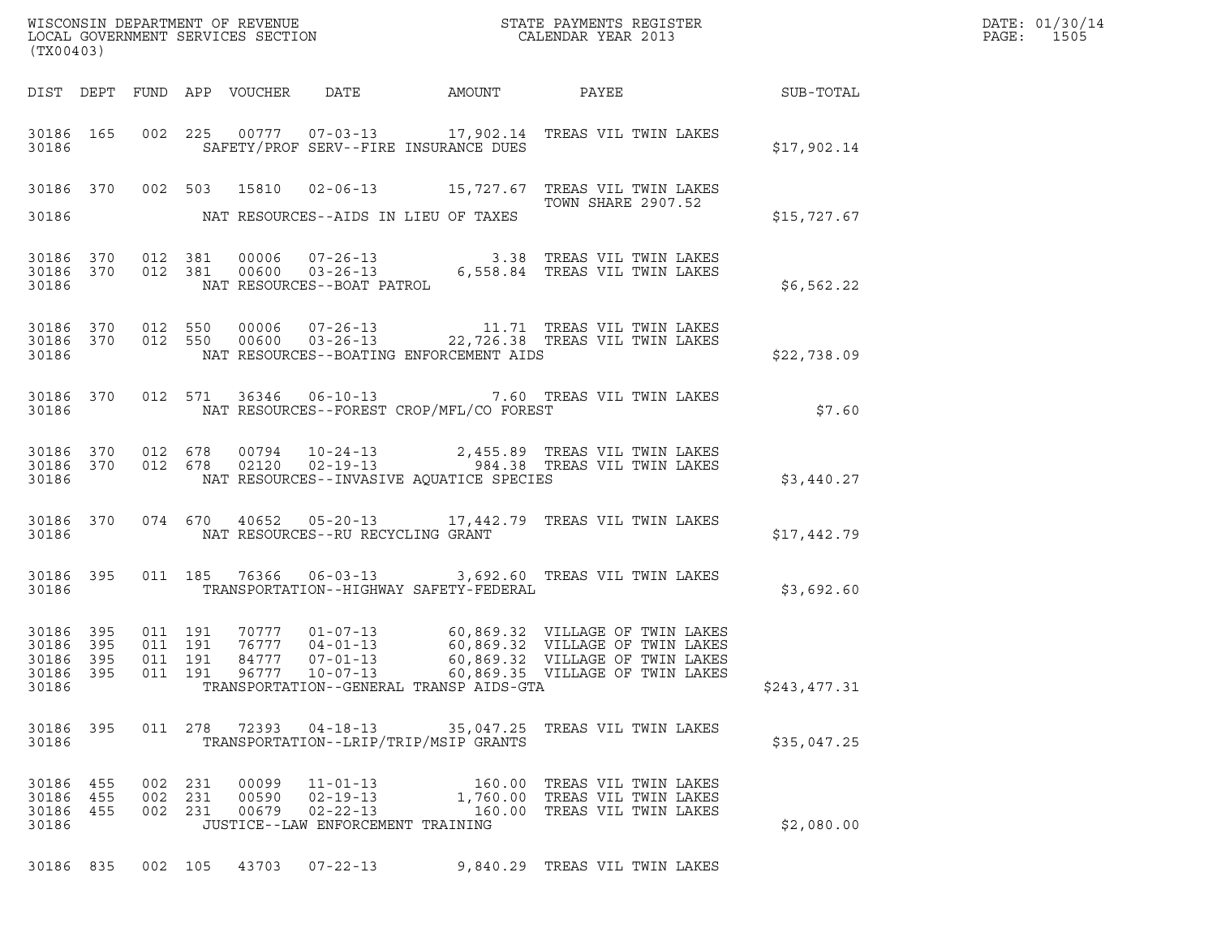| (TX00403)                                                 |                               |                                   |                                          | WISCONSIN DEPARTMENT OF REVENUE<br>LOCAL GOVERNMENT SERVICES SECTION<br>(TWO 0.000)                                                                                                                                  |              | DATE: 01/30/14<br>PAGE: 1505 |
|-----------------------------------------------------------|-------------------------------|-----------------------------------|------------------------------------------|----------------------------------------------------------------------------------------------------------------------------------------------------------------------------------------------------------------------|--------------|------------------------------|
|                                                           |                               |                                   |                                          |                                                                                                                                                                                                                      |              |                              |
| 30186                                                     |                               |                                   | SAFETY/PROF SERV--FIRE INSURANCE DUES    | 30186  165  002  225  00777  07-03-13   17,902.14  TREAS VIL TWIN LAKES                                                                                                                                              | \$17,902.14  |                              |
|                                                           |                               |                                   |                                          | 30186 370 002 503 15810 02-06-13 15,727.67 TREAS VIL TWIN LAKES<br>TOWN SHARE 2907.52                                                                                                                                |              |                              |
| 30186                                                     |                               |                                   | NAT RESOURCES--AIDS IN LIEU OF TAXES     |                                                                                                                                                                                                                      | \$15,727.67  |                              |
|                                                           |                               |                                   |                                          |                                                                                                                                                                                                                      | \$6,562.22   |                              |
| 30186                                                     |                               |                                   | NAT RESOURCES--BOATING ENFORCEMENT AIDS  | $\begin{array}{cccccc} 30186 & 370 & 012 & 550 & 00006 & 07-26-13 & & & 11.71 & \text{TREAS VII TWIN LAKES} \\ 30186 & 370 & 012 & 550 & 00600 & 03-26-13 & & & 22,726.38 & \text{TREAS VII TWIN LAKES} \end{array}$ | \$22,738.09  |                              |
| 30186                                                     |                               |                                   | NAT RESOURCES--FOREST CROP/MFL/CO FOREST | 30186 370 012 571 36346 06-10-13 7.60 TREAS VIL TWIN LAKES                                                                                                                                                           | \$7.60       |                              |
| 30186                                                     |                               |                                   | NAT RESOURCES--INVASIVE AQUATICE SPECIES | $\begin{array}{cccccc} 30186 & 370 & 012 & 678 & 00794 & 10-24-13 & & 2,455.89 & \text{TREAS VIL TWIN LAKES} \\ 30186 & 370 & 012 & 678 & 02120 & 02-19-13 & & 984.38 & \text{TREAS VIL TWIN LAKES} \end{array}$     | \$3,440.27   |                              |
|                                                           |                               |                                   |                                          | 30186 370 074 670 40652 05-20-13 17,442.79 TREAS VIL TWIN LAKES                                                                                                                                                      | \$17,442.79  |                              |
| 30186                                                     |                               |                                   | TRANSPORTATION--HIGHWAY SAFETY-FEDERAL   | 30186 395 011 185 76366 06-03-13 3,692.60 TREAS VIL TWIN LAKES                                                                                                                                                       | \$3,692.60   |                              |
| 30186 395<br>30186 395<br>30186 395<br>30186 395<br>30186 | 011 191<br>011 191<br>011 191 | 84777<br>$07 - 01 - 13$           | TRANSPORTATION--GENERAL TRANSP AIDS-GTA  | 60,869.32 VILLAGE OF TWIN LAKES<br>011  191  96777  10-07-13  60,869.35  VILLAGE OF TWIN LAKES                                                                                                                       | \$243,477.31 |                              |
| 30186 395<br>30186                                        |                               |                                   | TRANSPORTATION--LRIP/TRIP/MSIP GRANTS    | 011  278  72393  04-18-13  35,047.25  TREAS VIL TWIN LAKES                                                                                                                                                           | \$35,047.25  |                              |
| 30186 455<br>30186 455<br>30186 455<br>30186              | 002 231<br>002 231<br>002 231 | JUSTICE--LAW ENFORCEMENT TRAINING |                                          | 160.00 TREAS VIL TWIN LAKES<br>1,760.00 TREAS VIL TWIN LAKES<br>160.00 TREAS VIL TWIN LAKES                                                                                                                          | \$2,080.00   |                              |
| 30186 835                                                 | 002 105                       | 43703<br>$07 - 22 - 13$           |                                          | 9,840.29 TREAS VIL TWIN LAKES                                                                                                                                                                                        |              |                              |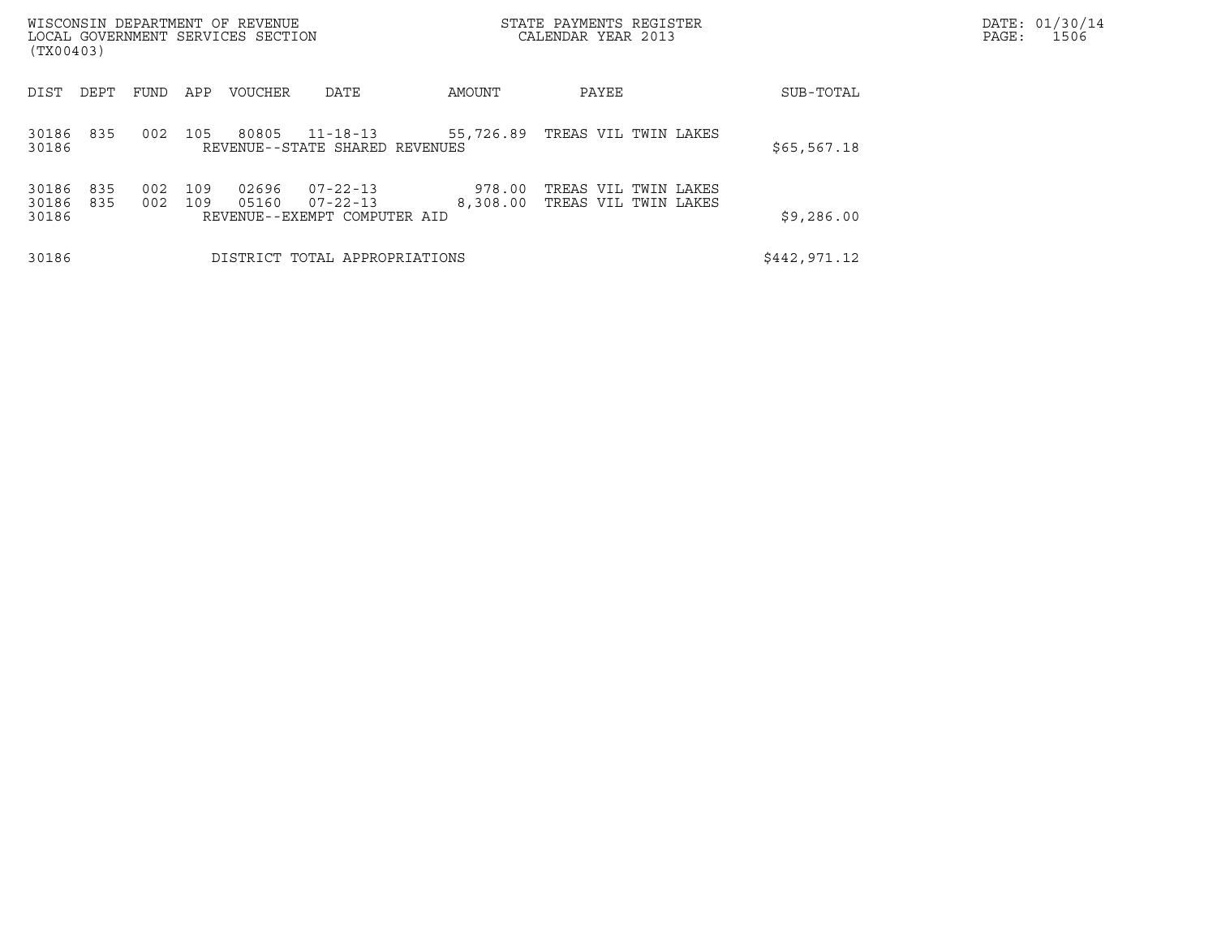| WISCONSIN DEPARTMENT OF REVENUE<br>LOCAL GOVERNMENT SERVICES SECTION<br>(TX00403) |            |            |                |                                                                  |                    | STATE PAYMENTS REGISTER<br>CALENDAR YEAR 2013 | DATE: 01/30/14<br>PAGE:<br>1506 |  |
|-----------------------------------------------------------------------------------|------------|------------|----------------|------------------------------------------------------------------|--------------------|-----------------------------------------------|---------------------------------|--|
| DIST<br>DEPT                                                                      | FUND       | APP        | VOUCHER        | DATE                                                             | AMOUNT             | PAYEE                                         | SUB-TOTAL                       |  |
| 30186<br>835<br>30186                                                             | 002        | 105        | 80805          | $11 - 18 - 13$<br>REVENUE--STATE SHARED REVENUES                 | 55,726.89          | TREAS VIL TWIN LAKES                          | \$65,567.18                     |  |
| 835<br>30186<br>30186<br>835<br>30186                                             | 002<br>002 | 109<br>109 | 02696<br>05160 | $07 - 22 - 13$<br>$07 - 22 - 13$<br>REVENUE--EXEMPT COMPUTER AID | 978.00<br>8,308.00 | TREAS VIL TWIN LAKES<br>TREAS VIL TWIN LAKES  | \$9,286.00                      |  |
| 30186                                                                             |            |            |                | DISTRICT TOTAL APPROPRIATIONS                                    |                    |                                               | \$442,971.12                    |  |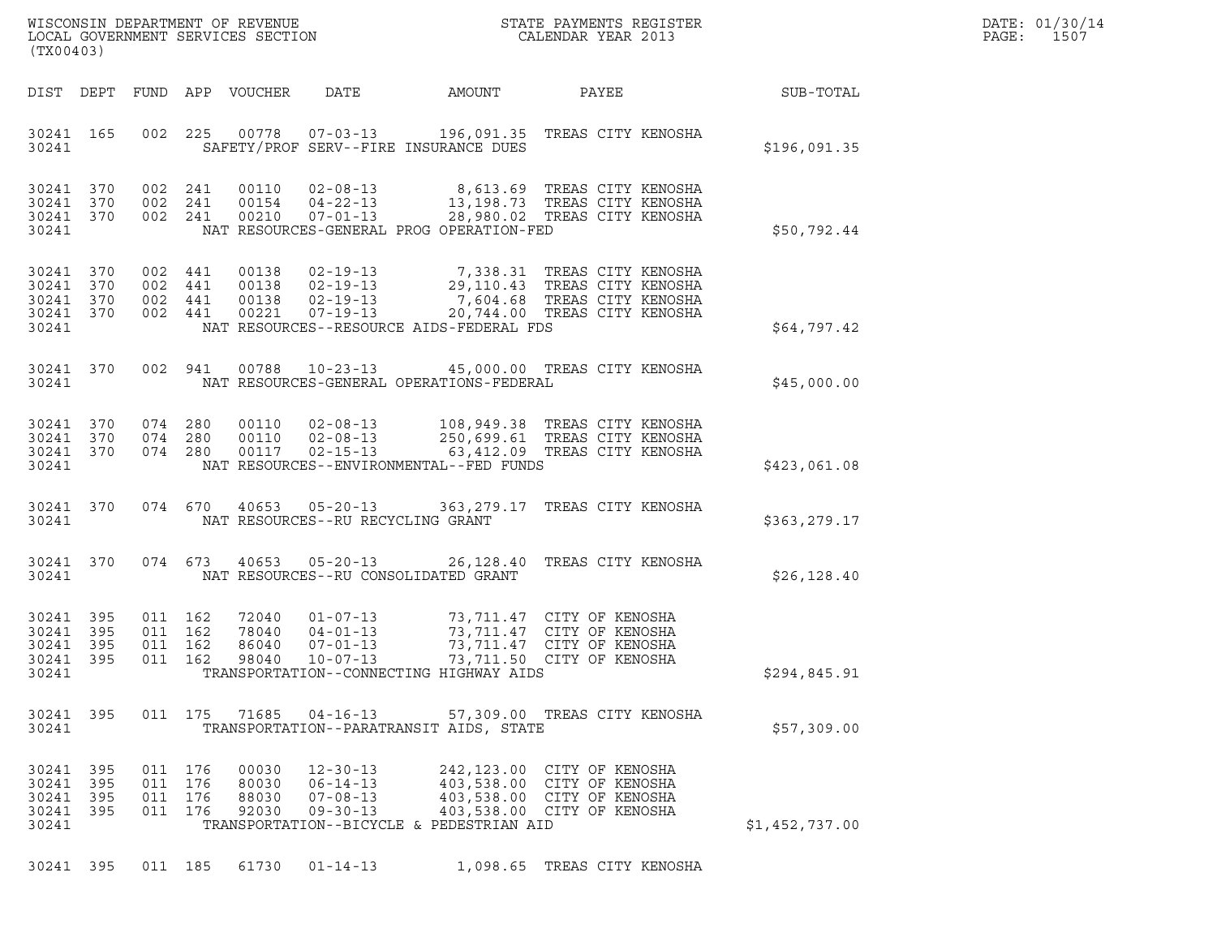| (TX00403)                                                 |           |                                          |                                  |                                                                      |                                                                                                                                                                  |                                                                                                                   |                | DATE: 01/30/14<br>$\mathtt{PAGE}$ :<br>1507 |
|-----------------------------------------------------------|-----------|------------------------------------------|----------------------------------|----------------------------------------------------------------------|------------------------------------------------------------------------------------------------------------------------------------------------------------------|-------------------------------------------------------------------------------------------------------------------|----------------|---------------------------------------------|
|                                                           | DIST DEPT |                                          | FUND APP VOUCHER                 | DATE                                                                 | AMOUNT                                                                                                                                                           | PAYEE                                                                                                             | SUB-TOTAL      |                                             |
| 30241 165<br>30241                                        |           |                                          |                                  |                                                                      | 002 225 00778 07-03-13 196,091.35 TREAS CITY KENOSHA<br>SAFETY/PROF SERV--FIRE INSURANCE DUES                                                                    |                                                                                                                   | \$196,091.35   |                                             |
| 30241 370<br>30241 370<br>30241 370<br>30241              |           | 002 241<br>002 241<br>002 241            | 00110<br>00154<br>00210          | $02 - 08 - 13$<br>$04 - 22 - 13$<br>$07 - 01 - 13$                   | 8,613.69 TREAS CITY KENOSHA<br>13,198.73 TREAS CITY KENOSHA<br>28,980.02 TREAS CITY KENOSHA<br>NAT RESOURCES-GENERAL PROG OPERATION-FED                          |                                                                                                                   | \$50,792.44    |                                             |
| 30241 370<br>30241 370<br>30241 370<br>30241 370<br>30241 |           | 002 441<br>002 441<br>002 441<br>002 441 | 00138<br>00138<br>00138          | 02-19-13<br>$02 - 19 - 13$<br>$02 - 19 - 13$<br>00221  07-19-13      | 7,338.31 TREAS CITY KENOSHA<br>7,604.68 TREAS CITY KENOSHA<br>NAT RESOURCES--RESOURCE AIDS-FEDERAL FDS                                                           | 29,110.43 TREAS CITY KENOSHA<br>20,744.00 TREAS CITY KENOSHA                                                      | \$64,797.42    |                                             |
| 30241 370<br>30241                                        |           | 002 941                                  |                                  |                                                                      | 00788  10-23-13  45,000.00  TREAS CITY KENOSHA<br>NAT RESOURCES-GENERAL OPERATIONS-FEDERAL                                                                       |                                                                                                                   | \$45,000.00    |                                             |
| 30241 370<br>30241 370<br>30241 370<br>30241              |           | 074 280<br>074 280<br>074 280            | 00110<br>00110<br>00117          | $02 - 08 - 13$<br>$02 - 08 - 13$<br>$02 - 15 - 13$                   | 108,949.38 TREAS CITY KENOSHA<br>250,699.61 TREAS CITY KENOSHA<br>63,412.09 TREAS CITY KENOSHA<br>NAT RESOURCES--ENVIRONMENTAL--FED FUNDS                        |                                                                                                                   | \$423,061.08   |                                             |
| 30241 370<br>30241                                        |           | 074 670                                  |                                  | 40653 05-20-13<br>NAT RESOURCES--RU RECYCLING GRANT                  | 363, 279.17 TREAS CITY KENOSHA                                                                                                                                   |                                                                                                                   | \$363,279.17   |                                             |
| 30241 370<br>30241                                        |           | 074 673                                  | 40653                            | $05 - 20 - 13$                                                       | NAT RESOURCES--RU CONSOLIDATED GRANT                                                                                                                             | 26,128.40 TREAS CITY KENOSHA                                                                                      | \$26, 128.40   |                                             |
| 30241 395<br>30241 395<br>30241<br>30241 395<br>30241     | - 395     | 011 162<br>011 162<br>011 162<br>011 162 | 72040<br>78040<br>86040<br>98040 | $01 - 07 - 13$<br>$04 - 01 - 13$<br>07-01-13<br>$10 - 07 - 13$       | TRANSPORTATION--CONNECTING HIGHWAY AIDS                                                                                                                          | 73,711.47 CITY OF KENOSHA<br>73,711.47 CITY OF KENOSHA<br>73, 711.47 CITY OF KENOSHA<br>73,711.50 CITY OF KENOSHA | \$294,845.91   |                                             |
| 30241 395<br>30241                                        |           |                                          |                                  | 011 175 71685 04-16-13                                               | TRANSPORTATION--PARATRANSIT AIDS, STATE                                                                                                                          | 57,309.00 TREAS CITY KENOSHA                                                                                      | \$57,309.00    |                                             |
| 30241 395<br>30241 395<br>30241 395<br>30241 395<br>30241 |           | 011 176<br>011 176<br>011 176<br>011 176 | 00030<br>80030<br>88030<br>92030 | $12 - 30 - 13$<br>$06 - 14 - 13$<br>$07 - 08 - 13$<br>$09 - 30 - 13$ | 242,123.00 CITY OF KENOSHA<br>403,538.00 CITY OF KENOSHA<br>403,538.00 CITY OF KENOSHA<br>403,538.00 CITY OF KENOSHA<br>TRANSPORTATION--BICYCLE & PEDESTRIAN AID |                                                                                                                   | \$1,452,737.00 |                                             |

30241 395 011 185 61730 01-14-13 1,098.65 TREAS CITY KENOSHA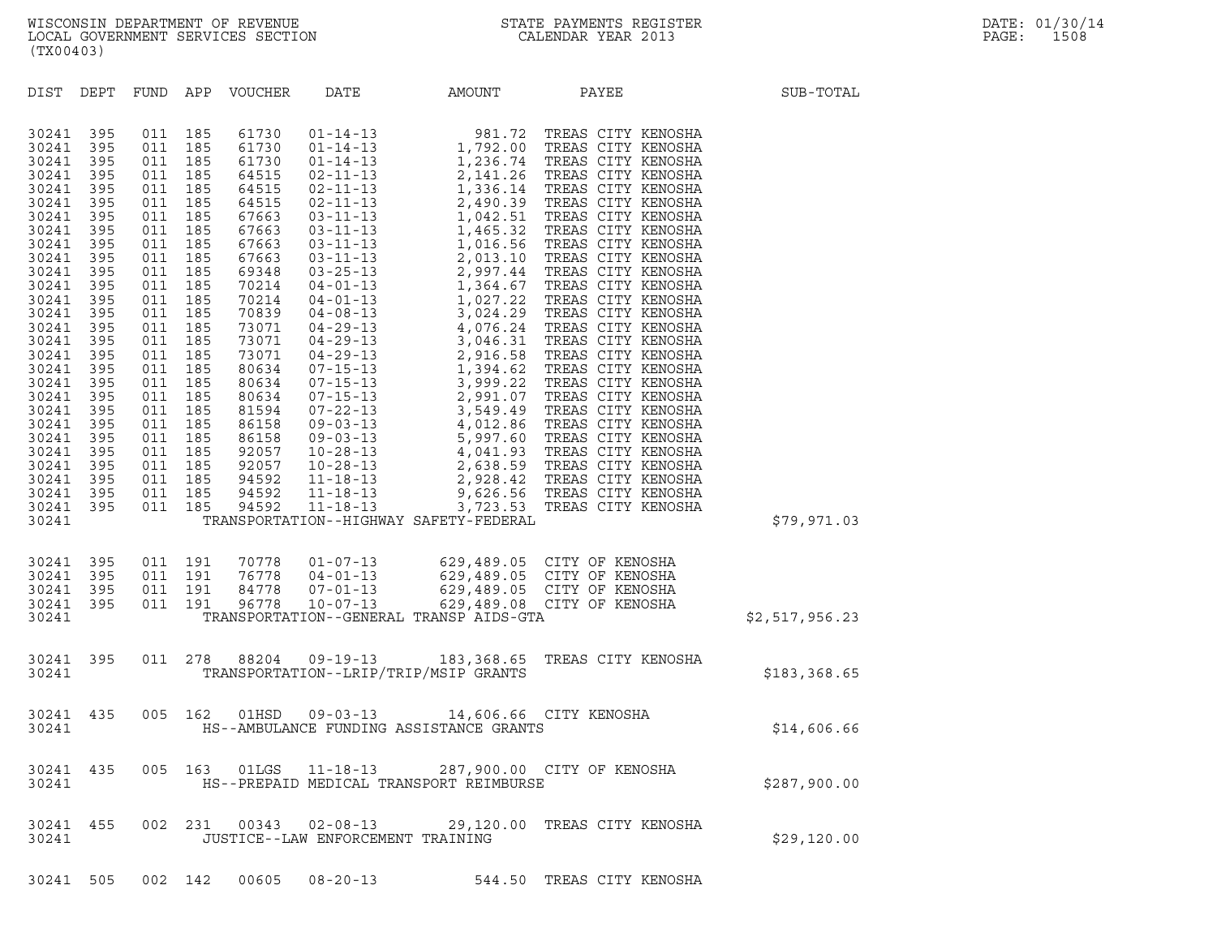| (TX00403)                                                                                                                                                                                                                                                         |                                                                                                                                                                                                  |                                                                                                                                                                                                  |                                                                                                                                                                                                  |                         |                                                     |                                         |                                                                                                                                        |                |
|-------------------------------------------------------------------------------------------------------------------------------------------------------------------------------------------------------------------------------------------------------------------|--------------------------------------------------------------------------------------------------------------------------------------------------------------------------------------------------|--------------------------------------------------------------------------------------------------------------------------------------------------------------------------------------------------|--------------------------------------------------------------------------------------------------------------------------------------------------------------------------------------------------|-------------------------|-----------------------------------------------------|-----------------------------------------|----------------------------------------------------------------------------------------------------------------------------------------|----------------|
| DIST DEPT                                                                                                                                                                                                                                                         |                                                                                                                                                                                                  |                                                                                                                                                                                                  |                                                                                                                                                                                                  | FUND APP VOUCHER        | DATE                                                | AMOUNT                                  | PAYEE                                                                                                                                  | SUB-TOTAL      |
| 30241<br>30241<br>30241<br>30241<br>30241<br>30241<br>30241<br>30241<br>30241<br>30241<br>30241<br>30241<br>30241<br>30241<br>30241<br>30241<br>30241<br>30241<br>30241<br>30241<br>30241<br>30241<br>30241<br>30241<br>30241<br>30241<br>30241<br>30241<br>30241 | 395<br>395<br>395<br>395<br>395<br>395<br>395<br>395<br>395<br>395<br>395<br>395<br>395<br>395<br>395<br>395<br>395<br>395<br>395<br>395<br>395<br>395<br>395<br>395<br>395<br>395<br>395<br>395 | 011<br>011<br>011<br>011<br>011<br>011<br>011<br>011<br>011<br>011<br>011<br>011<br>011<br>011<br>011<br>011<br>011<br>011<br>011<br>011<br>011<br>011<br>011<br>011<br>011<br>011<br>011<br>011 | 185<br>185<br>185<br>185<br>185<br>185<br>185<br>185<br>185<br>185<br>185<br>185<br>185<br>185<br>185<br>185<br>185<br>185<br>185<br>185<br>185<br>185<br>185<br>185<br>185<br>185<br>185<br>185 |                         |                                                     | TRANSPORTATION--HIGHWAY SAFETY-FEDERAL  |                                                                                                                                        | \$79,971.03    |
| 30241<br>30241<br>30241<br>30241<br>30241                                                                                                                                                                                                                         | 395<br>395<br>395<br>395                                                                                                                                                                         | 011<br>011<br>011                                                                                                                                                                                | 191<br>191<br>191<br>011 191                                                                                                                                                                     | 76778<br>84778<br>96778 | 70778 01-07-13<br>$04 - 01 - 13$                    | TRANSPORTATION--GENERAL TRANSP AIDS-GTA | 629,489.05 CITY OF KENOSHA<br>629,489.05 CITY OF KENOSHA<br>07-01-13 629,489.05 CITY OF KENOSHA<br>10-07-13 629,489.08 CITY OF KENOSHA | \$2,517,956.23 |
| 30241<br>30241                                                                                                                                                                                                                                                    | 395                                                                                                                                                                                              | 011 278                                                                                                                                                                                          |                                                                                                                                                                                                  | 88204                   | 09-19-13                                            | TRANSPORTATION--LRIP/TRIP/MSIP GRANTS   | 183,368.65 TREAS CITY KENOSHA                                                                                                          | \$183,368.65   |
| 30241<br>30241                                                                                                                                                                                                                                                    | 435                                                                                                                                                                                              |                                                                                                                                                                                                  | 005 162                                                                                                                                                                                          |                         | 01HSD 09-03-13                                      | HS--AMBULANCE FUNDING ASSISTANCE GRANTS | 14,606.66 CITY KENOSHA                                                                                                                 | \$14,606.66    |
| 30241<br>30241                                                                                                                                                                                                                                                    | 435                                                                                                                                                                                              | 005                                                                                                                                                                                              | 163                                                                                                                                                                                              | 01LGS                   | $11 - 18 - 13$                                      | HS--PREPAID MEDICAL TRANSPORT REIMBURSE | 287,900.00 CITY OF KENOSHA                                                                                                             | \$287,900.00   |
| 30241<br>30241                                                                                                                                                                                                                                                    | 455                                                                                                                                                                                              | 002                                                                                                                                                                                              | 231                                                                                                                                                                                              | 00343                   | $02 - 08 - 13$<br>JUSTICE--LAW ENFORCEMENT TRAINING | 29,120.00                               | TREAS CITY KENOSHA                                                                                                                     | \$29,120.00    |

30241 505 002 142 00605 08-20-13 544.50 TREAS CITY KENOSHA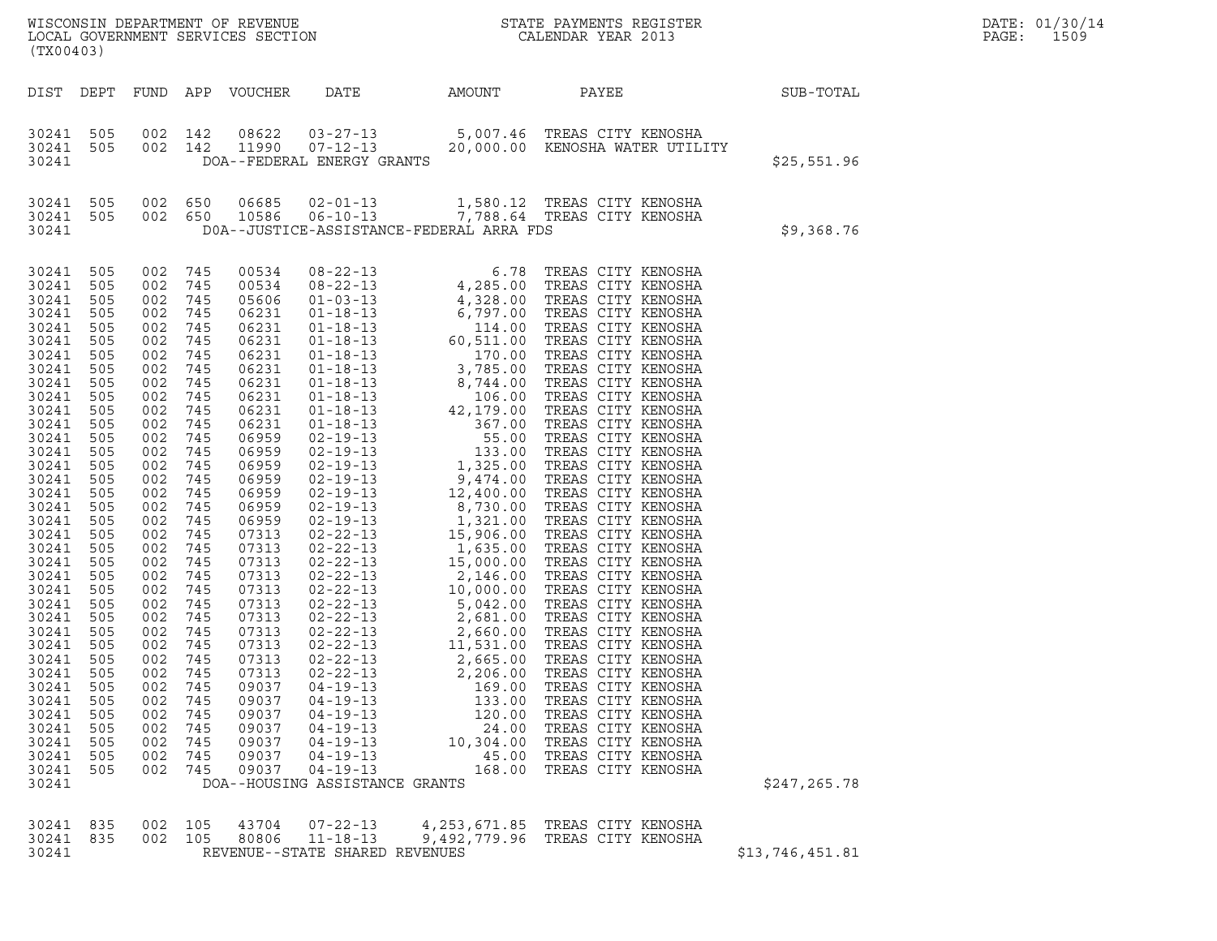| DATE: | 01/30/14 |
|-------|----------|
| PAGE: | 1509     |

| (TX00403)          |     |            |            |                       |                                          |                                                  |                                                                                                          |             | DATE: 01/30/14<br>PAGE: 1509 |
|--------------------|-----|------------|------------|-----------------------|------------------------------------------|--------------------------------------------------|----------------------------------------------------------------------------------------------------------|-------------|------------------------------|
| DIST DEPT          |     |            |            | FUND APP VOUCHER DATE |                                          | AMOUNT                                           | PAYEE                                                                                                    | SUB-TOTAL   |                              |
| 30241 505          |     | 002 142    |            | 08622                 |                                          |                                                  | 03-27-13 5,007.46 TREAS CITY KENOSHA                                                                     |             |                              |
| 30241 505<br>30241 |     | 002 142    |            | 11990                 | DOA--FEDERAL ENERGY GRANTS               |                                                  | 07-12-13 20,000.00 KENOSHA WATER UTILITY                                                                 | \$25,551.96 |                              |
| 30241 505          |     |            |            |                       |                                          |                                                  | 002 650 06685 02-01-13 1,580.12 TREAS CITY KENOSHA<br>002 650 10586 06-10-13 7,788.64 TREAS CITY KENOSHA |             |                              |
| 30241 505<br>30241 |     |            |            |                       | DOA--JUSTICE-ASSISTANCE-FEDERAL ARRA FDS |                                                  |                                                                                                          | \$9,368.76  |                              |
| 30241 505          |     | 002        | 745        | 00534                 |                                          |                                                  |                                                                                                          |             |                              |
| 30241 505          |     | 002 745    |            | 00534                 |                                          |                                                  |                                                                                                          |             |                              |
| 30241 505          |     | 002        | 745        | 05606                 |                                          |                                                  |                                                                                                          |             |                              |
| 30241 505          |     | 002        | 745        | 06231                 |                                          |                                                  |                                                                                                          |             |                              |
| 30241 505          |     | 002        | 745        | 06231                 |                                          |                                                  |                                                                                                          |             |                              |
| 30241              | 505 | 002        | 745        | 06231                 |                                          |                                                  |                                                                                                          |             |                              |
| 30241              | 505 | 002        | 745        | 06231                 |                                          |                                                  |                                                                                                          |             |                              |
| 30241<br>30241 505 | 505 | 002<br>002 | 745<br>745 | 06231<br>06231        |                                          |                                                  |                                                                                                          |             |                              |
| 30241 505          |     | 002        | 745        | 06231                 |                                          |                                                  |                                                                                                          |             |                              |
| 30241              | 505 | 002        | 745        | 06231                 |                                          |                                                  |                                                                                                          |             |                              |
| 30241              | 505 | 002        | 745        | 06231                 |                                          |                                                  |                                                                                                          |             |                              |
| 30241              | 505 | 002        | 745        | 06959                 |                                          |                                                  |                                                                                                          |             |                              |
| 30241              | 505 | 002        | 745        | 06959                 |                                          |                                                  |                                                                                                          |             |                              |
| 30241              | 505 | 002        | 745        | 06959                 |                                          |                                                  |                                                                                                          |             |                              |
| 30241              | 505 | 002        | 745        | 06959                 | $02 - 19 - 13$                           | 9,474.00                                         | TREAS CITY KENOSHA                                                                                       |             |                              |
| 30241              | 505 | 002        | 745        | 06959                 | $02 - 19 - 13$                           |                                                  | TREAS CITY KENOSHA                                                                                       |             |                              |
| 30241              | 505 | 002        | 745        | 06959                 | $02 - 19 - 13$                           |                                                  | TREAS CITY KENOSHA                                                                                       |             |                              |
| 30241              | 505 | 002        | 745        | 06959                 | $02 - 19 - 13$                           | $12,400.00$<br>8,730.00<br>1,321.00<br>15,906.00 | TREAS CITY KENOSHA                                                                                       |             |                              |
| 30241              | 505 | 002        | 745        | 07313                 | $02 - 22 - 13$                           |                                                  | TREAS CITY KENOSHA                                                                                       |             |                              |
| 30241              | 505 | 002        | 745        | 07313                 | $02 - 22 - 13$                           |                                                  | 1.635.00 TREAS CITY KENOSHA                                                                              |             |                              |

| 30241 | 505 | 002 | 745     | 06959 | $02 - 19 - 13$                 | 55.00                                                                         | TREAS CITY KENOSHA          |                 |  |
|-------|-----|-----|---------|-------|--------------------------------|-------------------------------------------------------------------------------|-----------------------------|-----------------|--|
| 30241 | 505 | 002 | 745     | 06959 | $02 - 19 - 13$                 | 133.00                                                                        | TREAS CITY KENOSHA          |                 |  |
| 30241 | 505 | 002 | 745     | 06959 |                                | 02-19-13 1,325.00 TREAS CITY KENOSHA                                          |                             |                 |  |
| 30241 | 505 | 002 | 745     | 06959 |                                |                                                                               |                             |                 |  |
| 30241 | 505 | 002 | 745     | 06959 |                                | 02-19-13 9,474.00 TREAS CITY KENOSHA<br>02-19-13 12,400.00 TREAS CITY KENOSHA |                             |                 |  |
| 30241 | 505 | 002 | 745     | 06959 | $02 - 19 - 13$                 |                                                                               | 8,730.00 TREAS CITY KENOSHA |                 |  |
| 30241 | 505 | 002 | 745     | 06959 |                                | 02-19-13 1,321.00 TREAS CITY KENOSHA<br>02-22-13 15,906.00 TREAS CITY KENOSHA |                             |                 |  |
| 30241 | 505 | 002 | 745     | 07313 |                                |                                                                               |                             |                 |  |
| 30241 | 505 | 002 | 745     | 07313 |                                | 02-22-13 1,635.00 TREAS CITY KENOSHA<br>02-22-13 15,000.00 TREAS CITY KENOSHA |                             |                 |  |
| 30241 | 505 | 002 | 745     | 07313 |                                |                                                                               |                             |                 |  |
| 30241 | 505 | 002 | 745     | 07313 | $02 - 22 - 13$                 | 2,146.00                                                                      | TREAS CITY KENOSHA          |                 |  |
| 30241 | 505 | 002 | 745     | 07313 |                                | 02-22-13 10,000.00 TREAS CITY KENOSHA                                         |                             |                 |  |
| 30241 | 505 | 002 | 745     | 07313 | $02 - 22 - 13$                 |                                                                               | 5,042.00 TREAS CITY KENOSHA |                 |  |
| 30241 | 505 | 002 | 745     | 07313 |                                | 02-22-13 2,681.00 TREAS CITY KENOSHA                                          |                             |                 |  |
| 30241 | 505 | 002 | 745     | 07313 | $02 - 22 - 13$                 |                                                                               | 2,660.00 TREAS CITY KENOSHA |                 |  |
| 30241 | 505 | 002 | 745     | 07313 |                                | 02-22-13 11,531.00 TREAS CITY KENOSHA                                         |                             |                 |  |
| 30241 | 505 | 002 | 745     | 07313 |                                | $02 - 22 - 13$ 2,665.00                                                       | TREAS CITY KENOSHA          |                 |  |
| 30241 | 505 | 002 | 745     | 07313 | $02 - 22 - 13$                 | 2,206.00                                                                      | TREAS CITY KENOSHA          |                 |  |
| 30241 | 505 | 002 | 745     | 09037 |                                | $04 - 19 - 13$ 169.00                                                         | TREAS CITY KENOSHA          |                 |  |
| 30241 | 505 | 002 | 745     | 09037 | $04 - 19 - 13$                 | 133.00                                                                        | TREAS CITY KENOSHA          |                 |  |
| 30241 | 505 | 002 | 745     | 09037 | $04 - 19 - 13$                 | 120.00                                                                        | TREAS CITY KENOSHA          |                 |  |
| 30241 | 505 | 002 | 745     | 09037 | $04 - 19 - 13$                 | 24.00                                                                         | TREAS CITY KENOSHA          |                 |  |
| 30241 | 505 | 002 | 745     | 09037 |                                | $04 - 19 - 13$ 10,304.00                                                      | TREAS CITY KENOSHA          |                 |  |
| 30241 | 505 | 002 | 745     | 09037 | $04 - 19 - 13$                 |                                                                               | 45.00 TREAS CITY KENOSHA    |                 |  |
| 30241 | 505 | 002 | 745     | 09037 | $04 - 19 - 13$                 | 168.00                                                                        | TREAS CITY KENOSHA          |                 |  |
| 30241 |     |     |         |       | DOA--HOUSING ASSISTANCE GRANTS |                                                                               |                             | \$247, 265.78   |  |
|       |     |     |         |       |                                |                                                                               |                             |                 |  |
|       |     |     |         |       |                                |                                                                               |                             |                 |  |
| 30241 | 835 |     | 002 105 | 43704 |                                | 07-22-13 4, 253, 671.85 TREAS CITY KENOSHA                                    |                             |                 |  |
| 30241 | 835 |     | 002 105 | 80806 | $11 - 18 - 13$                 | 9,492,779.96 TREAS CITY KENOSHA                                               |                             |                 |  |
| 30241 |     |     |         |       | REVENUE--STATE SHARED REVENUES |                                                                               |                             | \$13,746,451.81 |  |
|       |     |     |         |       |                                |                                                                               |                             |                 |  |

|  | \$13.746.451.8 |  |
|--|----------------|--|